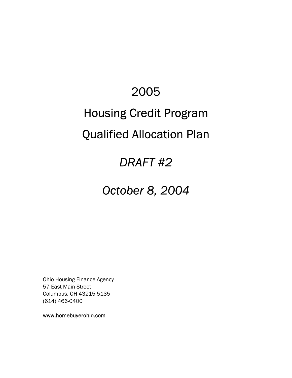# 2005 Housing Credit Program Qualified Allocation Plan

## *DRAFT #2*

## *October 8, 2004*

Ohio Housing Finance Agency 57 East Main Street Columbus, OH 43215-5135 (614) 466-0400

www.homebuyerohio.com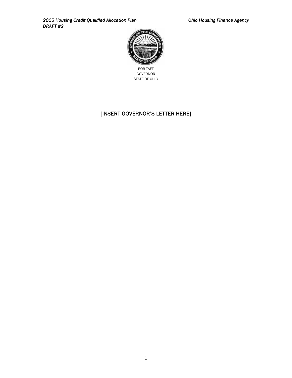2005 Housing Credit Qualified Allocation Plan **Canadian Charlotter Charlotter Charlotter Agency Ohio Housing Finance Agency** *DRAFT #2*



BOB TAFT GOVERNOR STATE OF OHIO

## [INSERT GOVERNOR'S LETTER HERE]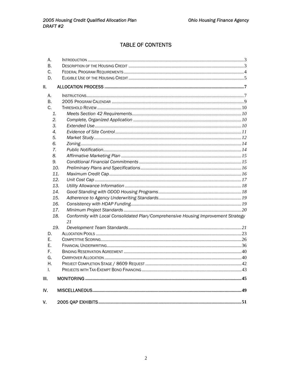### **TABLE OF CONTENTS**

| А.  |                                                                                          |  |
|-----|------------------------------------------------------------------------------------------|--|
| В.  |                                                                                          |  |
| C.  |                                                                                          |  |
| D.  |                                                                                          |  |
| II. |                                                                                          |  |
| А.  |                                                                                          |  |
| В.  |                                                                                          |  |
| C.  |                                                                                          |  |
| 1.  |                                                                                          |  |
| 2.  |                                                                                          |  |
| 3.  |                                                                                          |  |
| 4.  |                                                                                          |  |
| 5.  |                                                                                          |  |
| 6.  |                                                                                          |  |
| 7.  |                                                                                          |  |
| 8.  |                                                                                          |  |
| 9.  |                                                                                          |  |
| 10. |                                                                                          |  |
| 11. |                                                                                          |  |
| 12. |                                                                                          |  |
| 13. |                                                                                          |  |
| 14. |                                                                                          |  |
| 15. |                                                                                          |  |
| 16. |                                                                                          |  |
| 17. |                                                                                          |  |
| 18. | Conformity with Local Consolidated Plan/Comprehensive Housing Improvement Strategy<br>21 |  |
| 19. |                                                                                          |  |
| D.  |                                                                                          |  |
| Е.  |                                                                                          |  |
| Е.  |                                                                                          |  |
| F.  |                                                                                          |  |
| G.  |                                                                                          |  |
| Η.  |                                                                                          |  |
| L.  |                                                                                          |  |
| Ш.  |                                                                                          |  |
| IV. |                                                                                          |  |
| V.  |                                                                                          |  |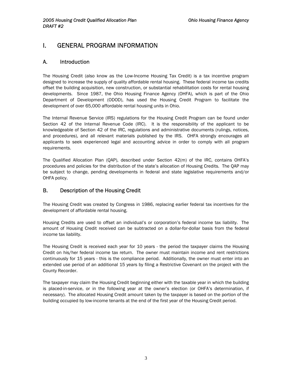## <span id="page-3-0"></span>I. GENERAL PROGRAM INFORMATION

#### A. Introduction

The Housing Credit (also know as the Low-Income Housing Tax Credit) is a tax incentive program designed to increase the supply of quality affordable rental housing. These federal income tax credits offset the building acquisition, new construction, or substantial rehabilitation costs for rental housing developments. Since 1987, the Ohio Housing Finance Agency (OHFA), which is part of the Ohio Department of Development (ODOD), has used the Housing Credit Program to facilitate the development of over 65,000 affordable rental housing units in Ohio.

The Internal Revenue Service (IRS) regulations for the Housing Credit Program can be found under Section 42 of the Internal Revenue Code (IRC). It is the responsibility of the applicant to be knowledgeable of Section 42 of the IRC, regulations and administrative documents (rulings, notices, and procedures), and all relevant materials published by the IRS. OHFA strongly encourages all applicants to seek experienced legal and accounting advice in order to comply with all program requirements.

The Qualified Allocation Plan (QAP), described under Section 42(m) of the IRC, contains OHFA's procedures and policies for the distribution of the state's allocation of Housing Credits. The QAP may be subject to change, pending developments in federal and state legislative requirements and/or OHFA policy.

#### B. Description of the Housing Credit

The Housing Credit was created by Congress in 1986, replacing earlier federal tax incentives for the development of affordable rental housing.

Housing Credits are used to offset an individual's or corporation's federal income tax liability. The amount of Housing Credit received can be subtracted on a dollar-for-dollar basis from the federal income tax liability.

The Housing Credit is received each year for 10 years - the period the taxpayer claims the Housing Credit on his/her federal income tax return. The owner must maintain income and rent restrictions continuously for 15 years - this is the compliance period. Additionally, the owner must enter into an extended use period of an additional 15 years by filing a Restrictive Covenant on the project with the County Recorder.

The taxpayer may claim the Housing Credit beginning either with the taxable year in which the building is placed-in-service, or in the following year at the owner's election (or OHFA's determination, if necessary). The allocated Housing Credit amount taken by the taxpayer is based on the portion of the building occupied by low-income tenants at the end of the first year of the Housing Credit period.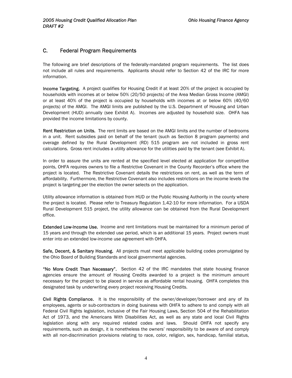#### <span id="page-4-0"></span>C. Federal Program Requirements

The following are brief descriptions of the federally-mandated program requirements. The list does not include all rules and requirements. Applicants should refer to Section 42 of the IRC for more information.

Income Targeting. A project qualifies for Housing Credit if at least 20% of the project is occupied by households with incomes at or below 50% (20/50 projects) of the Area Median Gross Income (AMGI) or at least 40% of the project is occupied by households with incomes at or below 60% (40/60 projects) of the AMGI. The AMGI limits are published by the U.S. Department of Housing and Urban Development (HUD) annually (see Exhibit A). Incomes are adjusted by household size. OHFA has provided the income limitations by county.

Rent Restriction on Units. The rent limits are based on the AMGI limits and the number of bedrooms in a unit. Rent subsidies paid on behalf of the tenant (such as Section 8 program payments) and overage defined by the Rural Development (RD) 515 program are not included in gross rent calculations. Gross rent includes a utility allowance for the utilities paid by the tenant (see Exhibit A).

In order to assure the units are rented at the specified level elected at application for competitive points, OHFA requires owners to file a Restrictive Covenant in the County Recorder's office where the project is located. The Restrictive Covenant details the restrictions on rent, as well as the term of affordability. Furthermore, the Restrictive Covenant also includes restrictions on the income levels the project is targeting per the election the owner selects on the application.

Utility allowance information is obtained from HUD or the Public Housing Authority in the county where the project is located. Please refer to Treasury Regulation 1.42-10 for more information. For a USDA Rural Development 515 project, the utility allowance can be obtained from the Rural Development office.

Extended Low-Income Use. Income and rent limitations must be maintained for a minimum period of 15 years and through the extended use period, which is an additional 15 years. Project owners must enter into an extended low-income use agreement with OHFA.

Safe. Decent, & Sanitary Housing. All projects must meet applicable building codes promulgated by the Ohio Board of Building Standards and local governmental agencies.

"No More Credit Than Necessary". Section 42 of the IRC mandates that state housing finance agencies ensure the amount of Housing Credits awarded to a project is the minimum amount necessary for the project to be placed in service as affordable rental housing. OHFA completes this designated task by underwriting every project receiving Housing Credits.

Civil Rights Compliance. It is the responsibility of the owner/developer/borrower and any of its employees, agents or sub-contractors in doing business with OHFA to adhere to and comply with all Federal Civil Rights legislation, inclusive of the Fair Housing Laws, Section 504 of the Rehabilitation Act of 1973, and the Americans With Disabilities Act, as well as any state and local Civil Rights legislation along with any required related codes and laws. Should OHFA not specify any requirements, such as design, it is nonetheless the owners' responsibility to be aware of and comply with all non-discrimination provisions relating to race, color, religion, sex, handicap, familial status,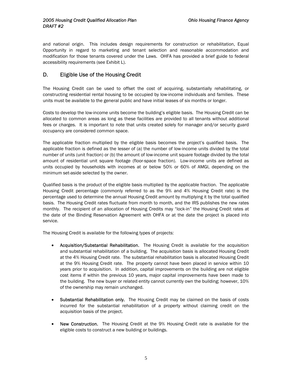<span id="page-5-0"></span>and national origin. This includes design requirements for construction or rehabilitation, Equal Opportunity in regard to marketing and tenant selection and reasonable accommodation and modification for those tenants covered under the Laws. OHFA has provided a brief guide to federal accessibility requirements (see Exhibit L).

### D. Eligible Use of the Housing Credit

The Housing Credit can be used to offset the cost of acquiring, substantially rehabilitating, or constructing residential rental housing to be occupied by low-income individuals and families. These units must be available to the general public and have initial leases of six months or longer.

Costs to develop the low-income units become the building's eligible basis. The Housing Credit can be allocated to common areas as long as these facilities are provided to all tenants without additional fees or charges. It is important to note that units created solely for manager and/or security guard occupancy are considered common space.

The applicable fraction multiplied by the eligible basis becomes the project's qualified basis. The applicable fraction is defined as the lesser of (a) the number of low-income units divided by the total number of units (unit fraction) or (b) the amount of low-income unit square footage divided by the total amount of residential unit square footage (floor-space fraction). Low-income units are defined as units occupied by households with incomes at or below 50% or 60% of AMGI, depending on the minimum set-aside selected by the owner.

Qualified basis is the product of the eligible basis multiplied by the applicable fraction. The applicable Housing Credit percentage (commonly referred to as the 9% and 4% Housing Credit rate) is the percentage used to determine the annual Housing Credit amount by multiplying it by the total qualified basis. The Housing Credit rates fluctuate from month to month, and the IRS publishes the new rates monthly. The recipient of an allocation of Housing Credits may "lock-in" the Housing Credit rates at the date of the Binding Reservation Agreement with OHFA or at the date the project is placed into service.

The Housing Credit is available for the following types of projects:

- Acquisition/Substantial Rehabilitation. The Housing Credit is available for the acquisition and substantial rehabilitation of a building. The acquisition basis is allocated Housing Credit at the 4% Housing Credit rate. The substantial rehabilitation basis is allocated Housing Credit at the 9% Housing Credit rate. The property cannot have been placed in service within 10 years prior to acquisition. In addition, capital improvements on the building are not eligible cost items if within the previous 10 years, major capital improvements have been made to the building. The new buyer or related entity cannot currently own the building; however, 10% of the ownership may remain unchanged.
- Substantial Rehabilitation only. The Housing Credit may be claimed on the basis of costs incurred for the substantial rehabilitation of a property without claiming credit on the acquisition basis of the project.
- New Construction. The Housing Credit at the 9% Housing Credit rate is available for the eligible costs to construct a new building or buildings.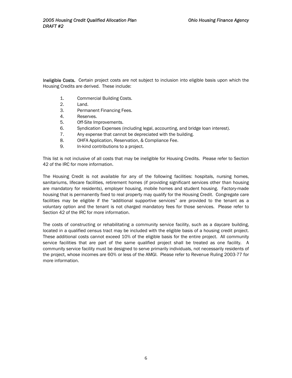Ineligible Costs. Certain project costs are not subject to inclusion into eligible basis upon which the Housing Credits are derived. These include:

- 1. Commercial Building Costs.
- 2. Land.
- 3. Permanent Financing Fees.
- 4. Reserves.
- 5. Off-Site Improvements.
- 6. Syndication Expenses (including legal, accounting, and bridge loan interest).
- 7. Any expense that cannot be depreciated with the building.
- 8. OHFA Application, Reservation, & Compliance Fee.
- 9. In-kind contributions to a project.

This list is not inclusive of all costs that may be ineligible for Housing Credits. Please refer to Section 42 of the IRC for more information.

The Housing Credit is not available for any of the following facilities: hospitals, nursing homes, sanitariums, lifecare facilities, retirement homes (if providing significant services other than housing are mandatory for residents), employer housing, mobile homes and student housing. Factory-made housing that is permanently fixed to real property may qualify for the Housing Credit. Congregate care facilities may be eligible if the "additional supportive services" are provided to the tenant as a voluntary option and the tenant is not charged mandatory fees for those services. Please refer to Section 42 of the IRC for more information.

The costs of constructing or rehabilitating a community service facility, such as a daycare building, located in a qualified census tract may be included with the eligible basis of a housing credit project. These additional costs cannot exceed 10% of the eligible basis for the entire project. All community service facilities that are part of the same qualified project shall be treated as one facility. A community service facility must be designed to serve primarily individuals, not necessarily residents of the project, whose incomes are 60% or less of the AMGI. Please refer to Revenue Ruling 2003-77 for more information.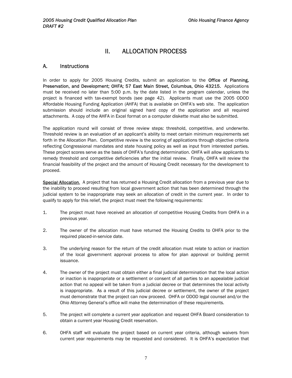## II. ALLOCATION PROCESS

#### <span id="page-7-0"></span>A. Instructions

In order to apply for 2005 Housing Credits, submit an application to the Office of Planning, Preservation, and Development; OHFA; 57 East Main Street, Columbus, Ohio 43215. Applications must be received no later than 5:00 p.m. by the date listed in the program calendar, unless the project is financed with tax-exempt bonds (see page 42). Applicants must use the 2005 ODOD Affordable Housing Funding Application (AHFA) that is available on OHFA's web site. The application submission should include an original signed hard copy of the application and all required attachments. A copy of the AHFA in Excel format on a computer diskette must also be submitted.

The application round will consist of three review steps: threshold, competitive, and underwrite. Threshold review is an evaluation of an applicant's ability to meet certain minimum requirements set forth in the Allocation Plan. Competitive review is the scoring of applications through objective criteria reflecting Congressional mandates and state housing policy as well as input from interested parties. These project scores serve as the basis of OHFA's funding determination. OHFA will allow applicants to remedy threshold and competitive deficiencies after the initial review. Finally, OHFA will review the financial feasibility of the project and the amount of Housing Credit necessary for the development to proceed.

Special Allocation. A project that has returned a Housing Credit allocation from a previous year due to the inability to proceed resulting from local government action that has been determined through the judicial system to be inappropriate may seek an allocation of credit in the current year. In order to qualify to apply for this relief, the project must meet the following requirements:

- 1. The project must have received an allocation of competitive Housing Credits from OHFA in a previous year.
- 2. The owner of the allocation must have returned the Housing Credits to OHFA prior to the required placed-in-service date.
- 3. The underlying reason for the return of the credit allocation must relate to action or inaction of the local government approval process to allow for plan approval or building permit issuance.
- 4. The owner of the project must obtain either a final judicial determination that the local action or inaction is inappropriate or a settlement or consent of all parties to an appealable judicial action that no appeal will be taken from a judicial decree or that determines the local activity is inappropriate. As a result of this judicial decree or settlement, the owner of the project must demonstrate that the project can now proceed. OHFA or ODOD legal counsel and/or the Ohio Attorney General's office will make the determination of these requirements.
- 5. The project will complete a current year application and request OHFA Board consideration to obtain a current year Housing Credit reservation.
- 6. OHFA staff will evaluate the project based on current year criteria, although waivers from current year requirements may be requested and considered. It is OHFA's expectation that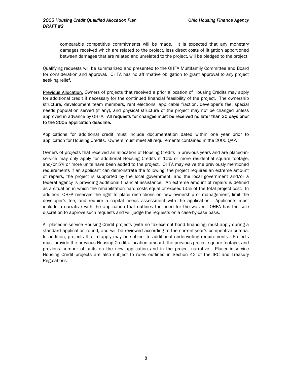comparable competitive commitments will be made. It is expected that any monetary damages received which are related to the project, less direct costs of litigation apportioned between damages that are related and unrelated to the project, will be pledged to the project.

Qualifying requests will be summarized and presented to the OHFA Multifamily Committee and Board for consideration and approval. OHFA has no affirmative obligation to grant approval to any project seeking relief.

Previous Allocation. Owners of projects that received a prior allocation of Housing Credits mav apply for additional credit if necessary for the continued financial feasibility of the project. The ownership structure, development team members, rent elections, applicable fraction, developer's fee, special needs population served (if any), and physical structure of the project may not be changed unless approved in advance by OHFA. All requests for changes must be received no later than 30 days prior to the 2005 application deadline.

Applications for additional credit must include documentation dated within one year prior to application for Housing Credits. Owners must meet all requirements contained in the 2005 QAP.

Owners of projects that received an allocation of Housing Credits in previous years and are placed-inservice may only apply for additional Housing Credits if 10% or more residential square footage, and/or 5% or more units have been added to the project. OHFA may waive the previously mentioned requirements if an applicant can demonstrate the following: the project requires an extreme amount of repairs, the project is supported by the local government, and the local government and/or a federal agency is providing additional financial assistance. An extreme amount of repairs is defined as a situation in which the rehabilitation hard costs equal or exceed 50% of the total project cost. In addition, OHFA reserves the right to place restrictions on new ownership or management, limit the developer's fee, and require a capital needs assessment with the application. Applicants must include a narrative with the application that outlines the need for the waiver. OHFA has the sole discretion to approve such requests and will judge the requests on a case-by-case basis.

All placed-in-service Housing Credit projects (with no tax-exempt bond financing) must apply during a standard application round, and will be reviewed according to the current year's competitive criteria. In addition, projects that re-apply may be subject to additional underwriting requirements. Projects must provide the previous Housing Credit allocation amount, the previous project square footage, and previous number of units on the new application and in the project narrative. Placed-in-service Housing Credit projects are also subject to rules outlined in Section 42 of the IRC and Treasury Regulations.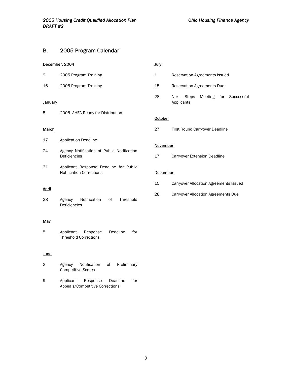#### <span id="page-9-0"></span>B. 2005 Program Calendar

#### December, 2004

16 2005 Program Training

#### **January**

5 2005 AHFA Ready for Distribution

#### **March**

- 17 Application Deadline
- 24 Agency Notification of Public Notification Deficiencies
- 31 Applicant Response Deadline for Public Notification Corrections

#### April

28 Agency Notification of Threshold Deficiencies

#### **May**

5 Applicant Response Deadline for Threshold Corrections

#### **June**

- 2 Agency Notification of Preliminary Competitive Scores
- 9 Applicant Response Deadline for Appeals/Competitive Corrections

#### July

| 1  | <b>Reservation Agreements Issued</b> |  |  |  |                                   |  |  |
|----|--------------------------------------|--|--|--|-----------------------------------|--|--|
| 15 | <b>Reservation Agreements Due</b>    |  |  |  |                                   |  |  |
| 28 | Applicants                           |  |  |  | Next Steps Meeting for Successful |  |  |

#### **October**

27 First Round Carryover Deadline

#### **November**

17 Carryover Extension Deadline

#### **December**

| 15 |  | Carryover Allocation Agreements Issued |  |
|----|--|----------------------------------------|--|
|    |  |                                        |  |

28 Carryover Allocation Agreements Due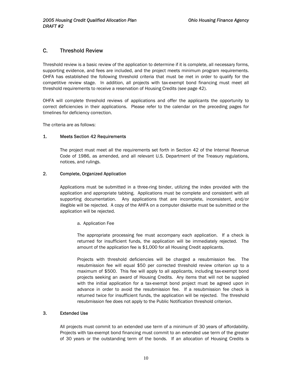#### <span id="page-10-0"></span>C. Threshold Review

Threshold review is a basic review of the application to determine if it is complete, all necessary forms, supporting evidence, and fees are included, and the project meets minimum program requirements. OHFA has established the following threshold criteria that must be met in order to qualify for the competitive review stage. In addition, all projects with tax-exempt bond financing must meet all threshold requirements to receive a reservation of Housing Credits (see page 42).

OHFA will complete threshold reviews of applications and offer the applicants the opportunity to correct deficiencies in their applications. Please refer to the calendar on the preceding pages for timelines for deficiency correction.

The criteria are as follows:

#### 1. Meets Section 42 Requirements

The project must meet all the requirements set forth in Section 42 of the Internal Revenue Code of 1986, as amended, and all relevant U.S. Department of the Treasury regulations, notices, and rulings.

#### 2. Complete, Organized Application

Applications must be submitted in a three-ring binder, utilizing the index provided with the application and appropriate tabbing. Applications must be complete and consistent with all supporting documentation. Any applications that are incomplete, inconsistent, and/or illegible will be rejected. A copy of the AHFA on a computer diskette must be submitted or the application will be rejected.

#### a. Application Fee

The appropriate processing fee must accompany each application. If a check is returned for insufficient funds, the application will be immediately rejected. The amount of the application fee is \$1,000 for all Housing Credit applicants.

Projects with threshold deficiencies will be charged a resubmission fee. The resubmission fee will equal \$50 per corrected threshold review criterion up to a maximum of \$500. This fee will apply to all applicants, including tax-exempt bond projects seeking an award of Housing Credits. Any items that will not be supplied with the initial application for a tax-exempt bond project must be agreed upon in advance in order to avoid the resubmission fee. If a resubmission fee check is returned twice for insufficient funds, the application will be rejected. The threshold resubmission fee does not apply to the Public Notification threshold criterion.

#### 3. Extended Use

All projects must commit to an extended use term of a minimum of 30 years of affordability. Projects with tax-exempt bond financing must commit to an extended use term of the greater of 30 years or the outstanding term of the bonds. If an allocation of Housing Credits is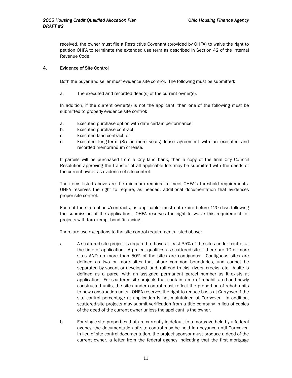<span id="page-11-0"></span>received, the owner must file a Restrictive Covenant (provided by OHFA) to waive the right to petition OHFA to terminate the extended use term as described in Section 42 of the Internal Revenue Code.

#### 4. Evidence of Site Control

Both the buyer and seller must evidence site control. The following must be submitted:

a. The executed and recorded deed(s) of the current owner(s).

In addition, if the current owner(s) is not the applicant, then one of the following must be submitted to properly evidence site control:

- a. Executed purchase option with date certain performance;
- b. Executed purchase contract;
- c. Executed land contract; or
- d. Executed long-term (35 or more years) lease agreement with an executed and recorded memorandum of lease.

If parcels will be purchased from a City land bank, then a copy of the final City Council Resolution approving the transfer of all applicable lots may be submitted with the deeds of the current owner as evidence of site control.

The items listed above are the minimum required to meet OHFA's threshold requirements. OHFA reserves the right to require, as needed, additional documentation that evidences proper site control.

Each of the site options/contracts, as applicable, must not expire before 120 days following the submission of the application. OHFA reserves the right to waive this requirement for projects with tax-exempt bond financing.

There are two exceptions to the site control requirements listed above:

- a. A scattered-site project is required to have at least 35% of the sites under control at the time of application. A project qualifies as scattered-site if there are 10 or more sites AND no more than 50% of the sites are contiguous. Contiguous sites are defined as two or more sites that share common boundaries, and cannot be separated by vacant or developed land, railroad tracks, rivers, creeks, etc. A site is defined as a parcel with an assigned permanent parcel number as it exists at application. For scattered-site projects that contain a mix of rehabilitated and newly constructed units, the sites under control must reflect the proportion of rehab units to new construction units. OHFA reserves the right to reduce basis at Carryover if the site control percentage at application is not maintained at Carryover. In addition, scattered-site projects may submit verification from a title company in lieu of copies of the deed of the current owner unless the applicant is the owner.
- b. For single-site properties that are currently in default to a mortgage held by a federal agency, the documentation of site control may be held in abeyance until Carryover. In lieu of site control documentation, the project sponsor must produce a deed of the current owner, a letter from the federal agency indicating that the first mortgage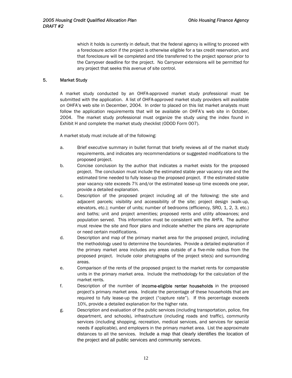<span id="page-12-0"></span>which it holds is currently in default, that the federal agency is willing to proceed with a foreclosure action if the project is otherwise eligible for a tax credit reservation, and that foreclosure will be completed and title transferred to the project sponsor prior to the Carryover deadline for the project. No Carryover extensions will be permitted for any project that seeks this avenue of site control.

#### 5. Market Study

A market study conducted by an OHFA-approved market study professional must be submitted with the application. A list of OHFA-approved market study providers will available on OHFA's web site in December, 2004. In order to placed on this list market analysts must follow the application requirements that will be available on OHFA's web site in October, 2004. The market study professional must organize the study using the index found in Exhibit H and complete the market study checklist (ODOD Form 007).

A market study must include all of the following:

- a. Brief executive summary in bullet format that briefly reviews all of the market study requirements, and indicates any recommendations or suggested modifications to the proposed project.
- b. Concise conclusion by the author that indicates a market exists for the proposed project. The conclusion must include the estimated stable year vacancy rate and the estimated time needed to fully lease-up the proposed project. If the estimated stable year vacancy rate exceeds 7% and/or the estimated lease-up time exceeds one year, provide a detailed explanation.
- c. Description of the proposed project including all of the following: the site and adjacent parcels; visibility and accessibility of the site; project design (walk-up, elevators, etc.); number of units; number of bedrooms (efficiency, SRO, 1, 2, 3, etc.) and baths; unit and project amenities; proposed rents and utility allowances; and population served. This information must be consistent with the AHFA. The author must review the site and floor plans and indicate whether the plans are appropriate or need certain modifications.
- d. Description and map of the primary market area for the proposed project, including the methodology used to determine the boundaries. Provide a detailed explanation if the primary market area includes any areas outside of a five-mile radius from the proposed project. Include color photographs of the project site(s) and surrounding areas.
- e. Comparison of the rents of the proposed project to the market rents for comparable units in the primary market area. Include the methodology for the calculation of the market rents.
- f. Description of the number of income-eligible renter households in the proposed project's primary market area. Indicate the percentage of these households that are required to fully lease-up the project ("capture rate"). If this percentage exceeds 10%, provide a detailed explanation for the higher rate.
- g. Description and evaluation of the public services (including transportation, police, fire department, and schools), infrastructure (including roads and traffic), community services (including shopping, recreation, medical services, and services for special needs if applicable), and employers in the primary market area. List the approximate distances to all the services. Include a map that clearly identifies the location of the project and all public services and community services.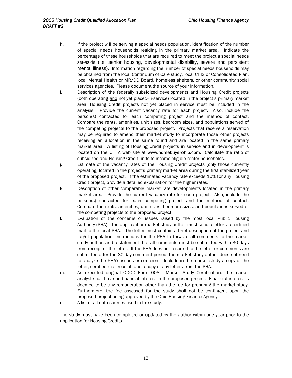- h. If the project will be serving a special needs population, identification of the number of special needs households residing in the primary market area. Indicate the percentage of these households that are required to meet the project's special needs set-aside (i.e. senior housing, developmental disability, severe and persistent mental illness). Information regarding the number of special needs households may be obtained from the local Continuum of Care study, local CHIS or Consolidated Plan, local Mental Health or MR/DD Board, homeless shelters, or other community social services agencies. Please document the source of your information.
- i. Description of the federally subsidized developments and Housing Credit projects (both operating and not yet placed-in-service) located in the project's primary market area. Housing Credit projects not yet placed in service must be included in the analysis. Provide the current vacancy rate for each project. Also, include the person(s) contacted for each competing project and the method of contact. Compare the rents, amenities, unit sizes, bedroom sizes, and populations served of the competing projects to the proposed project. Projects that receive a reservation may be required to amend their market study to incorporate those other projects receiving an allocation in the same round and are located in the same primary market area. A listing of Housing Credit projects in service and in development is located on the OHFA web site at www.homebuyerohio.com. Calculate the ratio of subsidized and Housing Credit units to income eligible renter households.
- j. Estimate of the vacancy rates of the Housing Credit projects (only those currently operating) located in the project's primary market area during the first stabilized year of the proposed project. If the estimated vacancy rate exceeds 10% for any Housing Credit project, provide a detailed explanation for the higher rates.
- k. Description of other comparable market rate developments located in the primary market area. Provide the current vacancy rate for each project. Also, include the person(s) contacted for each competing project and the method of contact. Compare the rents, amenities, unit sizes, bedroom sizes, and populations served of the competing projects to the proposed project.
- l. Evaluation of the concerns or issues raised by the most local Public Housing Authority (PHA). The applicant or market study author must send a letter via certified mail to the local PHA. The letter must contain a brief description of the project and target population, instructions for the PHA to forward all comments to the market study author, and a statement that all comments must be submitted within 30 days from receipt of the letter. If the PHA does not respond to the letter or comments are submitted after the 30-day comment period, the market study author does not need to analyze the PHA's issues or concerns. Include in the market study a copy of the letter, certified mail receipt, and a copy of any letters from the PHA.
- m. An executed original ODOD Form 008 Market Study Certification. The market analyst shall have no financial interest in the proposed project. Financial interest is deemed to be any remuneration other than the fee for preparing the market study. Furthermore, the fee assessed for the study shall not be contingent upon the proposed project being approved by the Ohio Housing Finance Agency.
- n. A list of all data sources used in the study.

The study must have been completed or updated by the author within one year prior to the application for Housing Credits.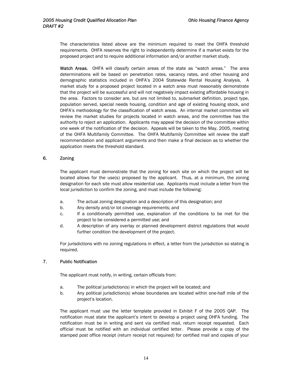<span id="page-14-0"></span>The characteristics listed above are the minimum required to meet the OHFA threshold requirements. OHFA reserves the right to independently determine if a market exists for the proposed project and to require additional information and/or another market study.

Watch Areas. OHFA will classify certain areas of the state as "watch areas." The area determinations will be based on penetration rates, vacancy rates, and other housing and demographic statistics included in OHFA's 2004 Statewide Rental Housing Analysis. A market study for a proposed project located in a watch area must reasonably demonstrate that the project will be successful and will not negatively impact existing affordable housing in the area. Factors to consider are, but are not limited to, submarket definition, project type, population served, special needs housing, condition and age of existing housing stock, and OHFA's methodology for the classification of watch areas. An internal market committee will review the market studies for projects located in watch areas, and the committee has the authority to reject an application. Applicants may appeal the decision of the committee within one week of the notification of the decision. Appeals will be taken to the May, 2005, meeting of the OHFA Multifamily Committee. The OHFA Multifamily Committee will review the staff recommendation and applicant arguments and then make a final decision as to whether the application meets the threshold standard.

#### 6. Zoning

The applicant must demonstrate that the zoning for each site on which the project will be located allows for the use(s) proposed by the applicant. Thus, at a minimum, the zoning designation for each site must allow residential use. Applicants must include a letter from the local jurisdiction to confirm the zoning, and must include the following:

- a. The actual zoning designation and a description of this designation; and
- b. Any density and/or lot coverage requirements; and
- c. If a conditionally permitted use, explanation of the conditions to be met for the project to be considered a permitted use; and
- d. A description of any overlay or planned development district regulations that would further condition the development of the project.

For jurisdictions with no zoning regulations in effect, a letter from the jurisdiction so stating is required.

#### 7. Public Notification

The applicant must notify, in writing, certain officials from:

- a. The political jurisdiction(s) in which the project will be located; and
- b. Any political jurisdiction(s) whose boundaries are located within one-half mile of the project's location.

The applicant must use the letter template provided in Exhibit F of the 2005 QAP.The notification must state the applicant's intent to develop a project using OHFA funding. The notification must be in writing and sent via certified mail, return receipt requested. Each official must be notified with an individual certified letter. Please provide a copy of the stamped post office receipt (return receipt not required) for certified mail and copies of your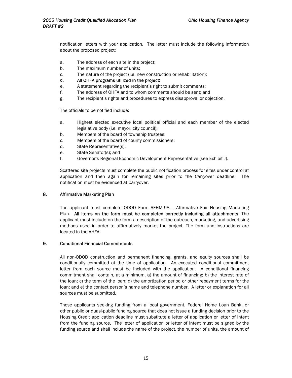<span id="page-15-0"></span>notification letters with your application. The letter must include the following information about the proposed project:

- a. The address of each site in the project;
- b. The maximum number of units;
- c. The nature of the project (i.e. new construction or rehabilitation);
- d. All OHFA programs utilized in the project;
- e. A statement regarding the recipient's right to submit comments;
- f. The address of OHFA and to whom comments should be sent; and
- g. The recipient's rights and procedures to express disapproval or objection.

The officials to be notified include:

- a. Highest elected executive local political official and each member of the elected legislative body (i.e. mayor, city council);
- b. Members of the board of township trustees;
- c. Members of the board of county commissioners;
- d. State Representative(s);
- e. State Senator(s); and
- f. Governor's Regional Economic Development Representative (see Exhibit J).

Scattered site projects must complete the public notification process for sites under control at application and then again for remaining sites prior to the Carryover deadline. The notification must be evidenced at Carryover.

#### 8. Affirmative Marketing Plan

The applicant must complete ODOD Form AFHM-98 -- Affirmative Fair Housing Marketing Plan. All items on the form must be completed correctly including all attachments. The applicant must include on the form a description of the outreach, marketing, and advertising methods used in order to affirmatively market the project. The form and instructions are located in the AHFA.

#### 9. Conditional Financial Commitments

All non-ODOD construction and permanent financing, grants, and equity sources shall be conditionally committed at the time of application. An executed conditional commitment letter from each source must be included with the application. A conditional financing commitment shall contain, at a minimum, a) the amount of financing; b) the interest rate of the loan; c) the term of the loan; d) the amortization period or other repayment terms for the loan; and e) the contact person's name and telephone number. A letter or explanation for all sources must be submitted.

Those applicants seeking funding from a local government, Federal Home Loan Bank, or other public or quasi-public funding source that does not issue a funding decision prior to the Housing Credit application deadline must substitute a letter of application or letter of intent from the funding source. The letter of application or letter of intent must be signed by the funding source and shall include the name of the project, the number of units, the amount of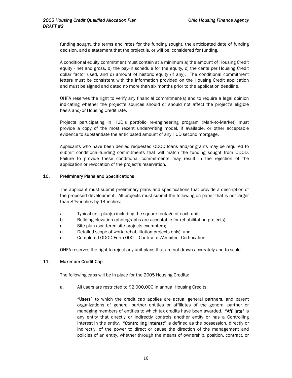<span id="page-16-0"></span>funding sought, the terms and rates for the funding sought, the anticipated date of funding decision, and a statement that the project is, or will be, considered for funding.

A conditional equity commitment must contain at a minimum a) the amount of Housing Credit equity - net and gross, b) the pay-in schedule for the equity, c) the cents per Housing Credit dollar factor used, and d) amount of historic equity (if any). The conditional commitment letters must be consistent with the information provided on the Housing Credit application and must be signed and dated no more than six months prior to the application deadline.

OHFA reserves the right to verify any financial commitment(s) and to require a legal opinion indicating whether the project's sources should or should not affect the project's eligible basis and/or Housing Credit rate.

Projects participating in HUD's portfolio re-engineering program (Mark-to-Market) must provide a copy of the most recent underwriting model, if available, or other acceptable evidence to substantiate the anticipated amount of any HUD second mortgage.

Applicants who have been denied requested ODOD loans and/or grants may be required to submit conditional-funding commitments that will match the funding sought from ODOD. Failure to provide these conditional commitments may result in the rejection of the application or revocation of the project's reservation.

#### 10. Preliminary Plans and Specifications

The applicant must submit preliminary plans and specifications that provide a description of the proposed development. All projects must submit the following on paper that is not larger than 8 ½ inches by 14 inches:

- a. Typical unit plan(s) including the square footage of each unit;
- b. Building elevation (photographs are acceptable for rehabilitation projects);
- c. Site plan (scattered site projects exempted);
- d. Detailed scope of work (rehabilitation projects only); and
- e. Completed ODOD Form 000 Contractor/Architect Certification.

OHFA reserves the right to reject any unit plans that are not drawn accurately and to scale.

#### 11. Maximum Credit Cap

The following caps will be in place for the 2005 Housing Credits:

a. All users are restricted to \$2,000,000 in annual Housing Credits.

"Users" to which the credit cap applies are actual general partners, and parent organizations of general partner entities or affiliates of the general partner or managing members of entities to which tax credits have been awarded. "Affiliate" is any entity that directly or indirectly controls another entity or has a Controlling Interest in the entity. "Controlling Interest" is defined as the possession, directly or indirectly, of the power to direct or cause the direction of the management and policies of an entity, whether through the means of ownership, position, contract, or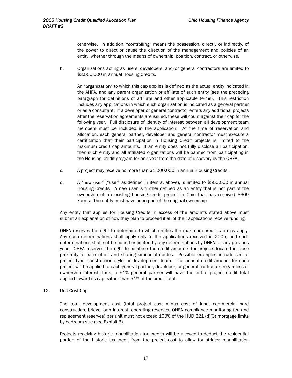<span id="page-17-0"></span>otherwise. In addition, "controlling" means the possession, directly or indirectly, of the power to direct or cause the direction of the management and policies of an entity, whether through the means of ownership, position, contract, or otherwise.

b. Organizations acting as users, developers, and/or general contractors are limited to \$3,500,000 in annual Housing Credits.

An "organization" to which this cap applies is defined as the actual entity indicated in the AHFA, and any parent organization or affiliate of such entity (see the preceding paragraph for definitions of affiliate and other applicable terms). This restriction includes any applications in which such organization is indicated as a general partner or as a consultant. If a developer or general contractor enters any additional projects after the reservation agreements are issued, these will count against their cap for the following year. Full disclosure of identity of interest between all development team members must be included in the application. At the time of reservation and allocation, each general partner, developer and general contractor must execute a certification that their participation in Housing Credit projects is limited to the maximum credit cap amounts. If an entity does not fully disclose all participation, then such entity and all affiliated organizations will be banned from participating in the Housing Credit program for one year from the date of discovery by the OHFA.

- c. A project may receive no more than \$1,000,000 in annual Housing Credits.
- d. A "new user" ("user" as defined in item a. above), is limited to \$500,000 in annual Housing Credits. A new user is further defined as an entity that is not part of the ownership of an existing housing credit project in Ohio that has received 8609 Forms. The entity must have been part of the original ownership.

Any entity that applies for Housing Credits in excess of the amounts stated above must submit an explanation of how they plan to proceed if all of their applications receive funding.

OHFA reserves the right to determine to which entities the maximum credit cap may apply. Any such determinations shall apply only to the applications received in 2005, and such determinations shall not be bound or limited by any determinations by OHFA for any previous year. OHFA reserves the right to combine the credit amounts for projects located in close proximity to each other and sharing similar attributes. Possible examples include similar project type, construction style, or development team. The annual credit amount for each project will be applied to each general partner, developer, or general contractor, regardless of ownership interest; thus, a 51% general partner will have the entire project credit total applied toward its cap, rather than 51% of the credit total.

#### 12. Unit Cost Cap

The total development cost (total project cost minus cost of land, commercial hard construction, bridge loan interest, operating reserves, OHFA compliance monitoring fee and replacement reserves) per unit must not exceed 100% of the HUD 221 (d)(3) mortgage limits by bedroom size (see Exhibit B).

Projects receiving historic rehabilitation tax credits will be allowed to deduct the residential portion of the historic tax credit from the project cost to allow for stricter rehabilitation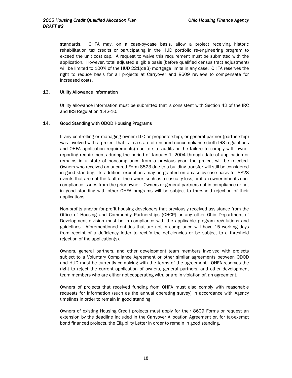<span id="page-18-0"></span>standards. OHFA may, on a case-by-case basis, allow a project receiving historic rehabilitation tax credits or participating in the HUD portfolio re-engineering program to exceed the unit cost cap. A request to waive this requirement must be submitted with the application. However, total adjusted eligible basis (before qualified census tract adjustment) will be limited to 100% of the HUD 221(d)(3) mortgage limits in any case. OHFA reserves the right to reduce basis for all projects at Carryover and 8609 reviews to compensate for increased costs.

#### 13. Utility Allowance Information

Utility allowance information must be submitted that is consistent with Section 42 of the IRC and IRS Regulation 1.42-10.

#### 14. Good Standing with ODOD Housing Programs

If any controlling or managing owner (LLC or proprietorship), or general partner (partnership) was involved with a project that is in a state of uncured noncompliance (both IRS regulations and OHFA application requirements) due to site audits or the failure to comply with owner reporting requirements during the period of January 1, 2004 through date of applicationor remains in a state of noncompliance from a previous year, the project will be rejected. Owners who received an uncured Form 8823 due to a building transfer will still be considered in good standing. In addition, exceptions may be granted on a case-by-case basis for 8823 events that are not the fault of the owner, such as a casualty loss, or if an owner inherits noncompliance issues from the prior owner. Owners or general partners not in compliance or not in good standing with other OHFA programs will be subject to threshold rejection of their applications.

Non-profits and/or for-profit housing developers that previously received assistance from the Office of Housing and Community Partnerships (OHCP) or any other Ohio Department of Development division must be in compliance with the applicable program regulations and guidelines. Aforementioned entities that are not in compliance will have 15 working days from receipt of a deficiency letter to rectify the deficiencies or be subject to a threshold rejection of the application(s).

Owners, general partners, and other development team members involved with projects subject to a Voluntary Compliance Agreement or other similar agreements between ODOD and HUD must be currently complying with the terms of the agreement. OHFA reserves the right to reject the current application of owners, general partners, and other development team members who are either not cooperating with, or are in violation of, an agreement.

Owners of projects that received funding from OHFA must also comply with reasonable requests for information (such as the annual operating survey) in accordance with Agency timelines in order to remain in good standing.

Owners of existing Housing Credit projects must apply for their 8609 Forms or request an extension by the deadline included in the Carryover Allocation Agreement or, for tax-exempt bond financed projects, the Eligibility Letter in order to remain in good standing.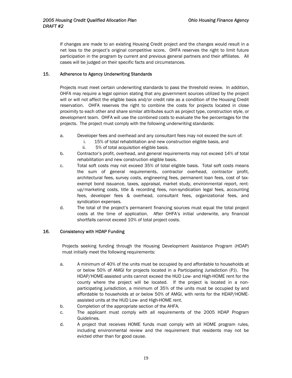<span id="page-19-0"></span>If changes are made to an existing Housing Credit project and the changes would result in a net loss to the project's original competitive score, OHFA reserves the right to limit future participation in the program by current and previous general partners and their affiliates. All cases will be judged on their specific facts and circumstances.

#### 15. Adherence to Agency Underwriting Standards

Projects must meet certain underwriting standards to pass the threshold review. In addition, OHFA may require a legal opinion stating that any government sources utilized by the project will or will not affect the eligible basis and/or credit rate as a condition of the Housing Credit reservation. OHFA reserves the right to combine the costs for projects located in close proximity to each other and share similar attributes such as project type, construction style, or development team. OHFA will use the combined costs to evaluate the fee percentages for the projects. The project must comply with the following underwriting standards:

- a. Developer fees and overhead and any consultant fees may not exceed the sum of:
	- i. 15% of total rehabilitation and new construction eligible basis, and
		- ii. 5% of total acquisition eligible basis.
- b. Contractor's profit, overhead, and general requirements may not exceed 14% of total rehabilitation and new construction eligible basis.
- c. Total soft costs may not exceed 35% of total eligible basis. Total soft costs means the sum of general requirements, contractor overhead, contractor profit, architectural fees, survey costs, engineering fees, permanent loan fees, cost of taxexempt bond issuance, taxes, appraisal, market study, environmental report, rentup/marketing costs, title & recording fees, non-syndication legal fees, accounting fees, developer fees & overhead, consultant fees, organizational fees, and syndication expenses.
- d. The total of the project's permanent financing sources must equal the total project costs at the time of application. After OHFA's initial underwrite, any financial shortfalls cannot exceed 10% of total project costs.

#### 16*.* Consistency with HDAP Funding

Projects seeking funding through the Housing Development Assistance Program (HDAP) must initially meet the following requirements:

- a. A minimum of 40% of the units must be occupied by and affordable to households at or below 50% of AMGI for projects located in a Participating Jurisdiction (PJ). The HDAP/HOME-assisted units cannot exceed the HUD Low- and High-HOME rent for the county where the project will be located. If the project is located in a nonparticipating jurisdiction, a minimum of 35% of the units must be occupied by and affordable to households at or below 50% of AMGI, with rents for the HDAP/HOMEassisted units at the HUD Low- and High-HOME rent.
- b. Completion of the appropriate section of the AHFA.
- c. The applicant must comply with all requirements of the 2005 HDAP Program Guidelines.
- d. A project that receives HOME funds must comply with all HOME program rules, including environmental review and the requirement that residents may not be evicted other than for good cause.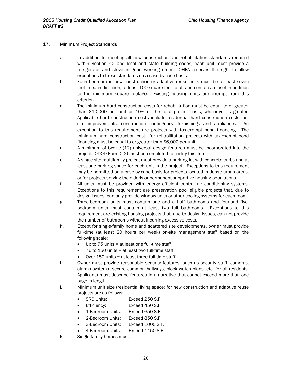#### <span id="page-20-0"></span>17. Minimum Project Standards

- a. In addition to meeting all new construction and rehabilitation standards required within Section 42 and local and state building codes, each unit must provide a refrigerator and stove in good working order. OHFA reserves the right to allow exceptions to these standards on a case-by-case basis.
- b. Each bedroom in new construction or adaptive reuse units must be at least seven feet in each direction, at least 100 square feet total, and contain a closet in addition to the minimum square footage. Existing housing units are exempt from this criterion.
- c. The minimum hard construction costs for rehabilitation must be equal to or greater than \$10,000 per unit or 40% of the total project costs, whichever is greater. Applicable hard construction costs include residential hard construction costs, onsite improvements, construction contingency, furnishings and appliances. An exception to this requirement are projects with tax-exempt bond financing. The minimum hard construction cost for rehabilitation projects with tax-exempt bond financing must be equal to or greater than \$6,000 per unit.
- d. A minimum of twelve (12) universal design features must be incorporated into the project. ODOD Form 000 must be completed to certify this item.
- e. A single-site multifamily project must provide a parking lot with concrete curbs and at least one parking space for each unit in the project. Exceptions to this requirement may be permitted on a case-by-case basis for projects located in dense urban areas, or for projects serving the elderly or permanent supportive housing populations.
- f. All units must be provided with energy efficient central air conditioning systems. Exceptions to this requirement are preservation pool eligible projects that, due to design issues, can only provide window units or other cooling systems for each room.
- g. Three-bedroom units must contain one and a half bathrooms and four-and fivebedroom units must contain at least two full bathrooms. Exceptions to this requirement are existing housing projects that, due to design issues, can not provide the number of bathrooms without incurring excessive costs.
- h. Except for single-family home and scattered site developments, owner must provide full-time (at least 20 hours per week) on-site management staff based on the following scale:
	- $\bullet$  Up to 75 units = at least one full-time staff
	- 76 to 150 units = at least two full-time staff
	- Over 150 units = at least three full-time staff
- i. Owner must provide reasonable security features, such as security staff, cameras, alarms systems, secure common hallways, block watch plans, etc. for all residents. Applicants must describe features in a narrative that cannot exceed more than one page in length.
- j. Minimum unit size (residential living space) for new construction and adaptive reuse projects are as follows:
	- SRO Units: Exceed 250 S.F.
	- Efficiency: Exceed 450 S.F.
	- 1-Bedroom Units: Exceed 650 S.F.
	- 2-Bedroom Units: Exceed 850 S.F.
	- 3-Bedroom Units: Exceed 1000 S.F.
	- 4-Bedroom Units: Exceed 1150 S.F.
- k. Single family homes must: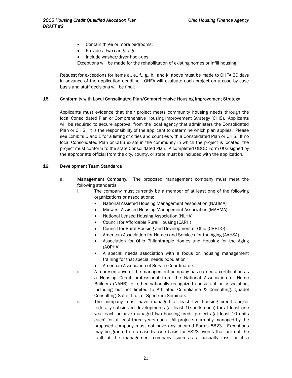- <span id="page-21-0"></span>• Contain three or more bedrooms;
- Provide a two-car garage;
- Include washer/dryer hook-ups.
- Exceptions will be made for the rehabilitation of existing homes or infill housing.

Request for exceptions for items a., e., f., g., h., and k. above must be made to OHFA 30 days in advance of the application deadline. OHFA will evaluate each project on a case by case basis and staff decisions will be final.

#### 18*.* Conformity with Local Consolidated Plan/Comprehensive Housing Improvement Strategy

Applicants must evidence that their project meets community housing needs through the local Consolidated Plan or Comprehensive Housing Improvement Strategy (CHIS). Applicants will be required to secure approval from the local agency that administers the Consolidated Plan or CHIS. It is the responsibility of the applicant to determine which plan applies. Please see Exhibits D and E for a listing of cities and counties with a Consolidated Plan or CHIS. If no local Consolidated Plan or CHIS exists in the community in which the project is located, the project must conform to the state Consolidated Plan. A completed ODOD Form 003 signed by the appropriate official from the city, county, or state must be included with the application.

#### 19*.* Development Team Standards

- a. Management Company. The proposed management company must meet the following standards:
	- i. The company must currently be a member of at least one of the following organizations or associations:
		- National Assisted Housing Management Association (NAHMA)
		- Midwest Assisted Housing Management Association (MAHMA)
		- National Leased Housing Association (NLHA)
		- Council for Affordable Rural Housing (CARH)
		- Council for Rural Housing and Development of Ohio (CRHDO)
		- American Association for Homes and Services for the Aging (AAHSA)
		- Association for Ohio Philanthropic Homes and Housing for the Aging (AOPHA)
		- A special needs association with a focus on housing management training for that special needs population
		- American Association of Service Coordinators
	- ii. A representative of the management company has earned a certification as a Housing Credit professional from the National Association of Home Builders (NAHB), or other nationally recognized consultant or association, including but not limited to Affiliated Compliance & Consulting, Quadel Consulting, Salter Ltd., or Spectrum Seminars.
	- iii. The company must have managed at least five housing credit and/or federally subsidized developments (at least 10 units each) for at least one year each or have managed two housing credit projects (at least 10 units each) for at least three years each. All projects currently managed by the proposed company must not have any uncured Forms 8823. Exceptions may be granted on a case-by-case basis for 8823 events that are not the fault of the management company, such as a casualty loss, or if a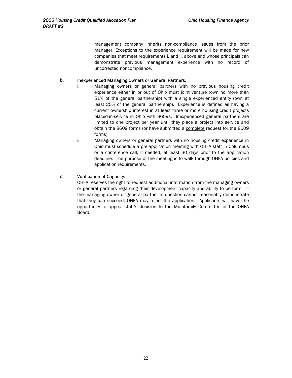management company inherits non-compliance issues from the prior manager. Exceptions to the experience requirement will be made for new companies that meet requirements i. and ii. above and whose principals can demonstrate previous management experience with no record of uncorrected noncompliance.

#### b. Inexperienced Managing Owners or General Partners.

- i. Managing owners or general partners with no previous housing credit experience either in or out of Ohio must joint venture (own no more than 51% of the general partnership) with a single experienced entity (own at least 25% of the general partnership). Experience is defined as having a current ownership interest in at least three or more housing credit projects placed-in-service in Ohio with 8609s. Inexperienced general partners are limited to one project per year until they place a project into service and obtain the 8609 forms (or have submitted a complete request for the 8609 forms).
- ii. Managing owners or general partners with no housing credit experience in Ohio must schedule a pre-application meeting with OHFA staff in Columbus or a conference call, if needed, at least 30 days prior to the application deadline. The purpose of the meeting is to walk through OHFA policies and application requirements.

#### c. Verification of Capacity.

OHFA reserves the right to request additional information from the managing owners or general partners regarding their development capacity and ability to perform. If the managing owner or general partner in question cannot reasonably demonstrate that they can succeed, OHFA may reject the application. Applicants will have the opportunity to appeal staff's decision to the Multifamily Committee of the OHFA Board.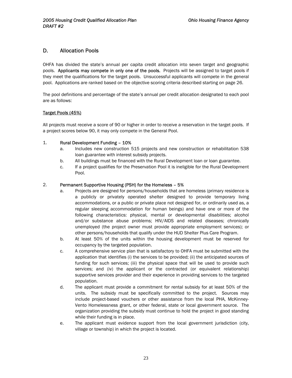#### <span id="page-23-0"></span>D. Allocation Pools

OHFA has divided the state's annual per capita credit allocation into seven target and geographic pools. Applicants may compete in only one of the pools. Projects will be assigned to target pools if they meet the qualifications for the target pools. Unsuccessful applicants will compete in the general pool. Applications are ranked based on the objective scoring criteria described starting on page 26.

The pool definitions and percentage of the state's annual per credit allocation designated to each pool are as follows:

#### Target Pools (45%)

All projects must receive a score of 90 or higher in order to receive a reservation in the target pools. If a project scores below 90, it may only compete in the General Pool.

#### 1. Rural Development Funding – 10%

- a. Includes new construction 515 projects and new construction or rehabilitation 538 loan guarantee with interest subsidy projects.
- b. All buildings must be financed with the Rural Development loan or loan guarantee.
- c. If a project qualifies for the Preservation Pool it is ineligible for the Rural Development Pool.

#### 2. Permanent Supportive Housing (PSH) for the Homeless – 5%

- a. Projects are designed for persons/households that are homeless (primary residence is a publicly or privately operated shelter designed to provide temporary living accommodations, or a public or private place not designed for, or ordinarily used as, a regular sleeping accommodation for human beings) and have one or more of the following characteristics: physical, mental or developmental disabilities; alcohol and/or substance abuse problems; HIV/AIDS and related diseases; chronically unemployed (the project owner must provide appropriate employment services); or other persons/households that qualify under the HUD Shelter Plus Care Program.
- b. At least 50% of the units within the housing development must be reserved for occupancy by the targeted population.
- c. A comprehensive service plan that is satisfactory to OHFA must be submitted with the application that identifies (i) the services to be provided; (ii) the anticipated sources of funding for such services; (iii) the physical space that will be used to provide such services; and (iv) the applicant or the contracted (or equivalent relationship) supportive services provider and their experience in providing services to the targeted population.
- d. The applicant must provide a commitment for rental subsidy for at least 50% of the units. The subsidy must be specifically committed to the project. Sources may include project-based vouchers or other assistance from the local PHA, McKinney-Vento Homelessness grant, or other federal, state or local government source. The organization providing the subsidy must continue to hold the project in good standing while their funding is in place.
- e. The applicant must evidence support from the local government jurisdiction (city, village or township) in which the project is located.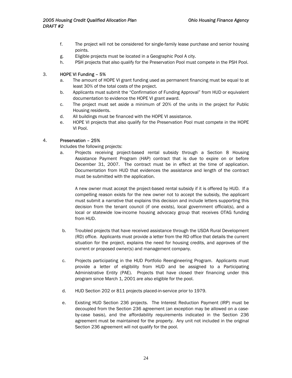- f. The project will not be considered for single-family lease purchase and senior housing points.
- g. Eligible projects must be located in a Geographic Pool A city.
- h. PSH projects that also qualify for the Preservation Pool must compete in the PSH Pool.

#### 3. HOPE VI Funding – 5%

- a. The amount of HOPE VI grant funding used as permanent financing must be equal to at least 30% of the total costs of the project.
- b. Applicants must submit the "Confirmation of Funding Approval" from HUD or equivalent documentation to evidence the HOPE VI grant award.
- c. The project must set aside a minimum of 20% of the units in the project for Public Housing residents.
- d. All buildings must be financed with the HOPE VI assistance.
- e. HOPE VI projects that also qualify for the Preservation Pool must compete in the HOPE VI Pool.

#### 4. Preservation – 25%

Includes the following projects:

a. Projects receiving project-based rental subsidy through a Section 8 Housing Assistance Payment Program (HAP) contract that is due to expire on or before December 31, 2007. The contract must be in effect at the time of application. Documentation from HUD that evidences the assistance and length of the contract must be submitted with the application.

A new owner must accept the project-based rental subsidy if it is offered by HUD. If a compelling reason exists for the new owner not to accept the subsidy, the applicant must submit a narrative that explains this decision and include letters supporting this decision from the tenant council (if one exists), local government official(s), and a local or statewide low-income housing advocacy group that receives OTAG funding from HUD.

- b. Troubled projects that have received assistance through the USDA Rural Development (RD) office. Applicants must provide a letter from the RD office that details the current situation for the project, explains the need for housing credits, and approves of the current or proposed owner(s) and management company.
- c. Projects participating in the HUD Portfolio Reengineering Program. Applicants must provide a letter of eligibility from HUD and be assigned to a Participating Administrative Entity (PAE). Projects that have closed their financing under this program since March 1, 2001 are also eligible for the pool.
- d. HUD Section 202 or 811 projects placed-in-service prior to 1979.
- e. Existing HUD Section 236 projects. The Interest Reduction Payment (IRP) must be decoupled from the Section 236 agreement (an exception may be allowed on a caseby-case basis), and the affordability requirements indicated in the Section 236 agreement must be maintained for the property. Any unit not included in the original Section 236 agreement will not qualify for the pool.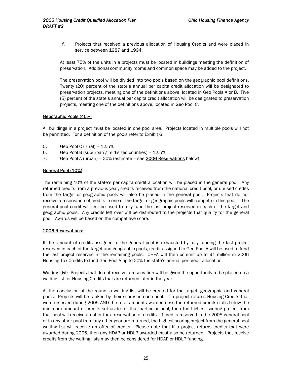f. Projects that received a previous allocation of Housing Credits and were placed in service between 1987 and 1994.

At least 75% of the units in a projects must be located in buildings meeting the definition of preservation. Additional community rooms and common space may be added to the project.

The preservation pool will be divided into two pools based on the geographic pool definitions. Twenty (20) percent of the state's annual per capita credit allocation will be designated to preservation projects, meeting one of the definitions above, located in Geo Pools A or B. Five (5) percent of the state's annual per capita credit allocation will be designated to preservation projects, meeting one of the definitions above, located in Geo Pool C.

#### Geographic Pools (45%)

All buildings in a project must be located in one pool area. Projects located in multiple pools will not be permitted. For a definition of the pools refer to Exhibit G.

- 5. Geo Pool C (rural) 12.5%
- 6. Geo Pool B (suburban / mid-sized counties) 12.5%
- 7. Geo Pool A (urban) 20% (estimate see 2006 Reservations below)

#### General Pool (10%)

The remaining 10% of the state's per capita credit allocation will be placed in the general pool. Any returned credits from a previous year, credits received from the national credit pool, or unused credits from the target or geographic pools will also be placed in the general pool. Projects that do not receive a reservation of credits in one of the target or geographic pools will compete in this pool. The general pool credit will first be used to fully fund the last project reserved in each of the target and geographic pools. Any credits left over will be distributed to the projects that qualify for the general pool. Awards will be based on the competitive score.

#### 2006 Reservations:

If the amount of credits assigned to the general pool is exhausted by fully funding the last project reserved in each of the target and geographic pools, credit assigned to Geo Pool A will be used to fund the last project reserved in the remaining pools. OHFA will then commit up to \$1 million in 2006 Housing Tax Credits to fund Geo Pool A up to 20% the state's annual per credit allocation.

Waiting List: Projects that do not receive a reservation will be given the opportunity to be placed on a waiting list for Housing Credits that are returned later in the year.

At the conclusion of the round, a waiting list will be created for the target, geographic and general pools. Projects will be ranked by their scores in each pool. If a project returns Housing Credits that were reserved during 2005 AND the total amount awarded (less the returned credits) falls below the minimum amount of credits set aside for that particular pool, then the highest scoring project from that pool will receive an offer for a reservation of credits. If credits reserved in the 2005 general pool or in any other pool from any other year are returned, the highest scoring project from the general pool waiting list will receive an offer of credits. Please note that if a project returns credits that were awarded during 2005, then any HDAP or HDLP awarded must also be returned. Projects that receive credits from the waiting lists may then be considered for HDAP or HDLP funding.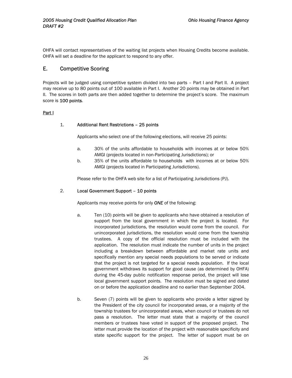<span id="page-26-0"></span>OHFA will contact representatives of the waiting list projects when Housing Credits become available. OHFA will set a deadline for the applicant to respond to any offer.

#### E. Competitive Scoring

Projects will be judged using competitive system divided into two parts – Part I and Part II. A project may receive up to 80 points out of 100 available in Part I. Another 20 points may be obtained in Part II. The scores in both parts are then added together to determine the project's score. The maximum score is 100 points.

#### Part I

#### 1. Additional Rent Restrictions – 25 points

Applicants who select one of the following elections, will receive 25 points:

- a. 30% of the units affordable to households with incomes at or below 50% AMGI (projects located in non-Participating Jurisdictions); or
- b. 35% of the units affordable to households with incomes at or below 50% AMGI (projects located in Participating Jurisdictions).

Please refer to the OHFA web site for a list of Participating Jurisdictions (PJ).

#### 2. Local Government Support – 10 points

Applicants may receive points for only *ONE* of the following:

- a. Ten (10) points will be given to applicants who have obtained a resolution of support from the local government in which the project is located. For incorporated jurisdictions, the resolution would come from the council. For unincorporated jurisdictions, the resolution would come from the township trustees. A copy of the official resolution must be included with the application. The resolution must indicate the number of units in the project including a breakdown between affordable and market rate units and specifically mention any special needs populations to be served or indicate that the project is not targeted for a special needs population. If the local government withdraws its support for good cause (as determined by OHFA) during the 45-day public notification response period, the project will lose local government support points. The resolution must be signed and dated on or before the application deadline and no earlier than September 2004.
- b. Seven (7) points will be given to applicants who provide a letter signed by the President of the city council for incorporated areas, or a majority of the township trustees for unincorporated areas, when council or trustees do not pass a resolution. The letter must state that a majority of the council members or trustees have voted in support of the proposed project. The letter must provide the location of the project with reasonable specificity and state specific support for the project. The letter of support must be on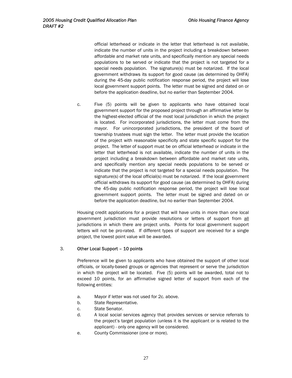official letterhead or indicate in the letter that letterhead is not available, indicate the number of units in the project including a breakdown between affordable and market rate units, and specifically mention any special needs populations to be served or indicate that the project is not targeted for a special needs population. The signature(s) must be notarized. If the local government withdraws its support for good cause (as determined by OHFA) during the 45-day public notification response period, the project will lose local government support points. The letter must be signed and dated on or before the application deadline, but no earlier than September 2004.

c. Five (5) points will be given to applicants who have obtained local government support for the proposed project through an affirmative letter by the highest-elected official of the most local jurisdiction in which the project is located. For incorporated jurisdictions, the letter must come from the mayor. For unincorporated jurisdictions, the president of the board of township trustees must sign the letter. The letter must provide the location of the project with reasonable specificity and state specific support for the project. The letter of support must be on official letterhead or indicate in the letter that letterhead is not available, indicate the number of units in the project including a breakdown between affordable and market rate units, and specifically mention any special needs populations to be served or indicate that the project is not targeted for a special needs population. The signature(s) of the local official(s) must be notarized. If the local government official withdraws its support for good cause (as determined by OHFA) during the 45-day public notification response period, the project will lose local government support points. The letter must be signed and dated on or before the application deadline, but no earlier than September 2004.

Housing credit applications for a project that will have units in more than one local government jurisdiction must provide resolutions or letters of support from all jurisdictions in which there are project units. Points for local government support letters will not be pro-rated. If different types of support are received for a single project, the lowest point value will be awarded.

#### 3. Other Local Support – 10 points

Preference will be given to applicants who have obtained the support of other local officials, or locally-based groups or agencies that represent or serve the jurisdiction in which the project will be located. Five (5) points will be awarded, total not to exceed 10 points, for an affirmative signed letter of support from each of the following entities:

- a. Mayor if letter was not used for 2c. above.
- b. State Representative.
- c. State Senator.
- d. A local social services agency that provides services or service referrals to the project's target population (unless it is the applicant or is related to the applicant) - only one agency will be considered.
- e. County Commissioner (one or more).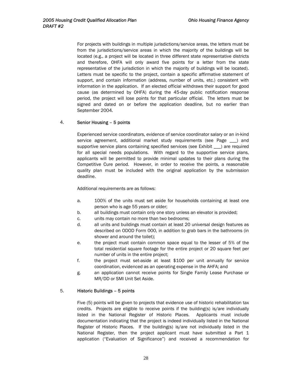For projects with buildings in multiple jurisdictions/service areas, the letters must be from the jurisdictions/service areas in which the majority of the buildings will be located (e.g., a project will be located in three different state representative districts and therefore, OHFA will only award five points for a letter from the state representative of the jurisdiction in which the majority of buildings will be located). Letters must be specific to the project, contain a specific affirmative statement of support, and contain information (address, number of units, etc.) consistent with information in the application. If an elected official withdraws their support for good cause (as determined by OHFA) during the 45-day public notification response period, the project will lose points for that particular official. The letters must be signed and dated on or before the application deadline, but no earlier than September 2004.

#### 4. Senior Housing – 5 points

Experienced service coordinators, evidence of service coordinator salary or an in-kind service agreement, additional market study requirements (see Page \_\_\_) and supportive service plans containing specified services (see Exhibit \_\_\_) are required for all special needs populations. With regard to the supportive service plans, applicants will be permitted to provide minimal updates to their plans during the Competitive Cure period. However, in order to receive the points, a reasonable quality plan must be included with the original application by the submission deadline.

Additional requirements are as follows:

- a. 100% of the units must set aside for households containing at least one person who is age 55 years or older;
- b. all buildings must contain only one story unless an elevator is provided;
- c. units may contain no more than two bedrooms;
- d. all units and buildings must contain at least 20 universal design features as described on ODOD Form 000, in addition to grab bars in the bathrooms (in shower and around the toilet);
- e. the project must contain common space equal to the lesser of 5% of the total residential square footage for the entire project or 20 square feet per number of units in the entire project;
- f. the project must set-aside at least \$100 per unit annually for service coordination, evidenced as an operating expense in the AHFA; and
- g. an application cannot receive points for Single Family Lease Purchase or MR/DD or SMI Unit Set Aside.

#### 5. Historic Buildings – 5 points

Five (5) points will be given to projects that evidence use of historic rehabilitation tax credits. Projects are eligible to receive points if the building(s) is/are individually listed in the National Register of Historic Places. Applicants must include documentation indicating that the project is indeed individually listed in the National Register of Historic Places. If the building(s) is/are not individually listed in the National Register, then the project applicant must have submitted a Part 1 application ("Evaluation of Significance") and received a recommendation for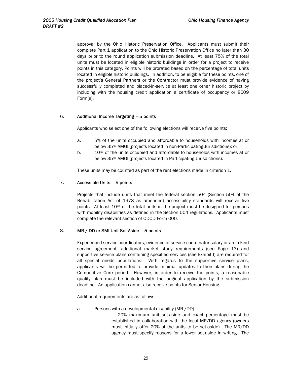approval by the Ohio Historic Preservation Office. Applicants must submit their complete Part 1 application to the Ohio Historic Preservation Office no later than 30 days prior to the round application submission deadline. At least 75% of the total units must be located in eligible historic buildings in order for a project to receive points in this category. Points will be prorated based on the percentage of total units located in eligible historic buildings. In addition, to be eligible for these points, one of the project's General Partners or the Contractor must provide evidence of having successfully completed and placed-in-service at least one other historic project by including with the housing credit application a certificate of occupancy or 8609 Form(s).

#### 6. Additional Income Targeting – 5 points

Applicants who select one of the following elections will receive five points:

- a. 5% of the units occupied and affordable to households with incomes at or below 35% AMGI (projects located in non-Participating Jurisdictions); or
- b. 10% of the units occupied and affordable to households with incomes at or below 35% AMGI (projects located in Participating Jurisdictions).

These units may be counted as part of the rent elections made in criterion 1.

#### 7. Accessible Units – 5 points

Projects that include units that meet the federal section 504 (Section 504 of the Rehabilitation Act of 1973 as amended) accessibility standards will receive five points. At least 10% of the total units in the project must be designed for persons with mobility disabilities as defined in the Section 504 regulations. Applicants must complete the relevant section of ODOD Form 000.

#### 8. MR / DD or SMI Unit Set-Aside – 5 points

Experienced service coordinators, evidence of service coordinator salary or an in-kind service agreement, additional market study requirements (see Page 13) and supportive service plans containing specified services (see Exhibit I) are required for all special needs populations. With regards to the supportive service plans, applicants will be permitted to provide minimal updates to their plans during the Competitive Cure period. However, in order to receive the points, a reasonable quality plan must be included with the original application by the submission deadline. An application cannot also receive points for Senior Housing.

Additional requirements are as follows:

- a. Persons with a developmental disability (MR /DD)
	- 20% maximum unit set-aside and exact percentage must be established in collaboration with the local MR/DD agency (owners must initially offer 20% of the units to be set-aside). The MR/DD agency must specify reasons for a lower set-aside in writing. The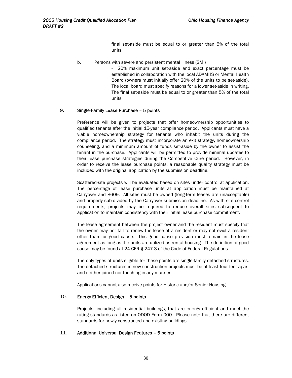final set-aside must be equal to or greater than 5% of the total units.

b. Persons with severe and persistent mental illness (SMI)

- 20% maximum unit set-aside and exact percentage must be established in collaboration with the local ADAMHS or Mental Health Board (owners must initially offer 20% of the units to be set-aside). The local board must specify reasons for a lower set-aside in writing. The final set-aside must be equal to or greater than 5% of the total units.

#### 9. Single-Family Lease Purchase – 5 points

Preference will be given to projects that offer homeownership opportunities to qualified tenants after the initial 15-year compliance period. Applicants must have a viable homeownership strategy for tenants who inhabit the units during the compliance period. The strategy must incorporate an exit strategy, homeownership counseling, and a minimum amount of funds set-aside by the owner to assist the tenant in the purchase. Applicants will be permitted to provide minimal updates to their lease purchase strategies during the Competitive Cure period. However, in order to receive the lease purchase points, a reasonable quality strategy must be included with the original application by the submission deadline.

Scattered-site projects will be evaluated based on sites under control at application. The percentage of lease purchase units at application must be maintained at Carryover and 8609. All sites must be owned (long-term leases are unacceptable) and properly sub-divided by the Carryover submission deadline. As with site control requirements, projects may be required to reduce overall sites subsequent to application to maintain consistency with their initial lease purchase commitment.

The lease agreement between the project owner and the resident must specify that the owner may not fail to renew the lease of a resident or may not evict a resident other than for good cause. This good cause provision must remain in the lease agreement as long as the units are utilized as rental housing. The definition of good cause may be found at 24 CFR § 247.3 of the Code of Federal Regulations.

The only types of units eligible for these points are single-family detached structures. The detached structures in new construction projects must be at least four feet apart and neither joined nor touching in any manner.

Applications cannot also receive points for Historic and/or Senior Housing.

#### 10. Energy Efficient Design – 5 points

Projects, including all residential buildings, that are energy efficient and meet the rating standards as listed on ODOD Form 000. Please note that there are different standards for newly constructed and existing buildings.

#### 11. Additional Universal Design Features – 5 points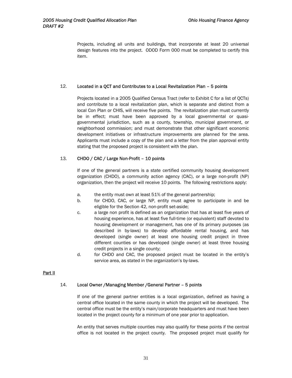Projects, including all units and buildings, that incorporate at least 20 universal design features into the project. ODOD Form 000 must be completed to certify this item.

#### 12. Located in a QCT and Contributes to a Local Revitalization Plan – 5 points

Projects located in a 2005 Qualified Census Tract (refer to Exhibit C for a list of QCTs) and contribute to a local revitalization plan, which is separate and distinct from a local Con Plan or CHIS, will receive five points. The revitalization plan must currently be in effect; must have been approved by a local governmental or quasigovernmental jurisdiction, such as a county, township, municipal government, or neighborhood commission; and must demonstrate that other significant economic development initiatives or infrastructure improvements are planned for the area. Applicants must include a copy of the plan and a letter from the plan approval entity stating that the proposed project is consistent with the plan.

#### 13. CHDO / CAC / Large Non-Profit – 10 points

If one of the general partners is a state certified community housing development organization (CHDO), a community action agency (CAC), or a large non-profit (NP) organization, then the project will receive 10 points. The following restrictions apply:

- a. the entity must own at least 51% of the general partnership;
- b. for CHDO, CAC, or large NP, entity must agree to participate in and be eligible for the Section 42, non-profit set-aside;
- c. a large non profit is defined as an organization that has at least five years of housing experience, has at least five full-time (or equivalent) staff devoted to housing development or management, has one of its primary purposes (as described in by-laws) to develop affordable rental housing, and has developed (single owner) at least one housing credit project in three different counties or has developed (single owner) at least three housing credit projects in a single county;
- d. for CHDO and CAC, the proposed project must be located in the entity's service area, as stated in the organization's by-laws.

#### Part II

#### 14. Local Owner /Managing Member /General Partner – 5 points

If one of the general partner entities is a local organization, defined as having a central office located in the same county in which the project will be developed. The central office must be the entity's main/corporate headquarters and must have been located in the project county for a minimum of one year prior to application.

An entity that serves multiple counties may also qualify for these points if the central office is not located in the project county. The proposed project must qualify for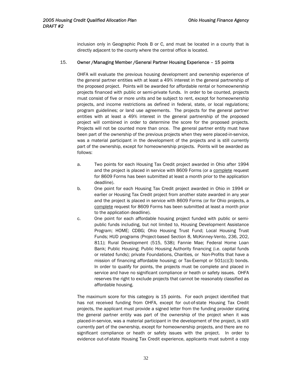inclusion only in Geographic Pools B or C, and must be located in a county that is directly adjacent to the county where the central office is located.

#### 15. Owner /Managing Member /General Partner Housing Experience – 15 points

OHFA will evaluate the previous housing development and ownership experience of the general partner entities with at least a 49% interest in the general partnership of the proposed project. Points will be awarded for affordable rental or homeownership projects financed with public or semi-private funds. In order to be counted, projects must consist of five or more units and be subject to rent, except for homeownership projects, and income restrictions as defined in federal, state, or local regulations; program guidelines; or land use agreements. The projects for the general partner entities with at least a 49% interest in the general partnership of the proposed project will combined in order to determine the score for the proposed projects. Projects will not be counted more than once. The general partner entity must have been part of the ownership of the previous projects when they were placed-in-service, was a material participant in the development of the projects and is still currently part of the ownership, except for homeownership projects. Points will be awarded as follows:

- a. Two points for each Housing Tax Credit project awarded in Ohio after 1994 and the project is placed in service with 8609 Forms (or a complete request for 8609 Forms has been submitted at least a month prior to the application deadline).
- b. One point for each Housing Tax Credit project awarded in Ohio in 1994 or earlier or Housing Tax Credit project from another state awarded in any year and the project is placed in service with 8609 Forms (or for Ohio projects, a complete request for 8609 Forms has been submitted at least a month prior to the application deadline).
- c. One point for each affordable housing project funded with public or semipublic funds including, but not limited to, Housing Development Assistance Program; HOME; CDBG; Ohio Housing Trust Fund; Local Housing Trust Funds; HUD programs (Project-based Section 8, McKinney-Vento, 236, 202, 811); Rural Development (515, 538); Fannie Mae; Federal Home Loan Bank; Public Housing; Public Housing Authority financing (i.e. capital funds or related funds); private Foundations, Charities, or Non-Profits that have a mission of financing affordable housing; or Tax-Exempt or 501(c)(3) bonds. In order to qualify for points, the projects must be complete and placed in service and have no significant compliance or heath or safety issues. OHFA reserves the right to exclude projects that cannot be reasonably classified as affordable housing.

The maximum score for this category is 15 points. For each project identified that has not received funding from OHFA, except for out-of-state Housing Tax Credit projects, the applicant must provide a signed letter from the funding provider stating the general partner entity was part of the ownership of the project when it was placed-in-service, was a material participant in the development of the project, is still currently part of the ownership, except for homeownership projects, and there are no significant compliance or heath or safety issues with the project. In order to evidence out-of-state Housing Tax Credit experience, applicants must submit a copy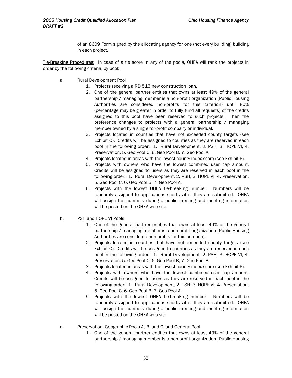of an 8609 Form signed by the allocating agency for one (not every building) building in each project.

Tie-Breaking Procedures: In case of a tie score in any of the pools, OHFA will rank the projects in order by the following criteria, by pool:

- a. Rural Development Pool
	- 1. Projects receiving a RD 515 new construction loan.
	- 2. One of the general partner entities that owns at least 49% of the general partnership / managing member is a non-profit organization (Public Housing Authorities are considered non-profits for this criterion) until 80% (percentage may be greater in order to fully fund all requests) of the credits assigned to this pool have been reserved to such projects. Then the preference changes to projects with a general partnership / managing member owned by a single for-profit company or individual.
	- 3. Projects located in counties that have not exceeded county targets (see Exhibit O). Credits will be assigned to counties as they are reserved in each pool in the following order: 1. Rural Development, 2. PSH, 3. HOPE VI, 4. Preservation, 5. Geo Pool C, 6. Geo Pool B, 7. Geo Pool A.
	- 4. Projects located in areas with the lowest county index score (see Exhibit P).
	- 5. Projects with owners who have the lowest combined user cap amount. Credits will be assigned to users as they are reserved in each pool in the following order: 1. Rural Development, 2. PSH, 3. HOPE VI, 4. Preservation, 5. Geo Pool C, 6. Geo Pool B, 7. Geo Pool A.
	- 6. Projects with the lowest OHFA tie-breaking number. Numbers will be randomly assigned to applications shortly after they are submitted. OHFA will assign the numbers during a public meeting and meeting information will be posted on the OHFA web site.
- b. PSH and HOPE VI Pools
	- 1. One of the general partner entities that owns at least 49% of the general partnership / managing member is a non-profit organization (Public Housing Authorities are considered non-profits for this criterion).
	- 2. Projects located in counties that have not exceeded county targets (see Exhibit O). Credits will be assigned to counties as they are reserved in each pool in the following order: 1. Rural Development, 2. PSH, 3. HOPE VI, 4. Preservation, 5. Geo Pool C, 6. Geo Pool B, 7. Geo Pool A.
	- 3. Projects located in areas with the lowest county index score (see Exhibit P).
	- 4. Projects with owners who have the lowest combined user cap amount. Credits will be assigned to users as they are reserved in each pool in the following order: 1. Rural Development, 2. PSH, 3. HOPE VI, 4. Preservation, 5. Geo Pool C, 6. Geo Pool B, 7. Geo Pool A.
	- 5. Projects with the lowest OHFA tie-breaking number. Numbers will be randomly assigned to applications shortly after they are submitted. OHFA will assign the numbers during a public meeting and meeting information will be posted on the OHFA web site.
- c. Preservation, Geographic Pools A, B, and C, and General Pool
	- 1. One of the general partner entities that owns at least 49% of the general partnership / managing member is a non-profit organization (Public Housing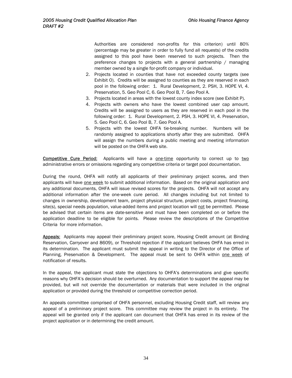Authorities are considered non-profits for this criterion) until 80% (percentage may be greater in order to fully fund all requests) of the credits assigned to this pool have been reserved to such projects. Then the preference changes to projects with a general partnership / managing member owned by a single for-profit company or individual.

- 2. Projects located in counties that have not exceeded county targets (see Exhibit O). Credits will be assigned to counties as they are reserved in each pool in the following order: 1. Rural Development, 2. PSH, 3. HOPE VI, 4. Preservation, 5. Geo Pool C, 6. Geo Pool B, 7. Geo Pool A.
- 3. Projects located in areas with the lowest county index score (see Exhibit P).
- 4. Projects with owners who have the lowest combined user cap amount. Credits will be assigned to users as they are reserved in each pool in the following order: 1. Rural Development, 2. PSH, 3. HOPE VI, 4. Preservation, 5. Geo Pool C, 6. Geo Pool B, 7. Geo Pool A.
- 5. Projects with the lowest OHFA tie-breaking number. Numbers will be randomly assigned to applications shortly after they are submitted. OHFA will assign the numbers during a public meeting and meeting information will be posted on the OHFA web site.

Competitive Cure Period: Applicants will have a one-time opportunity to correct up to two administrative errors or omissions regarding any competitive criteria or target pool documentation.

During the round, OHFA will notify all applicants of their preliminary project scores, and then applicants will have one week to submit additional information. Based on the original application and any additional documents, OHFA will issue revised scores for the projects. OHFA will not accept any additional information after the one-week cure period. All changes including but not limited to changes in ownership, development team, project physical structure, project costs, project financing, site(s), special needs population, value-added items and project location will not be permitted. Please be advised that certain items are date-sensitive and must have been completed on or before the application deadline to be eligible for points. Please review the descriptions of the Competitive Criteria for more information.

Appeals: Applicants may appeal their preliminary project score, Housing Credit amount (at Binding Reservation, Carryover and 8609), or Threshold rejection if the applicant believes OHFA has erred in its determination. The applicant must submit the appeal in writing to the Director of the Office of Planning, Preservation & Development. The appeal must be sent to OHFA within one week of notification of results.

In the appeal, the applicant must state the objections to OHFA's determinations and give specific reasons why OHFA's decision should be overturned. Any documentation to support the appeal may be provided, but will not override the documentation or materials that were included in the original application or provided during the threshold or competitive correction period.

An appeals committee comprised of OHFA personnel, excluding Housing Credit staff, will review any appeal of a preliminary project score. This committee may review the project in its entirety. The appeal will be granted only if the applicant can document that OHFA has erred in its review of the project application or in determining the credit amount.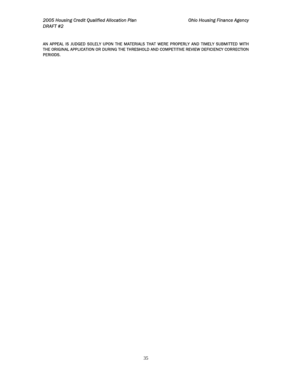AN APPEAL IS JUDGED SOLELY UPON THE MATERIALS THAT WERE PROPERLY AND TIMELY SUBMITTED WITH THE ORIGINAL APPLICATION OR DURING THE THRESHOLD AND COMPETITIVEREVIEW DEFICIENCY CORRECTION PERIODS.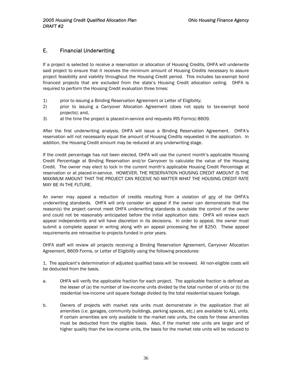### E. Financial Underwriting

If a project is selected to receive a reservation or allocation of Housing Credits, OHFA will underwrite said project to ensure that it receives the minimum amount of Housing Credits necessary to assure project feasibility and viability throughout the Housing Credit period. This includes tax-exempt bond financed projects that are excluded from the state's Housing Credit allocation ceiling. OHFA is required to perform the Housing Credit evaluation three times:

- 1) prior to issuing a Binding Reservation Agreement or Letter of Eligibility;
- 2) prior to issuing a Carryover Allocation Agreement (does not apply to tax-exempt bond projects); and,
- 3) at the time the project is placed-in-service and requests IRS Form(s) 8609.

After the first underwriting analysis, OHFA will issue a Binding Reservation Agreement. OHFA's reservation will not necessarily equal the amount of Housing Credits requested in the application. In addition, the Housing Credit amount may be reduced at any underwriting stage.

If the credit percentage has not been elected, OHFA will use the current month's applicable Housing Credit Percentage at Binding Reservation and/or Carryover to calculate the value of the Housing Credit. The owner may elect to lock in the current month's applicable Housing Credit Percentage at reservation or at placed-in-service. HOWEVER, THE RESERVATION HOUSING CREDIT AMOUNT IS THE MAXIMUM AMOUNT THAT THE PROJECT CAN RECEIVE NO MATTER WHAT THE HOUSING CREDIT RATE MAY BE IN THE FUTURE.

An owner may appeal a reduction of credits resulting from a violation of any of the OHFA's underwriting standards. OHFA will only consider an appeal if the owner can demonstrate that the reason(s) the project cannot meet OHFA underwriting standards is outside the control of the owner and could not be reasonably anticipated before the initial application date. OHFA will review each appeal independently and will have discretion in its decisions. In order to appeal, the owner must submit a complete appeal in writing along with an appeal processing fee of \$250. These appeal requirements are retroactive to projects funded in prior years.

OHFA staff will review all projects receiving a Binding Reservation Agreement, Carryover Allocation Agreement, 8609 Forms, or Letter of Eligibility using the following procedures:

1. The applicant's determination of adjusted qualified basis will be reviewed. All non-eligible costs will be deducted from the basis.

- a. OHFA will verify the applicable fraction for each project. The applicable fraction is defined as the lesser of (a) the number of low-income units divided by the total number of units or (b) the residential low-income unit square footage divided by the total residential square footage.
- b. Owners of projects with market rate units must demonstrate in the application that all amenities (i.e. garages, community buildings, parking spaces, etc.) are available to ALL units. If certain amenities are only available to the market rate units, the costs for these amenities must be deducted from the eligible basis. Also, if the market rate units are larger and of higher quality than the low-income units, the basis for the market rate units will be reduced to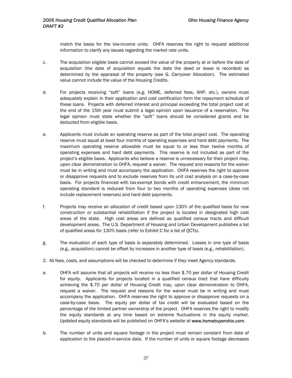match the basis for the low-income units. OHFA reserves the right to request additional information to clarify any issues regarding the market rate units.

- c. The acquisition eligible basis cannot exceed the value of the property at or before the date of acquisition (the date of acquisition equals the date the deed or lease is recorded) as determined by the appraisal of the property (see G. Carryover Allocation). The estimated value cannot include the value of the Housing Credits.
- d. For projects receiving "soft" loans (e.g. HOME, deferred fees, AHP, etc.), owners must adequately explain in their application and cost certification form the repayment schedule of these loans. Projects with deferred interest and principal exceeding the total project cost at the end of the 15th year must submit a legal opinion upon issuance of a reservation. The legal opinion must state whether the "soft" loans should be considered grants and be deducted from eligible basis.
- e. Applicants must include an operating reserve as part of the total project cost. The operating reserve must equal at least four months of operating expenses and hard debt payments. The maximum operating reserve allowable must be equal to or less than twelve months of operating expenses and hard debt payments. This reserve is not included as part of the project's eligible basis. Applicants who believe a reserve is unnecessary for their project may, upon clear demonstration to OHFA, request a waiver. The request and reasons for the waiver must be in writing and must accompany the application. OHFA reserves the right to approve or disapprove requests and to exclude reserves from its unit cost analysis on a case-by-case basis. For projects financed with tax-exempt bonds with credit enhancement, the minimum operating standard is reduced from four to two months of operating expenses (does not include replacement reserves) and hard debt payments.
- f. Projects may receive an allocation of credit based upon 130% of the qualified basis for new construction or substantial rehabilitation if the project is located in designated high cost areas of the state. High cost areas are defined as qualified census tracts and difficult development areas. The U.S. Department of Housing and Urban Development publishes a list of qualified areas for 130% basis (refer to Exhibit C for a list of QCTs).
- g. The evaluation of each type of basis is separately determined. Losses in one type of basis (e.g., acquisition) cannot be offset by increases in another type of basis (e.g., rehabilitation).
- 2. All fees, costs, and assumptions will be checked to determine if they meet Agency standards.
- a. OHFA will assume that all projects will receive no less than \$.70 per dollar of Housing Credit for equity. Applicants for projects located in a qualified census tract that have difficulty achieving the \$.70 per dollar of Housing Credit may, upon clear demonstration to OHFA, request a waiver. The request and reasons for the waiver must be in writing and must accompany the application. OHFA reserves the right to approve or disapprove requests on a case-by-case basis. The equity per dollar of tax credit will be evaluated based on the percentage of the limited partner ownership of the project. OHFA reserves the right to modify the equity standards at any time based on extreme fluctuations in the equity market. Updated equity standards will be published on OHFA's website at www.homebuyerohio.com.
- b. The number of units and square footage in the project must remain constant from date of application to the placed-in-service date. If the number of units or square footage decreases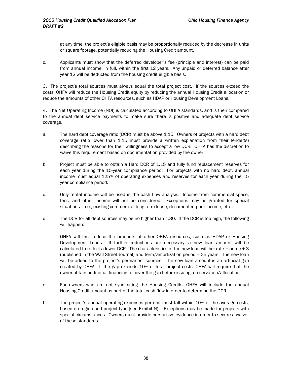at any time, the project's eligible basis may be proportionally reduced by the decrease in units or square footage, potentially reducing the Housing Credit amount.

c. Applicants must show that the deferred developer's fee (principle and interest) can be paid from annual income, in full, within the first 12 years. Any unpaid or deferred balance after year 12 will be deducted from the housing credit eligible basis.

3. The project's total sources must always equal the total project cost. If the sources exceed the costs, OHFA will reduce the Housing Credit equity by reducing the annual Housing Credit allocation or reduce the amounts of other OHFA resources, such as HDAP or Housing Development Loans.

4. The Net Operating Income (NOI) is calculated according to OHFA standards, and is then compared to the annual debt service payments to make sure there is positive and adequate debt service coverage.

- a. The hard debt coverage ratio (DCR) must be above 1.15. Owners of projects with a hard debt coverage ratio lower than 1.15 must provide a written explanation from their lender(s) describing the reasons for their willingness to accept a low DCR. OHFA has the discretion to waive this requirement based on documentation provided by the owner.
- b. Project must be able to obtain a Hard DCR of 1.15 and fully fund replacement reserves for each year during the 15-year compliance period. For projects with no hard debt, annual income must equal 125% of operating expenses and reserves for each year during the 15 year compliance period.
- c. Only rental income will be used in the cash flow analysis. Income from commercial space, fees, and other income will not be considered. Exceptions may be granted for special situations – i.e., existing commercial, long-term lease, documented prior income, etc.
- d. The DCR for all debt sources may be no higher than 1.30. If the DCR is too high, the following will happen:

OHFA will first reduce the amounts of other OHFA resources, such as HDAP or Housing Development Loans. If further reductions are necessary, a new loan amount will be calculated to reflect a lower DCR. The characteristics of the new loan will be: rate = prime  $+3$ (published in the Wall Street Journal) and term/amortization period = 25 years. The new loan will be added to the project's permanent sources. The new loan amount is an artificial gap created by OHFA. If the gap exceeds 10% of total project costs, OHFA will require that the owner obtain additional financing to cover the gap before issuing a reservation/allocation.

- e. For owners who are not syndicating the Housing Credits, OHFA will include the annual Housing Credit amount as part of the total cash flow in order to determine the DCR.
- f. The project's annual operating expenses per unit must fall within 10% of the average costs, based on region and project type (see Exhibit N). Exceptions may be made for projects with special circumstances. Owners must provide persuasive evidence in order to secure a waiver of these standards.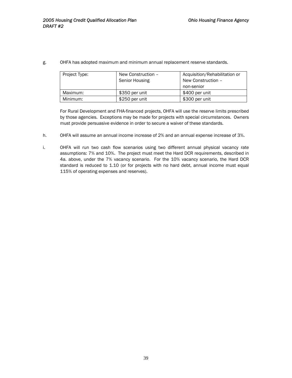g. OHFA has adopted maximum and minimum annual replacement reserve standards.

| Project Type: | New Construction - | Acquisition/Rehabilitation or |
|---------------|--------------------|-------------------------------|
|               | Senior Housing     | New Construction -            |
|               |                    | non-senior                    |
| Maximum:      | \$350 per unit     | \$400 per unit                |
| Minimum:      | \$250 per unit     | \$300 per unit                |

For Rural Development and FHA-financed projects, OHFA will use the reserve limits prescribed by those agencies. Exceptions may be made for projects with special circumstances. Owners must provide persuasive evidence in order to secure a waiver of these standards.

- h. OHFA will assume an annual income increase of 2% and an annual expense increase of 3%.
- i. OHFA will run two cash flow scenarios using two different annual physical vacancy rate assumptions: 7% and 10%. The project must meet the Hard DCR requirements, described in 4a. above, under the 7% vacancy scenario. For the 10% vacancy scenario, the Hard DCR standard is reduced to 1.10 (or for projects with no hard debt, annual income must equal 115% of operating expenses and reserves).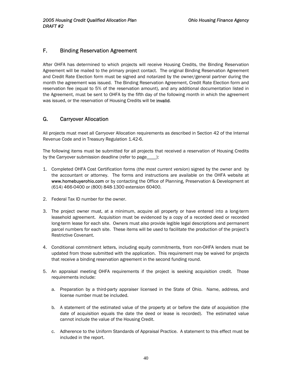### F. Binding Reservation Agreement

After OHFA has determined to which projects will receive Housing Credits, the Binding Reservation Agreement will be mailed to the primary project contact. The original Binding Reservation Agreement and Credit Rate Election form must be signed and notarized by the owner/general partner during the month the agreement was issued. The Binding Reservation Agreement, Credit Rate Election form and reservation fee (equal to 5% of the reservation amount), and any additional documentation listed in the Agreement, must be sent to OHFA by the fifth day of the following month in which the agreement was issued, or the reservation of Housing Credits will be invalid.

### G. Carryover Allocation

All projects must meet all Carryover Allocation requirements as described in Section 42 of the Internal Revenue Code and in Treasury Regulation 1.42-6.

The following items must be submitted for all projects that received a reservation of Housing Credits by the Carryover submission deadline (refer to page\_\_\_\_):

- 1. Completed OHFA Cost Certification forms (*the most current version*) signed by the owner and by the accountant or attorney. The forms and instructions are available on the OHFA website at www.homebuyerohio.com or by contacting the Office of Planning, Preservation & Development at (614) 466-0400 or (800) 848-1300 extension 60400.
- 2. Federal Tax ID number for the owner.
- 3. The project owner must, at a minimum, acquire all property or have entered into a long-term leasehold agreement. Acquisition must be evidenced by a copy of a recorded deed or recorded long-term lease for each site. Owners must also provide legible legal descriptions and permanent parcel numbers for each site. These items will be used to facilitate the production of the project's Restrictive Covenant.
- 4. Conditional commitment letters, including equity commitments, from non-OHFA lenders must be updated from those submitted with the application. This requirement may be waived for projects that receive a binding reservation agreement in the second funding round.
- 5. An appraisal meeting OHFA requirements if the project is seeking acquisition credit. Those requirements include:
	- a. Preparation by a third-party appraiser licensed in the State of Ohio. Name, address, and license number must be included.
	- b. A statement of the estimated value of the property at or before the date of acquisition (the date of acquisition equals the date the deed or lease is recorded). The estimated value cannot include the value of the Housing Credit.
	- c. Adherence to the Uniform Standards of Appraisal Practice. A statement to this effect must be included in the report.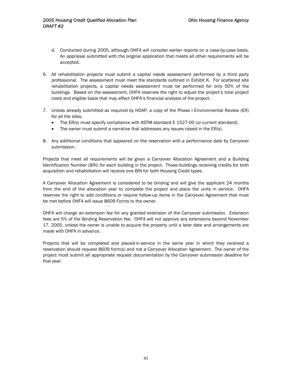- d. Conducted during 2005, although OHFA will consider earlier reports on a case-by-case basis. An appraisal submitted with the original application that meets all other requirements will be accepted.
- 6. All rehabilitation projects must submit a capital needs assessment performed by a third party professional. The assessment must meet the standards outlined in Exhibit K. For scattered site rehabilitation projects, a capital needs assessment must be performed for only 50% of the buildings. Based on the assessment, OHFA reserves the right to adjust the project's total project costs and eligible basis that may affect OHFA's financial analysis of the project.
- 7. Unless already submitted as required by HDAP, a copy of the Phase I Environmental Review (ER) for all the sites.
	- The ER(s) must specify compliance with ASTM standard E 1527-00 (or current standard).
	- The owner must submit a narrative that addresses any issues raised in the ER(s).
- 8. Any additional conditions that appeared on the reservation with a performance date by Carryover submission.

Projects that meet all requirements will be given a Carryover Allocation Agreement and a Building Identification Number (BIN) for each building in the project. Those buildings receiving credits for both acquisition and rehabilitation will receive one BIN for both Housing Credit types.

A Carryover Allocation Agreement is considered to be binding and will give the applicant 24 months from the end of the allocation year to complete the project and place the units in service. OHFA reserves the right to add conditions or require follow-up items in the Carryover Agreement that must be met before OHFA will issue 8609 Forms to the owner.

OHFA will charge an extension fee for any granted extension of the Carryover submission. Extension fees are 5% of the Binding Reservation fee. OHFA will not approve any extensions beyond November 17, 2005, unless the owner is unable to acquire the property until a later date and arrangements are made with OHFA in advance.

Projects that will be completed and placed-in-service in the same year in which they received a reservation should request 8609 form(s) and not a Carryover Allocation Agreement. The owner of the project must submit all appropriate request documentation by the Carryover submission deadline for that year.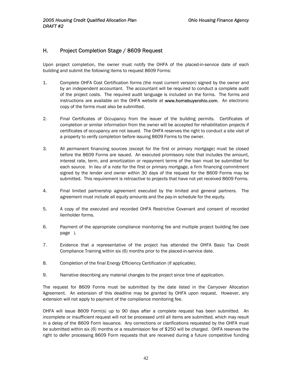### H. Project Completion Stage / 8609 Request

Upon project completion, the owner must notify the OHFA of the placed-in-service date of each building and submit the following items to request 8609 Forms:

- 1. Complete OHFA Cost Certification forms (the most current version) signed by the owner and by an independent accountant. The accountant will be required to conduct a complete audit of the project costs. The required audit language is included on the forms. The forms and instructions are available on the OHFA website at www.homebuyerohio.com. An electronic copy of the forms must also be submitted.
- 2. Final Certificates of Occupancy from the issuer of the building permits. Certificates of completion or similar information from the owner will be accepted for rehabilitation projects if certificates of occupancy are not issued. The OHFA reserves the right to conduct a site visit of a property to verify completion before issuing 8609 Forms to the owner.
- 3. All permanent financing sources (except for the first or primary mortgage) must be closed before the 8609 Forms are issued. An executed promissory note that includes the amount, interest rate, term, and amortization or repayment terms of the loan must be submitted for each source. In lieu of a note for the first or primary mortgage, a firm financing commitment signed by the lender and owner within 30 days of the request for the 8609 Forms may be submitted. This requirement is retroactive to projects that have not yet received 8609 Forms.
- 4. Final limited partnership agreement executed by the limited and general partners. The agreement must include all equity amounts and the pay-in schedule for the equity.
- 5. A copy of the executed and recorded OHFA Restrictive Covenant and consent of recorded lienholder forms.
- 6. Payment of the appropriate compliance monitoring fee and multiple project building fee (see page ).
- 7. Evidence that a representative of the project has attended the OHFA Basic Tax Credit Compliance Training within six (6) months prior to the placed-in-service date.
- 8. Completion of the final Energy Efficiency Certification (if applicable).
- 9. Narrative describing any material changes to the project since time of application.

The request for 8609 Forms must be submitted by the date listed in the Carryover Allocation Agreement. An extension of this deadline may be granted by OHFA upon request. However, any extension will not apply to payment of the compliance monitoring fee.

OHFA will issue 8609 Form(s) up to 90 days after a complete request has been submitted. An incomplete or insufficient request will not be processed until all items are submitted, which may result in a delay of the 8609 Form issuance. Any corrections or clarifications requested by the OHFA must be submitted within six (6) months or a resubmission fee of \$250 will be charged. OHFA reserves the right to defer processing 8609 Form requests that are received during a future competitive funding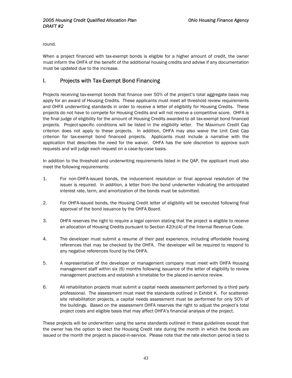round.

When a project financed with tax-exempt bonds is eligible for a higher amount of credit, the owner must inform the OHFA of the benefit of the additional housing credits and advise if any documentation must be updated due to the increase.

### I. Projects with Tax-Exempt Bond Financing

Projects receiving tax-exempt bonds that finance over 50% of the project's total aggregate basis may apply for an award of Housing Credits. These applicants must meet all threshold review requirements and OHFA underwriting standards in order to receive a letter of eligibility for Housing Credits. These projects do not have to compete for Housing Credits and will not receive a competitive score. OHFA is the final judge of eligibility for the amount of Housing Credits awarded to all tax-exempt bond financed projects. Project-specific conditions will be listed in the eligibility letter. The Maximum Credit Cap criterion does not apply to these projects. In addition, OHFA may also waive the Unit Cost Cap criterion for tax-exempt bond financed projects. Applicants must include a narrative with the application that describes the need for the waiver. OHFA has the sole discretion to approve such requests and will judge each request on a case-by-case basis.

In addition to the threshold and underwriting requirements listed in the QAP, the applicant must also meet the following requirements:

- 1. For non-OHFA-issued bonds, the inducement resolution or final approval resolution of the issuer is required. In addition, a letter from the bond underwriter indicating the anticipated interest rate, term, and amortization of the bonds must be submitted.
- 2. For OHFA-issued bonds, the Housing Credit letter of eligibility will be executed following final approval of the bond issuance by the OHFA Board.
- 3. OHFA reserves the right to require a legal opinion stating that the project is eligible to receive an allocation of Housing Credits pursuant to Section 42(h)(4) of the Internal Revenue Code.
- 4. The developer must submit a resume of their past experience, including affordable housing references that may be checked by the OHFA. The developer will be required to respond to any negative references found by the OHFA.
- 5. A representative of the developer or management company must meet with OHFA Housing management staff within six (6) months following issuance of the letter of eligibility to review management practices and establish a timetable for the placed-in-service review.
- 6. All rehabilitation projects must submit a capital needs assessment performed by a third party professional. The assessment must meet the standards outlined in Exhibit K. For scatteredsite rehabilitation projects, a capital needs assessment must be performed for only 50% of the buildings. Based on the assessment OHFA reserves the right to adjust the project's total project costs and eligible basis that may affect OHFA's financial analysis of the project.

These projects will be underwritten using the same standards outlined in these guidelines except that the owner has the option to elect the Housing Credit rate during the month in which the bonds are issued or the month the project is placed-in-service. Please note that the rate election period is tied to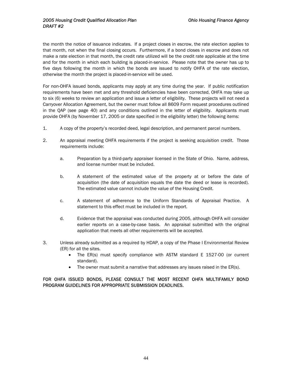the month the notice of issuance indicates. If a project closes in escrow, the rate election applies to that month, not when the final closing occurs. Furthermore, if a bond closes in escrow and does not make a rate election in that month, the credit rate utilized will be the credit rate applicable at the time and for the month in which each building is placed-in-service. Please note that the owner has up to five days following the month in which the bonds are issued to notify OHFA of the rate election, otherwise the month the project is placed-in-service will be used.

For non-OHFA issued bonds, applicants may apply at any time during the year. If public notification requirements have been met and any threshold deficiencies have been corrected, OHFA may take up to six (6) weeks to review an application and issue a letter of eligibility. These projects will not need a Carryover Allocation Agreement, but the owner must follow all 8609 Form request procedures outlined in the QAP (see page 40) and any conditions outlined in the letter of eligibility. Applicants must provide OHFA (by November 17, 2005 or date specified in the eligibility letter) the following items:

- 1. A copy of the property's recorded deed, legal description, and permanent parcel numbers.
- 2. An appraisal meeting OHFA requirements if the project is seeking acquisition credit. Those requirements include:
	- a. Preparation by a third-party appraiser licensed in the State of Ohio. Name, address, and license number must be included.
	- b. A statement of the estimated value of the property at or before the date of acquisition (the date of acquisition equals the date the deed or lease is recorded). The estimated value cannot include the value of the Housing Credit.
	- c. A statement of adherence to the Uniform Standards of Appraisal Practice. A statement to this effect must be included in the report.
	- d. Evidence that the appraisal was conducted during 2005, although OHFA will consider earlier reports on a case-by-case basis. An appraisal submitted with the original application that meets all other requirements will be accepted.
- 3. Unless already submitted as a required by HDAP, a copy of the Phase I Environmental Review (ER) for all the sites.
	- The ER(s) must specify compliance with ASTM standard E 1527-00 (or current standard).
	- The owner must submit a narrative that addresses any issues raised in the ER(s).

#### FOR OHFA ISSUED BONDS, PLEASE CONSULT THE MOST RECENT OHFA MULTIFAMILY BOND PROGRAM GUIDELINES FOR APPROPRIATE SUBMISSION DEADLINES.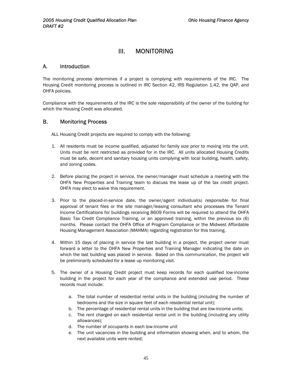### III. MONITORING

#### A. Introduction

The monitoring process determines if a project is complying with requirements of the IRC. The Housing Credit monitoring process is outlined in IRC Section 42, IRS Regulation 1.42, the QAP, and OHFA policies.

Compliance with the requirements of the IRC is the sole responsibility of the owner of the building for which the Housing Credit was allocated.

#### B. Monitoring Process

ALL Housing Credit projects are required to comply with the following:

- 1. All residents must be income qualified, adjusted for family size prior to moving into the unit. Units must be rent restricted as provided for in the IRC. All units allocated Housing Credits must be safe, decent and sanitary housing units complying with local building, health, safety, and zoning codes.
- 2. Before placing the project in service, the owner/manager must schedule a meeting with the OHFA New Properties and Training team to discuss the lease up of the tax credit project. OHFA may elect to waive this requirement.
- 3. Prior to the placed-in-service date, the owner/agent individual(s) responsible for final approval of tenant files or the site manager/leasing consultant who processes the Tenant Income Certifications for buildings receiving 8609 Forms will be required to attend the OHFA Basic Tax Credit Compliance Training, or an approved training, within the previous six (6) months. Please contact the OHFA Office of Program Compliance or the Midwest Affordable Housing Management Association (MAHMA) regarding registration for this training.
- 4. Within 15 days of placing in service the last building in a project, the project owner must forward a letter to the OHFA New Properties and Training Manager indicating the date on which the last building was placed in service. Based on this communication, the project will be preliminarily scheduled for a lease up monitoring visit.
- 5. The owner of a Housing Credit project must keep records for each qualified low-income building in the project for each year of the compliance and extended use period. These records must include:
	- a. The total number of residential rental units in the building (including the number of bedrooms and the size in square feet of each residential rental unit);
	- b. The percentage of residential rental units in the building that are low-income units;
	- c. The rent charged on each residential rental unit in the building (including any utility allowances);
	- d. The number of occupants in each low-income unit
	- e. The unit vacancies in the building and information showing when, and to whom, the next available units were rented;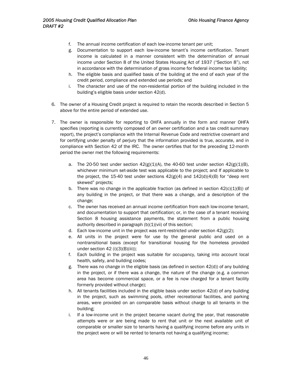- f. The annual income certification of each low-income tenant per unit;
- g. Documentation to support each low-income tenant's income certification. Tenant income is calculated in a manner consistent with the determination of annual income under Section 8 of the United States Housing Act of 1937 ("Section 8"), not in accordance with the determination of gross income for federal income tax liability;
- h. The eligible basis and qualified basis of the building at the end of each year of the credit period, compliance and extended use periods; and
- i. The character and use of the non-residential portion of the building included in the building's eligible basis under section 42(d).
- 6. The owner of a Housing Credit project is required to retain the records described in Section 5 above for the entire period of extended use.
- 7. The owner is responsible for reporting to OHFA annually in the form and manner OHFA specifies (reporting is currently composed of an owner certification and a tax credit summary report), the project's compliance with the Internal Revenue Code and restrictive covenant and for certifying under penalty of perjury that the information provided is true, accurate, and in compliance with Section 42 of the IRC. The owner certifies that for the preceding 12-month period the owner met the following requirements:
	- a. The 20-50 test under section  $42(g)(1)(A)$ , the 40-60 test under section  $42(g)(1)(B)$ , whichever minimum set-aside test was applicable to the project; and If applicable to the project, the 15-40 test under sections  $42(g)(4)$  and  $142(d)(4)(B)$  for "deep rent skewed" projects;
	- b. There was no change in the applicable fraction (as defined in section  $42(c)(1)(B)$ ) of any building in the project, or that there was a change, and a description of the change;
	- c. The owner has received an annual income certification from each low-income tenant, and documentation to support that certification; or, in the case of a tenant receiving Section 8 housing assistance payments, the statement from a public housing authority described in paragraph  $(b)(1)(vi)$  of this section;
	- d. Each low-income unit in the project was rent-restricted under section  $42(g)(2)$ ;
	- e. All units in the project were for use by the general public and used on a nontransitional basis (except for transitional housing for the homeless provided under section 42 (i)(3)(B)(iii));
	- f. Each building in the project was suitable for occupancy, taking into account local health, safety, and building codes;
	- g. There was no change in the eligible basis (as defined in section 42(d)) of any building in the project, or if there was a change, the nature of the change (e.g. a common area has become commercial space, or a fee is now charged for a tenant facility formerly provided without charge);
	- h. All tenants facilities included in the eligible basis under section 42(d) of any building in the project, such as swimming pools, other recreational facilities, and parking areas, were provided on an comparable basis without charge to all tenants in the building;
	- i. If a low-income unit in the project became vacant during the year, that reasonable attempts were or are being made to rent that unit or the next available unit of comparable or smaller size to tenants having a qualifying income before any units in the project were or will be rented to tenants not having a qualifying income;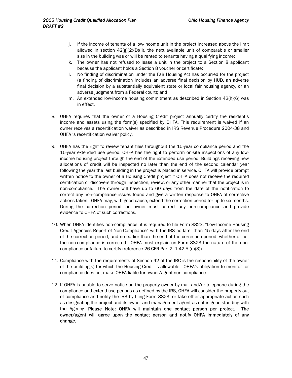- j. If the income of tenants of a low-income unit in the project increased above the limit allowed in section  $42(g)(2)(D)(ii)$ , the next available unit of comparable or smaller size in the building was or will be rented to tenants having a qualifying income;
- k. The owner has not refused to lease a unit in the project to a Section 8 applicant because the applicant holds a Section 8 voucher or certificate;
- l. No finding of discrimination under the Fair Housing Act has occurred for the project (a finding of discrimination includes an adverse final decision by HUD, an adverse final decision by a substantially equivalent state or local fair housing agency, or an adverse judgment from a Federal court); and
- m. An extended low-income housing commitment as described in Section 42(h)(6) was in effect.
- 8. OHFA requires that the owner of a Housing Credit project annually certify the resident's income and assets using the form(s) specified by OHFA. This requirement is waived if an owner receives a recertification waiver as described in IRS Revenue Procedure 2004-38 and OHFA 's recertification waiver policy.
- 9. OHFA has the right to review tenant files throughout the 15-year compliance period and the 15-year extended use period. OHFA has the right to perform on-site inspections of any lowincome housing project through the end of the extended use period. Buildings receiving new allocations of credit will be inspected no later than the end of the second calendar year following the year the last building in the project is placed in service. OHFA will provide prompt written notice to the owner of a Housing Credit project if OHFA does not receive the required certification or discovers through inspection, review, or any other manner that the project is in non-compliance. The owner will have up to 60 days from the date of the notification to correct any non-compliance issues found and give a written response to OHFA of corrective actions taken. OHFA may, with good cause, extend the correction period for up to six months. During the correction period, an owner must correct any non-compliance and provide evidence to OHFA of such corrections.
- 10. When OHFA identifies non-compliance, it is required to file Form 8823, "Low-Income Housing Credit Agencies Report of Non-Compliance" with the IRS no later than 45 days after the end of the correction period, and no earlier than the end of the correction period, whether or not the non-compliance is corrected. OHFA must explain on Form 8823 the nature of the noncompliance or failure to certify (reference 26 CFR Par. 2. 1.42-5 (e)(3)).
- 11. Compliance with the requirements of Section 42 of the IRC is the responsibility of the owner of the building(s) for which the Housing Credit is allowable. OHFA's obligation to monitor for compliance does not make OHFA liable for owner/agent non-compliance.
- 12. If OHFA is unable to serve notice on the property owner by mail and/or telephone during the compliance and extend use periods as defined by the IRS, OHFA will consider the property out of compliance and notify the IRS by filing Form 8823, or take other appropriate action such as designating the project and its owner and management agent as not in good standing with the Agency. Please Note: OHFA will maintain one contact person per project. The owner/agent will agree upon the contact person and notify OHFA immediately of any change.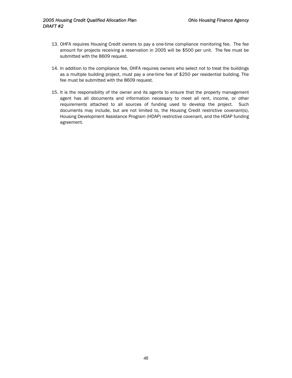- 13. OHFA requires Housing Credit owners to pay a one-time compliance monitoring fee. The fee amount for projects receiving a reservation in 2005 will be \$500 per unit. The fee must be submitted with the 8609 request.
- 14. In addition to the compliance fee, OHFA requires owners who select not to treat the buildings as a multiple building project, must pay a one-time fee of \$250 per residential building. The fee must be submitted with the 8609 request.
- 15. It is the responsibility of the owner and its agents to ensure that the property management agent has all documents and information necessary to meet all rent, income, or other requirements attached to all sources of funding used to develop the project. Such documents may include, but are not limited to, the Housing Credit restrictive covenant(s), Housing Development Assistance Program (HDAP) restrictive covenant, and the HDAP funding agreement.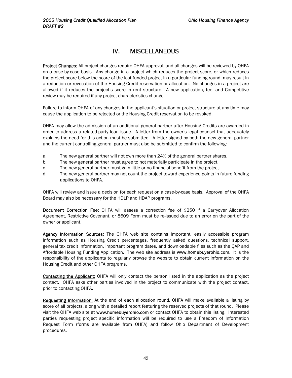## IV. MISCELLANEOUS

Project Changes: All project changes require OHFA approval, and all changes will be reviewed by OHFA on a case-by-case basis. Any change in a project which reduces the project score, or which reduces the project score below the score of the last funded project in a particular funding round, may result in a reduction or revocation of the Housing Credit reservation or allocation. No changes in a project are allowed if it reduces the project's score in rent structure. A new application, fee, and Competitive review may be required if any project characteristics change.

Failure to inform OHFA of any changes in the applicant's situation or project structure at any time may cause the application to be rejected or the Housing Credit reservation to be revoked.

OHFA may allow the admission of an additional general partner after Housing Credits are awarded in order to address a related-party loan issue. A letter from the owner's legal counsel that adequately explains the need for this action must be submitted. A letter signed by both the new general partner and the current controlling general partner must also be submitted to confirm the following:

- a. The new general partner will not own more than 24% of the general partner shares.
- b. The new general partner must agree to not materially participate in the project.
- c. The new general partner must gain little or no financial benefit from the project.
- d. The new general partner may not count the project toward experience points in future funding applications to OHFA.

OHFA will review and issue a decision for each request on a case-by-case basis. Approval of the OHFA Board may also be necessary for the HDLP and HDAP programs.

**Document Correction Fee:** OHFA will assess a correction fee of \$250 if a Carryover Allocation Agreement, Restrictive Covenant, or 8609 Form must be re-issued due to an error on the part of the owner or applicant.

Agency Information Sources: The OHFA web site contains important, easily accessible program information such as Housing Credit percentages, frequently asked questions, technical support, general tax credit information, important program dates, and downloadable files such as the QAP and Affordable Housing Funding Application. The web site address is www.homebuyerohio.com. It is the responsibility of the applicants to regularly browse the website to obtain current information on the Housing Credit and other OHFA programs.

Contacting the Applicant: OHFA will only contact the person listed in the application as the project contact. OHFA asks other parties involved in the project to communicate with the project contact, prior to contacting OHFA.

Requesting Information: At the end of each allocation round, OHFA will make available a listing by score of all projects, along with a detailed report featuring the reserved projects of that round. Please visit the OHFA web site at www.homebuyerohio.com or contact OHFA to obtain this listing. Interested parties requesting project specific information will be required to use a Freedom of Information Request Form (forms are available from OHFA) and follow Ohio Department of Development procedures.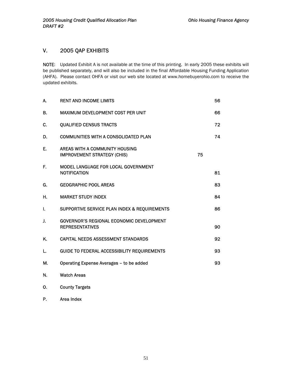### V. 2005 QAP EXHIBITS

NOTE: Updated Exhibit A is not available at the time of this printing. In early 2005 these exhibits will be published separately, and will also be included in the final Affordable Housing Funding Application (AHFA). Please contact OHFA or visit our web site located at www.homebuyerohio.com to receive the updated exhibits.

| А. | <b>RENT AND INCOME LIMITS</b>                                             |    | 56 |
|----|---------------------------------------------------------------------------|----|----|
| В. | MAXIMUM DEVELOPMENT COST PER UNIT                                         |    | 66 |
| C. | <b>QUALIFIED CENSUS TRACTS</b>                                            |    | 72 |
| D. | <b>COMMUNITIES WITH A CONSOLIDATED PLAN</b>                               |    | 74 |
| Ε. | AREAS WITH A COMMUNITY HOUSING<br><b>IMPROVEMENT STRATEGY (CHIS)</b>      | 75 |    |
| F. | MODEL LANGUAGE FOR LOCAL GOVERNMENT<br><b>NOTIFICATION</b>                |    | 81 |
| G. | <b>GEOGRAPHIC POOL AREAS</b>                                              |    | 83 |
| н. | <b>MARKET STUDY INDEX</b>                                                 |    | 84 |
| L  | SUPPORTIVE SERVICE PLAN INDEX & REQUIREMENTS                              |    | 86 |
| J. | <b>GOVERNOR'S REGIONAL ECONOMIC DEVELOPMENT</b><br><b>REPRESENTATIVES</b> |    | 90 |
| K. | <b>CAPITAL NEEDS ASSESSMENT STANDARDS</b>                                 |    | 92 |
| L. | <b>GUIDE TO FEDERAL ACCESSIBILITY REQUIREMENTS</b>                        |    | 93 |
| Μ. | Operating Expense Averages - to be added                                  |    | 93 |
| N. | <b>Watch Areas</b>                                                        |    |    |
| О. | <b>County Targets</b>                                                     |    |    |

P. Area Index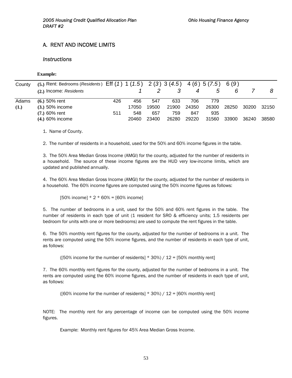### A. RENT AND INCOME LIMITS

#### *Instructions*

#### **Example:**

| County | (5.) Rent: Bedrooms (Residents) Eff $(1)$ 1 $(1.5)$ 2 $(3)$ 3 $(4.5)$ 4 $(6)$ 5 $(7.5)$ |     |       |       |       |       |       | 6 (9) |       |       |
|--------|-----------------------------------------------------------------------------------------|-----|-------|-------|-------|-------|-------|-------|-------|-------|
|        | (2.) Income: Residents                                                                  |     |       |       |       |       | G     | 6     |       |       |
| Adams  | $(6.) 50%$ rent                                                                         | 426 | 456   | 547   | 633   | 706   | 779   |       |       |       |
| (1.)   | $(3.) 50\%$ income                                                                      |     | 17050 | 19500 | 21900 | 24350 | 26300 | 28250 | 30200 | 32150 |
|        | $(7.) 60%$ rent                                                                         | 511 | 548   | 657   | 759   | 847   | 935   |       |       |       |
|        | (4.) 60% income                                                                         |     | 20460 | 23400 | 26280 | 29220 | 31560 | 33900 | 36240 | 38580 |

1. Name of County.

2. The number of residents in a household, used for the 50% and 60% income figures in the table.

3. The 50% Area Median Gross Income (AMGI) for the county, adjusted for the number of residents in a household. The source of these income figures are the HUD very low-income limits, which are updated and published annually.

4. The 60% Area Median Gross Income (AMGI) for the county, adjusted for the number of residents in a household. The 60% income figures are computed using the 50% income figures as follows:

 $[50\% \text{ income}] * 2 * 60\% = [60\% \text{ income}]$ 

5. The number of bedrooms in a unit, used for the 50% and 60% rent figures in the table. The number of residents in each type of unit (1 resident for SRO & efficiency units; 1.5 residents per bedroom for units with one or more bedrooms) are used to compute the rent figures in the table.

6. The 50% monthly rent figures for the county, adjusted for the number of bedrooms in a unit. The rents are computed using the 50% income figures, and the number of residents in each type of unit, as follows:

([50% income for the number of residents]  $*$  30%) / 12 = [50% monthly rent]

7. The 60% monthly rent figures for the county, adjusted for the number of bedrooms in a unit. The rents are computed using the 60% income figures, and the number of residents in each type of unit, as follows:

( $[60\%$  income for the number of residents]  $* 30\%$ ) /  $12 = [60\%$  monthly rent]

NOTE: The monthly rent for any percentage of income can be computed using the 50% income figures.

Example: Monthly rent figures for 45% Area Median Gross Income.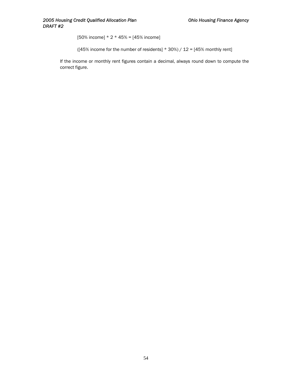$[50%$  income]  $* 2 * 45% = [45%$  income]

( $[45\%$  income for the number of residents] \* 30%) / 12 =  $[45\%$  monthly rent]

If the income or monthly rent figures contain a decimal, always round down to compute the correct figure.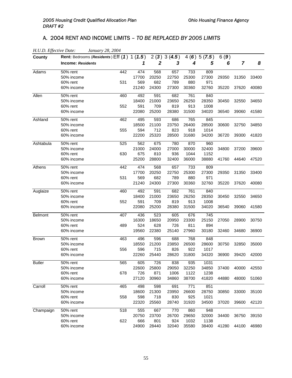## A. 2004 RENT AND INCOME LIMITS – *TO BE REPLACED BY 2005 LIMITS*

| H.U.D. Effective Date:<br>County | January 28, 2004<br>Rent: Bedrooms (Residents) Eff (1) 1 (1.5) |     |       |       | 2(3)3(4.5) |       | 4(6)5(7.5) | 6(9)  |       |       |
|----------------------------------|----------------------------------------------------------------|-----|-------|-------|------------|-------|------------|-------|-------|-------|
|                                  | <b>Income: Residents</b>                                       |     | 1     | 2     | 3          | 4     | 5          | 6     | 7     | 8     |
| Adams                            | 50% rent                                                       | 442 | 474   | 568   | 657        | 733   | 809        |       |       |       |
|                                  | 50% income                                                     |     | 17700 | 20250 | 22750      | 25300 | 27300      | 29350 | 31350 | 33400 |
|                                  | 60% rent                                                       | 531 | 569   | 682   | 789        | 880   | 971        |       |       |       |
|                                  | 60% income                                                     |     | 21240 | 24300 | 27300      | 30360 | 32760      | 35220 | 37620 | 40080 |
| Allen                            | 50% rent                                                       | 460 | 492   | 591   | 682        | 761   | 840        |       |       |       |
|                                  | 50% income                                                     |     | 18400 | 21000 | 23650      | 26250 | 28350      | 30450 | 32550 | 34650 |
|                                  | 60% rent                                                       | 552 | 591   | 709   | 819        | 913   | 1008       |       |       |       |
|                                  | 60% income                                                     |     | 22080 | 25200 | 28380      | 31500 | 34020      | 36540 | 39060 | 41580 |
| Ashland                          | 50% rent                                                       | 462 | 495   | 593   | 686        | 765   | 845        |       |       |       |
|                                  | 50% income                                                     |     | 18500 | 21100 | 23750      | 26400 | 28500      | 30600 | 32750 | 34850 |
|                                  | 60% rent                                                       | 555 | 594   | 712   | 823        | 918   | 1014       |       |       |       |
|                                  | 60% income                                                     |     | 22200 | 25320 | 28500      | 31680 | 34200      | 36720 | 39300 | 41820 |
| Ashtabula                        | 50% rent                                                       | 525 | 562   | 675   | 780        | 870   | 960        |       |       |       |
|                                  | 50% income                                                     |     | 21000 | 24000 | 27000      | 30000 | 32400      | 34800 | 37200 | 39600 |
|                                  | 60% rent                                                       | 630 | 675   | 810   | 936        | 1044  | 1152       |       |       |       |
|                                  | 60% income                                                     |     | 25200 | 28800 | 32400      | 36000 | 38880      | 41760 | 44640 | 47520 |
| Athens                           | 50% rent                                                       | 442 | 474   | 568   | 657        | 733   | 809        |       |       |       |
|                                  | 50% income                                                     |     | 17700 | 20250 | 22750      | 25300 | 27300      | 29350 | 31350 | 33400 |
|                                  | 60% rent                                                       | 531 | 569   | 682   | 789        | 880   | 971        |       |       |       |
|                                  | 60% income                                                     |     | 21240 | 24300 | 27300      | 30360 | 32760      | 35220 | 37620 | 40080 |
| Auglaize                         | 50% rent                                                       | 460 | 492   | 591   | 682        | 761   | 840        |       |       |       |
|                                  | 50% income                                                     |     | 18400 | 21000 | 23650      | 26250 | 28350      | 30450 | 32550 | 34650 |
|                                  | 60% rent                                                       | 552 | 591   | 709   | 819        | 913   | 1008       |       |       |       |
|                                  | 60% income                                                     |     | 22080 | 25200 | 28380      | 31500 | 34020      | 36540 | 39060 | 41580 |
| <b>Belmont</b>                   | 50% rent                                                       | 407 | 436   | 523   | 605        | 676   | 745        |       |       |       |
|                                  | 50% income                                                     |     | 16300 | 18650 | 20950      | 23300 | 25150      | 27050 | 28900 | 30750 |
|                                  | 60% rent                                                       | 489 | 524   | 628   | 726        | 811   | 894        |       |       |       |
|                                  | 60% income                                                     |     | 19560 | 22380 | 25140      | 27960 | 30180      | 32460 | 34680 | 36900 |
| <b>Brown</b>                     | 50% rent                                                       | 463 | 496   | 596   | 688        | 768   | 848        |       |       |       |
|                                  | 50% income                                                     |     | 18550 | 21200 | 23850      | 26500 | 28600      | 30750 | 32850 | 35000 |
|                                  | 60% rent                                                       | 556 | 596   | 715   | 826        | 922   | 1017       |       |       |       |
|                                  | 60% income                                                     |     | 22260 | 25440 | 28620      | 31800 | 34320      | 36900 | 39420 | 42000 |
| <b>Butler</b>                    | 50% rent                                                       | 565 | 605   | 726   | 838        | 935   | 1031       |       |       |       |
|                                  | 50% income                                                     |     | 22600 | 25800 | 29050      | 32250 | 34850      | 37400 | 40000 | 42550 |
|                                  | 60% rent                                                       | 678 | 726   | 871   | 1006       | 1122  | 1238       |       |       |       |
|                                  | 60% income                                                     |     | 27120 | 30960 | 34860      | 38700 | 41820      | 44880 | 48000 | 51060 |
| Carroll                          | 50% rent                                                       | 465 | 498   | 598   | 691        | 771   | 851        |       |       |       |
|                                  | 50% income                                                     |     | 18600 | 21300 | 23950      | 26600 | 28750      | 30850 | 33000 | 35100 |
|                                  | 60% rent                                                       | 558 | 598   | 718   | 830        | 925   | 1021       |       |       |       |
|                                  | 60% income                                                     |     | 22320 | 25560 | 28740      | 31920 | 34500      | 37020 | 39600 | 42120 |
| Champaign                        | 50% rent                                                       | 518 | 555   | 667   | 770        | 860   | 948        |       |       |       |
|                                  | 50% income                                                     |     | 20750 | 23700 | 26700      | 29650 | 32000      | 34400 | 36750 | 39150 |
|                                  | 60% rent                                                       | 622 | 666   | 801   | 924        | 1032  | 1138       |       |       |       |
|                                  | 60% income                                                     |     | 24900 | 28440 | 32040      | 35580 | 38400      | 41280 | 44100 | 46980 |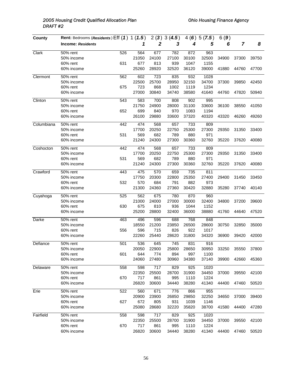| County     | Rent: Bedrooms (Residents) Eff (1) 1 (1.5) |     |       |                  | 2(3)3(4.5) |       | 4(6)5(7.5) | 6(9)  |                |       |
|------------|--------------------------------------------|-----|-------|------------------|------------|-------|------------|-------|----------------|-------|
|            | <b>Income: Residents</b>                   |     | 1     | $\boldsymbol{2}$ | 3          | 4     | 5          | 6     | $\overline{7}$ | 8     |
| Clark      | 50% rent                                   | 526 | 564   | 677              | 782        | 872   | 963        |       |                |       |
|            | 50% income                                 |     | 21050 | 24100            | 27100      | 30100 | 32500      | 34900 | 37300          | 39750 |
|            | 60% rent                                   | 631 | 677   | 813              | 939        | 1047  | 1155       |       |                |       |
|            | 60% income                                 |     | 25260 | 28920            | 32520      | 36120 | 39000      | 41880 | 44760          | 47700 |
| Clermont   | 50% rent                                   | 562 | 602   | 723              | 835        | 932   | 1028       |       |                |       |
|            | 50% income                                 |     | 22500 | 25700            | 28950      | 32150 | 34700      | 37300 | 39850          | 42450 |
|            | 60% rent                                   | 675 | 723   | 868              | 1002       | 1119  | 1234       |       |                |       |
|            | 60% income                                 |     | 27000 | 30840            | 34740      | 38580 | 41640      | 44760 | 47820          | 50940 |
| Clinton    | 50% rent                                   | 543 | 583   | 700              | 808        | 902   | 995        |       |                |       |
|            | 50% income                                 |     | 21750 | 24900            | 28000      | 31100 | 33600      | 36100 | 38550          | 41050 |
|            | 60% rent                                   | 652 | 699   | 840              | 970        | 1083  | 1194       |       |                |       |
|            | 60% income                                 |     | 26100 | 29880            | 33600      | 37320 | 40320      | 43320 | 46260          | 49260 |
| Columbiana | 50% rent                                   | 442 | 474   | 568              | 657        | 733   | 809        |       |                |       |
|            | 50% income                                 |     | 17700 | 20250            | 22750      | 25300 | 27300      | 29350 | 31350          | 33400 |
|            | 60% rent                                   | 531 | 569   | 682              | 789        | 880   | 971        |       |                |       |
|            | 60% income                                 |     | 21240 | 24300            | 27300      | 30360 | 32760      | 35220 | 37620          | 40080 |
| Coshocton  | 50% rent                                   | 442 | 474   | 568              | 657        | 733   | 809        |       |                |       |
|            | 50% income                                 |     | 17700 | 20250            | 22750      | 25300 | 27300      | 29350 | 31350          | 33400 |
|            | 60% rent                                   | 531 | 569   | 682              | 789        | 880   | 971        |       |                |       |
|            | 60% income                                 |     | 21240 | 24300            | 27300      | 30360 | 32760      | 35220 | 37620          | 40080 |
| Crawford   | 50% rent                                   | 443 | 475   | 570              | 659        | 735   | 811        |       |                |       |
|            | 50% income                                 |     | 17750 | 20300            | 22800      | 25350 | 27400      | 29400 | 31450          | 33450 |
|            | 60% rent                                   | 532 | 570   | 684              | 791        | 882   | 973        |       |                |       |
|            | 60% income                                 |     | 21300 | 24360            | 27360      | 30420 | 32880      | 35280 | 37740          | 40140 |
| Cuyahoga   | 50% rent                                   | 525 | 562   | 675              | 780        | 870   | 960        |       |                |       |
|            | 50% income                                 |     | 21000 | 24000            | 27000      | 30000 | 32400      | 34800 | 37200          | 39600 |
|            | 60% rent                                   | 630 | 675   | 810              | 936        | 1044  | 1152       |       |                |       |
|            | 60% income                                 |     | 25200 | 28800            | 32400      | 36000 | 38880      | 41760 | 44640          | 47520 |
| Darke      | 50% rent                                   | 463 | 496   | 596              | 688        | 768   | 848        |       |                |       |
|            | 50% income                                 |     | 18550 | 21200            | 23850      | 26500 | 28600      | 30750 | 32850          | 35000 |
|            | 60% rent                                   | 556 | 596   | 715              | 826        | 922   | 1017       |       |                |       |
|            | 60% income                                 |     | 22260 | 25440            | 28620      | 31800 | 34320      | 36900 | 39420          | 42000 |
| Defiance   | 50% rent                                   | 501 | 536   | 645              | 745        | 831   | 916        |       |                |       |
|            | 50% income                                 |     | 20050 | 22900            | 25800      | 28650 | 30950      | 33250 | 35550          | 37800 |
|            | 60% rent                                   | 601 | 644   | 774              | 894        | 997   | 1100       |       |                |       |
|            | 60% income                                 |     | 24060 | 27480            | 30960      | 34380 | 37140      | 39900 | 42660          | 45360 |
| Delaware   | 50% rent                                   | 558 | 598   | 717              | 829        | 925   | 1020       |       |                |       |
|            | 50% income                                 |     | 22350 | 25500            | 28700      | 31900 | 34450      | 37000 | 39550          | 42100 |
|            | 60% rent                                   | 670 | 717   | 861              | 995        | 1110  | 1224       |       |                |       |
|            | 60% income                                 |     | 26820 | 30600            | 34440      | 38280 | 41340      | 44400 | 47460          | 50520 |
| Erie       | 50% rent                                   | 522 | 560   | 671              | 776        | 866   | 955        |       |                |       |
|            | 50% income                                 |     | 20900 | 23900            | 26850      | 29850 | 32250      | 34650 | 37000          | 39400 |
|            | 60% rent                                   | 627 | 672   | 805              | 931        | 1039  | 1146       |       |                |       |
|            | 60% income                                 |     | 25080 | 28680            | 32220      | 35820 | 38700      | 41580 | 44400          | 47280 |
| Fairfield  | 50% rent                                   | 558 | 598   | 717              | 829        | 925   | 1020       |       |                |       |
|            | 50% income                                 |     | 22350 | 25500            | 28700      | 31900 | 34450      | 37000 | 39550          | 42100 |
|            | 60% rent                                   | 670 | 717   | 861              | 995        | 1110  | 1224       |       |                |       |
|            | 60% income                                 |     | 26820 | 30600            | 34440      | 38280 | 41340      | 44400 | 47460          | 50520 |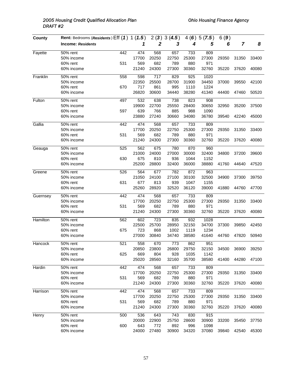| County   | Rent: Bedrooms (Residents) Eff (1) 1 (1.5) |     |       |                  | 2(3)3(4.5) |       | 4(6)5(7.5) | 6(9)  |                |       |
|----------|--------------------------------------------|-----|-------|------------------|------------|-------|------------|-------|----------------|-------|
|          | <b>Income: Residents</b>                   |     | 1     | $\boldsymbol{2}$ | 3          | 4     | 5          | 6     | $\overline{7}$ | 8     |
| Fayette  | 50% rent                                   | 442 | 474   | 568              | 657        | 733   | 809        |       |                |       |
|          | 50% income                                 |     | 17700 | 20250            | 22750      | 25300 | 27300      | 29350 | 31350          | 33400 |
|          | 60% rent                                   | 531 | 569   | 682              | 789        | 880   | 971        |       |                |       |
|          | 60% income                                 |     | 21240 | 24300            | 27300      | 30360 | 32760      | 35220 | 37620          | 40080 |
| Franklin | 50% rent                                   | 558 | 598   | 717              | 829        | 925   | 1020       |       |                |       |
|          | 50% income                                 |     | 22350 | 25500            | 28700      | 31900 | 34450      | 37000 | 39550          | 42100 |
|          | 60% rent                                   | 670 | 717   | 861              | 995        | 1110  | 1224       |       |                |       |
|          | 60% income                                 |     | 26820 | 30600            | 34440      | 38280 | 41340      | 44400 | 47460          | 50520 |
| Fulton   | 50% rent                                   | 497 | 532   | 638              | 738        | 823   | 908        |       |                |       |
|          | 50% income                                 |     | 19900 | 22700            | 25550      | 28400 | 30650      | 32950 | 35200          | 37500 |
|          | 60% rent                                   | 597 | 639   | 766              | 885        | 988   | 1090       |       |                |       |
|          | 60% income                                 |     | 23880 | 27240            | 30660      | 34080 | 36780      | 39540 | 42240          | 45000 |
| Gallia   | 50% rent                                   | 442 | 474   | 568              | 657        | 733   | 809        |       |                |       |
|          | 50% income                                 |     | 17700 | 20250            | 22750      | 25300 | 27300      | 29350 | 31350          | 33400 |
|          | 60% rent                                   | 531 | 569   | 682              | 789        | 880   | 971        |       |                |       |
|          | 60% income                                 |     | 21240 | 24300            | 27300      | 30360 | 32760      | 35220 | 37620          | 40080 |
| Geauga   | 50% rent                                   | 525 | 562   | 675              | 780        | 870   | 960        |       |                |       |
|          | 50% income                                 |     | 21000 | 24000            | 27000      | 30000 | 32400      | 34800 | 37200          | 39600 |
|          | 60% rent                                   | 630 | 675   | 810              | 936        | 1044  | 1152       |       |                |       |
|          | 60% income                                 |     | 25200 | 28800            | 32400      | 36000 | 38880      | 41760 | 44640          | 47520 |
| Greene   | 50% rent                                   | 526 | 564   | 677              | 782        | 872   | 963        |       |                |       |
|          | 50% income                                 |     | 21050 | 24100            | 27100      | 30100 | 32500      | 34900 | 37300          | 39750 |
|          | 60% rent                                   | 631 | 677   | 813              | 939        | 1047  | 1155       |       |                |       |
|          | 60% income                                 |     | 25260 | 28920            | 32520      | 36120 | 39000      | 41880 | 44760          | 47700 |
| Guernsey | 50% rent                                   | 442 | 474   | 568              | 657        | 733   | 809        |       |                |       |
|          | 50% income                                 |     | 17700 | 20250            | 22750      | 25300 | 27300      | 29350 | 31350          | 33400 |
|          | 60% rent                                   | 531 | 569   | 682              | 789        | 880   | 971        |       |                |       |
|          | 60% income                                 |     | 21240 | 24300            | 27300      | 30360 | 32760      | 35220 | 37620          | 40080 |
| Hamilton | 50% rent                                   | 562 | 602   | 723              | 835        | 932   | 1028       |       |                |       |
|          | 50% income                                 |     | 22500 | 25700            | 28950      | 32150 | 34700      | 37300 | 39850          | 42450 |
|          | 60% rent                                   | 675 | 723   | 868              | 1002       | 1119  | 1234       |       |                |       |
|          | 60% income                                 |     | 27000 | 30840            | 34740      | 38580 | 41640      | 44760 | 47820          | 50940 |
| Hancock  | 50% rent                                   | 521 | 558   | 670              | 773        | 862   | 951        |       |                |       |
|          | 50% income                                 |     | 20850 | 23800            | 26800      | 29750 | 32150      | 34500 | 36900          | 39250 |
|          | 60% rent                                   | 625 | 669   | 804              | 928        | 1035  | 1142       |       |                |       |
|          | 60% income                                 |     | 25020 | 28560            | 32160      | 35700 | 38580      | 41400 | 44280          | 47100 |
| Hardin   | 50% rent                                   | 442 | 474   | 568              | 657        | 733   | 809        |       |                |       |
|          | 50% income                                 |     | 17700 | 20250            | 22750      | 25300 | 27300      | 29350 | 31350          | 33400 |
|          | 60% rent                                   | 531 | 569   | 682              | 789        | 880   | 971        |       |                |       |
|          | 60% income                                 |     | 21240 | 24300            | 27300      | 30360 | 32760      | 35220 | 37620          | 40080 |
| Harrison | 50% rent                                   | 442 | 474   | 568              | 657        | 733   | 809        |       |                |       |
|          | 50% income                                 |     | 17700 | 20250            | 22750      | 25300 | 27300      | 29350 | 31350          | 33400 |
|          | 60% rent                                   | 531 | 569   | 682              | 789        | 880   | 971        |       |                |       |
|          | 60% income                                 |     | 21240 | 24300            | 27300      | 30360 | 32760      | 35220 | 37620          | 40080 |
| Henry    | 50% rent                                   | 500 | 536   | 643              | 743        | 830   | 915        |       |                |       |
|          | 50% income                                 |     | 20000 | 22900            | 25750      | 28600 | 30900      | 33200 | 35450          | 37750 |
|          | 60% rent                                   | 600 | 643   | 772              | 892        | 996   | 1098       |       |                |       |
|          | 60% income                                 |     | 24000 | 27480            | 30900      | 34320 | 37080      | 39840 | 42540          | 45300 |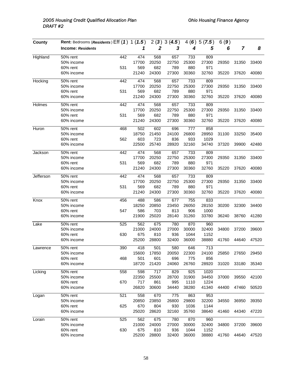| County       | Rent: Bedrooms (Residents) Eff (1) 1 (1.5) |     |       |                  | 2(3)3(4.5) |       | 4(6)5(7.5) | 6(9)  |                |       |
|--------------|--------------------------------------------|-----|-------|------------------|------------|-------|------------|-------|----------------|-------|
|              | <b>Income: Residents</b>                   |     | 1     | $\boldsymbol{2}$ | 3          | 4     | 5          | 6     | $\overline{7}$ | 8     |
| Highland     | 50% rent                                   | 442 | 474   | 568              | 657        | 733   | 809        |       |                |       |
|              | 50% income                                 |     | 17700 | 20250            | 22750      | 25300 | 27300      | 29350 | 31350          | 33400 |
|              | 60% rent                                   | 531 | 569   | 682              | 789        | 880   | 971        |       |                |       |
|              | 60% income                                 |     | 21240 | 24300            | 27300      | 30360 | 32760      | 35220 | 37620          | 40080 |
| Hocking      | 50% rent                                   | 442 | 474   | 568              | 657        | 733   | 809        |       |                |       |
|              | 50% income                                 |     | 17700 | 20250            | 22750      | 25300 | 27300      | 29350 | 31350          | 33400 |
|              | 60% rent                                   | 531 | 569   | 682              | 789        | 880   | 971        |       |                |       |
|              | 60% income                                 |     | 21240 | 24300            | 27300      | 30360 | 32760      | 35220 | 37620          | 40080 |
| Holmes       | 50% rent                                   | 442 | 474   | 568              | 657        | 733   | 809        |       |                |       |
|              | 50% income                                 |     | 17700 | 20250            | 22750      | 25300 | 27300      | 29350 | 31350          | 33400 |
|              | 60% rent                                   | 531 | 569   | 682              | 789        | 880   | 971        |       |                |       |
|              | 60% income                                 |     | 21240 | 24300            | 27300      | 30360 | 32760      | 35220 | 37620          | 40080 |
| <b>Huron</b> | 50% rent                                   | 468 | 502   | 602              | 696        | 777   | 858        |       |                |       |
|              | 50% income                                 |     | 18750 | 21450            | 24100      | 26800 | 28950      | 31100 | 33250          | 35400 |
|              | 60% rent                                   | 562 | 603   | 723              | 836        | 933   | 1029       |       |                |       |
|              | 60% income                                 |     | 22500 | 25740            | 28920      | 32160 | 34740      | 37320 | 39900          | 42480 |
| Jackson      | 50% rent                                   | 442 | 474   | 568              | 657        | 733   | 809        |       |                |       |
|              | 50% income                                 |     | 17700 | 20250            | 22750      | 25300 | 27300      | 29350 | 31350          | 33400 |
|              | 60% rent                                   | 531 | 569   | 682              | 789        | 880   | 971        |       |                |       |
|              | 60% income                                 |     | 21240 | 24300            | 27300      | 30360 | 32760      | 35220 | 37620          | 40080 |
| Jefferson    | 50% rent                                   | 442 | 474   | 568              | 657        | 733   | 809        |       |                |       |
|              | 50% income                                 |     | 17700 | 20250            | 22750      | 25300 | 27300      | 29350 | 31350          | 33400 |
|              | 60% rent                                   | 531 | 569   | 682              | 789        | 880   | 971        |       |                |       |
|              | 60% income                                 |     | 21240 | 24300            | 27300      | 30360 | 32760      | 35220 | 37620          | 40080 |
| Knox         | 50% rent                                   | 456 | 488   | 586              | 677        | 755   | 833        |       |                |       |
|              | 50% income                                 |     | 18250 | 20850            | 23450      | 26050 | 28150      | 30200 | 32300          | 34400 |
|              | 60% rent                                   | 547 | 586   | 703              | 813        | 906   | 1000       |       |                |       |
|              | 60% income                                 |     | 21900 | 25020            | 28140      | 31260 | 33780      | 36240 | 38760          | 41280 |
| Lake         | 50% rent                                   | 525 | 562   | 675              | 780        | 870   | 960        |       |                |       |
|              | 50% income                                 |     | 21000 | 24000            | 27000      | 30000 | 32400      | 34800 | 37200          | 39600 |
|              | 60% rent                                   | 630 | 675   | 810              | 936        | 1044  | 1152       |       |                |       |
|              | 60% income                                 |     | 25200 | 28800            | 32400      | 36000 | 38880      | 41760 | 44640          | 47520 |
| Lawrence     | 50% rent                                   | 390 | 418   | 501              | 580        | 646   | 713        |       |                |       |
|              | 50% income                                 |     | 15600 | 17850            | 20050      | 22300 | 24100      | 25850 | 27650          | 29450 |
|              | 60% rent                                   | 468 | 501   | 601              | 696        | 775   | 856        |       |                |       |
|              | 60% income                                 |     | 18720 | 21420            | 24060      | 26760 | 28920      | 31020 | 33180          | 35340 |
| Licking      | 50% rent                                   | 558 | 598   | 717              | 829        | 925   | 1020       |       |                |       |
|              | 50% income                                 |     | 22350 | 25500            | 28700      | 31900 | 34450      | 37000 | 39550          | 42100 |
|              | 60% rent                                   | 670 | 717   | 861              | 995        | 1110  | 1224       |       |                |       |
|              | 60% income                                 |     | 26820 | 30600            | 34440      | 38280 | 41340      | 44400 | 47460          | 50520 |
| Logan        | 50% rent                                   | 521 | 558   | 670              | 775        | 863   | 953        |       |                |       |
|              | 50% income                                 |     | 20850 | 23850            | 26800      | 29800 | 32200      | 34550 | 36950          | 39350 |
|              | 60% rent                                   | 625 | 670   | 804              | 930        | 1036  | 1144       |       |                |       |
|              | 60% income                                 |     | 25020 | 28620            | 32160      | 35760 | 38640      | 41460 | 44340          | 47220 |
| Lorain       | 50% rent                                   | 525 | 562   | 675              | 780        | 870   | 960        |       |                |       |
|              | 50% income                                 |     | 21000 | 24000            | 27000      | 30000 | 32400      | 34800 | 37200          | 39600 |
|              | 60% rent                                   | 630 | 675   | 810              | 936        | 1044  | 1152       |       |                |       |
|              | 60% income                                 |     | 25200 | 28800            | 32400      | 36000 | 38880      | 41760 | 44640          | 47520 |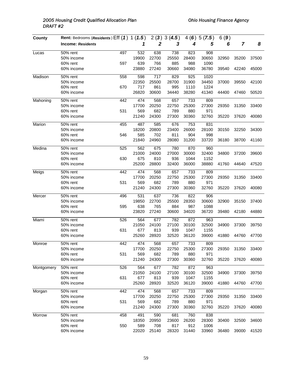| County     | Rent: Bedrooms (Residents) Eff (1) 1 (1.5) |     |       |                  | 2(3)3(4.5) |       | 4(6)5(7.5) | 6(9)  |                |       |
|------------|--------------------------------------------|-----|-------|------------------|------------|-------|------------|-------|----------------|-------|
|            | <b>Income: Residents</b>                   |     | 1     | $\boldsymbol{2}$ | 3          | 4     | 5          | 6     | $\overline{7}$ | 8     |
| Lucas      | 50% rent                                   | 497 | 532   | 638              | 738        | 823   | 908        |       |                |       |
|            | 50% income                                 |     | 19900 | 22700            | 25550      | 28400 | 30650      | 32950 | 35200          | 37500 |
|            | 60% rent                                   | 597 | 639   | 766              | 885        | 988   | 1090       |       |                |       |
|            | 60% income                                 |     | 23880 | 27240            | 30660      | 34080 | 36780      | 39540 | 42240          | 45000 |
| Madison    | 50% rent                                   | 558 | 598   | 717              | 829        | 925   | 1020       |       |                |       |
|            | 50% income                                 |     | 22350 | 25500            | 28700      | 31900 | 34450      | 37000 | 39550          | 42100 |
|            | 60% rent                                   | 670 | 717   | 861              | 995        | 1110  | 1224       |       |                |       |
|            | 60% income                                 |     | 26820 | 30600            | 34440      | 38280 | 41340      | 44400 | 47460          | 50520 |
| Mahoning   | 50% rent                                   | 442 | 474   | 568              | 657        | 733   | 809        |       |                |       |
|            | 50% income                                 |     | 17700 | 20250            | 22750      | 25300 | 27300      | 29350 | 31350          | 33400 |
|            | 60% rent                                   | 531 | 569   | 682              | 789        | 880   | 971        |       |                |       |
|            | 60% income                                 |     | 21240 | 24300            | 27300      | 30360 | 32760      | 35220 | 37620          | 40080 |
| Marion     | 50% rent                                   | 455 | 487   | 585              | 676        | 753   | 831        |       |                |       |
|            | 50% income                                 |     | 18200 | 20800            | 23400      | 26000 | 28100      | 30150 | 32250          | 34300 |
|            | 60% rent                                   | 546 | 585   | 702              | 811        | 904   | 998        |       |                |       |
|            | 60% income                                 |     | 21840 | 24960            | 28080      | 31200 | 33720      | 36180 | 38700          | 41160 |
| Medina     | 50% rent                                   | 525 | 562   | 675              | 780        | 870   | 960        |       |                |       |
|            | 50% income                                 |     | 21000 | 24000            | 27000      | 30000 | 32400      | 34800 | 37200          | 39600 |
|            | 60% rent                                   | 630 | 675   | 810              | 936        | 1044  | 1152       |       |                |       |
|            | 60% income                                 |     | 25200 | 28800            | 32400      | 36000 | 38880      | 41760 | 44640          | 47520 |
| Meigs      | 50% rent                                   | 442 | 474   | 568              | 657        | 733   | 809        |       |                |       |
|            | 50% income                                 |     | 17700 | 20250            | 22750      | 25300 | 27300      | 29350 | 31350          | 33400 |
|            | 60% rent                                   | 531 | 569   | 682              | 789        | 880   | 971        |       |                |       |
|            | 60% income                                 |     | 21240 | 24300            | 27300      | 30360 | 32760      | 35220 | 37620          | 40080 |
| Mercer     | 50% rent                                   | 496 | 531   | 637              | 736        | 822   | 906        |       |                |       |
|            | 50% income                                 |     | 19850 | 22700            | 25500      | 28350 | 30600      | 32900 | 35150          | 37400 |
|            | 60% rent                                   | 595 | 638   | 765              | 884        | 987   | 1088       |       |                |       |
|            | 60% income                                 |     | 23820 | 27240            | 30600      | 34020 | 36720      | 39480 | 42180          | 44880 |
| Miami      | 50% rent                                   | 526 | 564   | 677              | 782        | 872   | 963        |       |                |       |
|            | 50% income                                 |     | 21050 | 24100            | 27100      | 30100 | 32500      | 34900 | 37300          | 39750 |
|            | 60% rent                                   | 631 | 677   | 813              | 939        | 1047  | 1155       |       |                |       |
|            | 60% income                                 |     | 25260 | 28920            | 32520      | 36120 | 39000      | 41880 | 44760          | 47700 |
| Monroe     | 50% rent                                   | 442 | 474   | 568              | 657        | 733   | 809        |       |                |       |
|            | 50% income                                 |     | 17700 | 20250            | 22750      | 25300 | 27300      | 29350 | 31350          | 33400 |
|            | 60% rent                                   | 531 | 569   | 682              | 789        | 880   | 971        |       |                |       |
|            | 60% income                                 |     | 21240 | 24300            | 27300      | 30360 | 32760      | 35220 | 37620          | 40080 |
| Montgomery | 50% rent                                   | 526 | 564   | 677              | 782        | 872   | 963        |       |                |       |
|            | 50% income                                 |     | 21050 | 24100            | 27100      | 30100 | 32500      | 34900 | 37300          | 39750 |
|            | 60% rent                                   | 631 | 677   | 813              | 939        | 1047  | 1155       |       |                |       |
|            | 60% income                                 |     | 25260 | 28920            | 32520      | 36120 | 39000      | 41880 | 44760          | 47700 |
| Morgan     | $\overline{5}0\%$ rent                     | 442 | 474   | 568              | 657        | 733   | 809        |       |                |       |
|            | 50% income                                 |     | 17700 | 20250            | 22750      | 25300 | 27300      | 29350 | 31350          | 33400 |
|            | 60% rent                                   | 531 | 569   | 682              | 789        | 880   | 971        |       |                |       |
|            | 60% income                                 |     | 21240 | 24300            | 27300      | 30360 | 32760      | 35220 | 37620          | 40080 |
| Morrow     | $\overline{50\%}$ rent                     | 458 | 491   | 590              | 681        | 760   | 838        |       |                |       |
|            | 50% income                                 |     | 18350 | 20950            | 23600      | 26200 | 28300      | 30400 | 32500          | 34600 |
|            | 60% rent                                   | 550 | 589   | 708              | 817        | 912   | 1006       |       |                |       |
|            | 60% income                                 |     | 22020 | 25140            | 28320      | 31440 | 33960      | 36480 | 39000          | 41520 |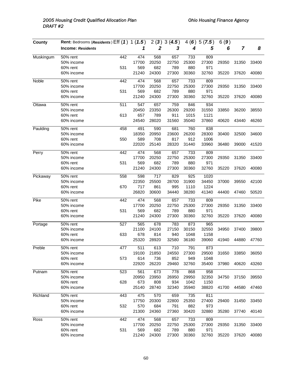| County    | Rent: Bedrooms (Residents) Eff (1) 1 (1.5) |     |       |                  | 2(3)3(4.5) | 4(6)  | 5(7.5) | 6(9)  |                |       |
|-----------|--------------------------------------------|-----|-------|------------------|------------|-------|--------|-------|----------------|-------|
|           | <b>Income: Residents</b>                   |     | 1     | $\boldsymbol{2}$ | 3          | 4     | 5      | 6     | $\overline{7}$ | 8     |
| Muskingum | 50% rent                                   | 442 | 474   | 568              | 657        | 733   | 809    |       |                |       |
|           | 50% income                                 |     | 17700 | 20250            | 22750      | 25300 | 27300  | 29350 | 31350          | 33400 |
|           | 60% rent                                   | 531 | 569   | 682              | 789        | 880   | 971    |       |                |       |
|           | 60% income                                 |     | 21240 | 24300            | 27300      | 30360 | 32760  | 35220 | 37620          | 40080 |
| Noble     | $\overline{50\%}$ rent                     | 442 | 474   | 568              | 657        | 733   | 809    |       |                |       |
|           | 50% income                                 |     | 17700 | 20250            | 22750      | 25300 | 27300  | 29350 | 31350          | 33400 |
|           | 60% rent                                   | 531 | 569   | 682              | 789        | 880   | 971    |       |                |       |
|           | 60% income                                 |     | 21240 | 24300            | 27300      | 30360 | 32760  | 35220 | 37620          | 40080 |
| Ottawa    | 50% rent                                   | 511 | 547   | 657              | 759        | 846   | 934    |       |                |       |
|           | 50% income                                 |     | 20450 | 23350            | 26300      | 29200 | 31550  | 33850 | 36200          | 38550 |
|           | 60% rent                                   | 613 | 657   | 789              | 911        | 1015  | 1121   |       |                |       |
|           | 60% income                                 |     | 24540 | 28020            | 31560      | 35040 | 37860  | 40620 | 43440          | 46260 |
| Paulding  | 50% rent                                   | 458 | 491   | 590              | 681        | 760   | 838    |       |                |       |
|           | 50% income                                 |     | 18350 | 20950            | 23600      | 26200 | 28300  | 30400 | 32500          | 34600 |
|           | 60% rent                                   | 550 | 589   | 708              | 817        | 912   | 1006   |       |                |       |
|           | 60% income                                 |     | 22020 | 25140            | 28320      | 31440 | 33960  | 36480 | 39000          | 41520 |
| Perry     | 50% rent                                   | 442 | 474   | 568              | 657        | 733   | 809    |       |                |       |
|           | 50% income                                 |     | 17700 | 20250            | 22750      | 25300 | 27300  | 29350 | 31350          | 33400 |
|           | 60% rent                                   | 531 | 569   | 682              | 789        | 880   | 971    |       |                |       |
|           | 60% income                                 |     | 21240 | 24300            | 27300      | 30360 | 32760  | 35220 | 37620          | 40080 |
| Pickaway  | $50%$ rent                                 | 558 | 598   | 717              | 829        | 925   | 1020   |       |                |       |
|           | 50% income                                 |     | 22350 | 25500            | 28700      | 31900 | 34450  | 37000 | 39550          | 42100 |
|           | 60% rent                                   | 670 | 717   | 861              | 995        | 1110  | 1224   |       |                |       |
|           | 60% income                                 |     | 26820 | 30600            | 34440      | 38280 | 41340  | 44400 | 47460          | 50520 |
| Pike      | 50% rent                                   | 442 | 474   | 568              | 657        | 733   | 809    |       |                |       |
|           | 50% income                                 |     | 17700 | 20250            | 22750      | 25300 | 27300  | 29350 | 31350          | 33400 |
|           | 60% rent                                   | 531 | 569   | 682              | 789        | 880   | 971    |       |                |       |
|           | 60% income                                 |     | 21240 | 24300            | 27300      | 30360 | 32760  | 35220 | 37620          | 40080 |
| Portage   | 50% rent                                   | 527 | 565   | 678              | 783        | 873   | 965    |       |                |       |
|           | 50% income                                 |     | 21100 | 24100            | 27150      | 30150 | 32550  | 34950 | 37400          | 39800 |
|           | 60% rent                                   | 633 | 678   | 814              | 940        | 1048  | 1158   |       |                |       |
|           | 60% income                                 |     | 25320 | 28920            | 32580      | 36180 | 39060  | 41940 | 44880          | 47760 |
| Preble    | 50% rent                                   | 477 | 511   | 613              | 710        | 791   | 873    |       |                |       |
|           | 50% income                                 |     | 19100 | 21850            | 24550      | 27300 | 29500  | 31650 | 33850          | 36050 |
|           | 60% rent                                   | 573 | 614   | 736              | 852        | 949   | 1048   |       |                |       |
|           | 60% income                                 |     | 22920 | 26220            | 29460      | 32760 | 35400  | 37980 | 40620          | 43260 |
| Putnam    | $50%$ rent                                 | 523 | 561   | 673              | 778        | 868   | 958    |       |                |       |
|           | 50% income                                 |     | 20950 | 23950            | 26950      | 29950 | 32350  | 34750 | 37150          | 39550 |
|           | 60% rent                                   | 628 | 673   | 808              | 934        | 1042  | 1150   |       |                |       |
|           | 60% income                                 |     | 25140 | 28740            | 32340      | 35940 | 38820  | 41700 | 44580          | 47460 |
| Richland  | 50% rent                                   | 443 | 475   | 570              | 659        | 735   | 811    |       |                |       |
|           | 50% income                                 |     | 17750 | 20300            | 22800      | 25350 | 27400  | 29400 | 31450          | 33450 |
|           | 60% rent                                   | 532 | 570   | 684              | 791        | 882   | 973    |       |                |       |
|           | 60% income                                 |     | 21300 | 24360            | 27360      | 30420 | 32880  | 35280 | 37740          | 40140 |
| Ross      | 50% rent                                   | 442 | 474   | 568              | 657        | 733   | 809    |       |                |       |
|           | 50% income                                 |     | 17700 | 20250            | 22750      | 25300 | 27300  | 29350 | 31350          | 33400 |
|           | 60% rent                                   | 531 | 569   | 682              | 789        | 880   | 971    |       |                |       |
|           | 60% income                                 |     | 21240 | 24300            | 27300      | 30360 | 32760  | 35220 | 37620          | 40080 |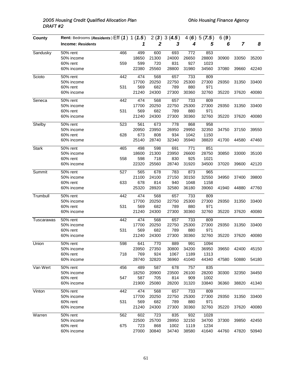| County       | Rent: Bedrooms (Residents) Eff (1) 1 (1.5) |     |       |                  | 2(3)3(4.5) |       | 4(6)5(7.5) | 6(9)  |                |       |
|--------------|--------------------------------------------|-----|-------|------------------|------------|-------|------------|-------|----------------|-------|
|              | <b>Income: Residents</b>                   |     | 1     | $\boldsymbol{2}$ | 3          | 4     | 5          | 6     | $\overline{7}$ | 8     |
| Sandusky     | 50% rent                                   | 466 | 499   | 600              | 693        | 772   | 853        |       |                |       |
|              | 50% income                                 |     | 18650 | 21300            | 24000      | 26650 | 28800      | 30900 | 33050          | 35200 |
|              | 60% rent                                   | 559 | 599   | 720              | 831        | 927   | 1023       |       |                |       |
|              | 60% income                                 |     | 22380 | 25560            | 28800      | 31980 | 34560      | 37080 | 39660          | 42240 |
| Scioto       | 50% rent                                   | 442 | 474   | 568              | 657        | 733   | 809        |       |                |       |
|              | 50% income                                 |     | 17700 | 20250            | 22750      | 25300 | 27300      | 29350 | 31350          | 33400 |
|              | 60% rent                                   | 531 | 569   | 682              | 789        | 880   | 971        |       |                |       |
|              | 60% income                                 |     | 21240 | 24300            | 27300      | 30360 | 32760      | 35220 | 37620          | 40080 |
| Seneca       | 50% rent                                   | 442 | 474   | 568              | 657        | 733   | 809        |       |                |       |
|              | 50% income                                 |     | 17700 | 20250            | 22750      | 25300 | 27300      | 29350 | 31350          | 33400 |
|              | 60% rent                                   | 531 | 569   | 682              | 789        | 880   | 971        |       |                |       |
|              | 60% income                                 |     | 21240 | 24300            | 27300      | 30360 | 32760      | 35220 | 37620          | 40080 |
| Shelby       | $50%$ rent                                 | 523 | 561   | 673              | 778        | 868   | 958        |       |                |       |
|              | 50% income                                 |     | 20950 | 23950            | 26950      | 29950 | 32350      | 34750 | 37150          | 39550 |
|              | 60% rent                                   | 628 | 673   | 808              | 934        | 1042  | 1150       |       |                |       |
|              | 60% income                                 |     | 25140 | 28740            | 32340      | 35940 | 38820      | 41700 | 44580          | 47460 |
| <b>Stark</b> | 50% rent                                   | 465 | 498   | 598              | 691        | 771   | 851        |       |                |       |
|              | 50% income                                 |     | 18600 | 21300            | 23950      | 26600 | 28750      | 30850 | 33000          | 35100 |
|              | 60% rent                                   | 558 | 598   | 718              | 830        | 925   | 1021       |       |                |       |
|              | 60% income                                 |     | 22320 | 25560            | 28740      | 31920 | 34500      | 37020 | 39600          | 42120 |
| Summit       | 50% rent                                   | 527 | 565   | 678              | 783        | 873   | 965        |       |                |       |
|              | 50% income                                 |     | 21100 | 24100            | 27150      | 30150 | 32550      | 34950 | 37400          | 39800 |
|              | 60% rent                                   | 633 | 678   | 814              | 940        | 1048  | 1158       |       |                |       |
|              | 60% income                                 |     | 25320 | 28920            | 32580      | 36180 | 39060      | 41940 | 44880          | 47760 |
| Trumbull     | 50% rent                                   | 442 | 474   | 568              | 657        | 733   | 809        |       |                |       |
|              | 50% income                                 |     | 17700 | 20250            | 22750      | 25300 | 27300      | 29350 | 31350          | 33400 |
|              | 60% rent                                   | 531 | 569   | 682              | 789        | 880   | 971        |       |                |       |
|              | 60% income                                 |     | 21240 | 24300            | 27300      | 30360 | 32760      | 35220 | 37620          | 40080 |
| Tuscarawas   | 50% rent                                   | 442 | 474   | 568              | 657        | 733   | 809        |       |                |       |
|              | 50% income                                 |     | 17700 | 20250            | 22750      | 25300 | 27300      | 29350 | 31350          | 33400 |
|              | 60% rent                                   | 531 | 569   | 682              | 789        | 880   | 971        |       |                |       |
|              | 60% income                                 |     | 21240 | 24300            | 27300      | 30360 | 32760      | 35220 | 37620          | 40080 |
| Union        | 50% rent                                   | 598 | 641   | 770              | 889        | 991   | 1094       |       |                |       |
|              | 50% income                                 |     | 23950 | 27350            | 30800      | 34200 | 36950      | 39650 | 42400          | 45150 |
|              | 60% rent                                   | 718 | 769   | 924              | 1067       | 1189  | 1313       |       |                |       |
|              | 60% income                                 |     | 28740 | 32820            | 36960      | 41040 | 44340      | 47580 | 50880          | 54180 |
| Van Wert     | 50% rent                                   | 456 | 489   | 587              | 678        | 757   | 835        |       |                |       |
|              | 50% income                                 |     | 18250 | 20900            | 23500      | 26100 | 28200      | 30300 | 32350          | 34450 |
|              | 60% rent                                   | 547 | 587   | 705              | 814        | 909   | 1002       |       |                |       |
|              | 60% income                                 |     | 21900 | 25080            | 28200      | 31320 | 33840      | 36360 | 38820          | 41340 |
| Vinton       | 50% rent                                   | 442 | 474   | 568              | 657        | 733   | 809        |       |                |       |
|              | 50% income                                 |     | 17700 | 20250            | 22750      | 25300 | 27300      | 29350 | 31350          | 33400 |
|              | 60% rent                                   | 531 | 569   | 682              | 789        | 880   | 971        |       |                |       |
|              | 60% income                                 |     | 21240 | 24300            | 27300      | 30360 | 32760      | 35220 | 37620          | 40080 |
| Warren       | 50% rent                                   | 562 | 602   | 723              | 835        | 932   | 1028       |       |                |       |
|              | 50% income                                 |     | 22500 | 25700            | 28950      | 32150 | 34700      | 37300 | 39850          | 42450 |
|              | 60% rent                                   | 675 | 723   | 868              | 1002       | 1119  | 1234       |       |                |       |
|              | 60% income                                 |     | 27000 | 30840            | 34740      | 38580 | 41640      | 44760 | 47820          | 50940 |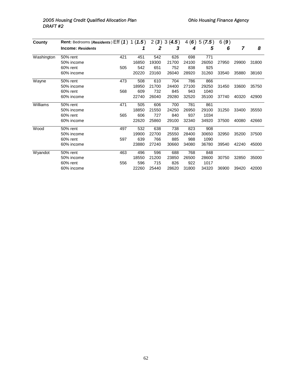### 2005 Housing Credit Qualified Allocation Plan **Communist Charles Communist Communist** Chio Housing Finance Agency *DRAFT #2*

| County     | Rent: Bedrooms (Residents) Eff (1) |     | 1(1.5) | $\mathbf{2}$<br>(3) | 3<br>(4.5) | (6)<br>4 | 5(7.5) | 6(9)  |       |       |
|------------|------------------------------------|-----|--------|---------------------|------------|----------|--------|-------|-------|-------|
|            | <b>Income: Residents</b>           |     | 1      | 2                   | 3          | 4        | 5      | 6     | 7     | 8     |
| Washington | 50% rent                           | 421 | 451    | 542                 | 626        | 698      | 771    |       |       |       |
|            | 50% income                         |     | 16850  | 19300               | 21700      | 24100    | 26050  | 27950 | 29900 | 31800 |
|            | 60% rent                           | 505 | 542    | 651                 | 752        | 838      | 925    |       |       |       |
|            | 60% income                         |     | 20220  | 23160               | 26040      | 28920    | 31260  | 33540 | 35880 | 38160 |
| Wayne      | 50% rent                           | 473 | 508    | 610                 | 704        | 786      | 866    |       |       |       |
|            | 50% income                         |     | 18950  | 21700               | 24400      | 27100    | 29250  | 31450 | 33600 | 35750 |
|            | 60% rent                           | 568 | 609    | 732                 | 845        | 943      | 1040   |       |       |       |
|            | 60% income                         |     | 22740  | 26040               | 29280      | 32520    | 35100  | 37740 | 40320 | 42900 |
| Williams   | 50% rent                           | 471 | 505    | 606                 | 700        | 781      | 861    |       |       |       |
|            | 50% income                         |     | 18850  | 21550               | 24250      | 26950    | 29100  | 31250 | 33400 | 35550 |
|            | $60\%$ rent                        | 565 | 606    | 727                 | 840        | 937      | 1034   |       |       |       |
|            | 60% income                         |     | 22620  | 25860               | 29100      | 32340    | 34920  | 37500 | 40080 | 42660 |
| Wood       | 50% rent                           | 497 | 532    | 638                 | 738        | 823      | 908    |       |       |       |
|            | 50% income                         |     | 19900  | 22700               | 25550      | 28400    | 30650  | 32950 | 35200 | 37500 |
|            | 60% rent                           | 597 | 639    | 766                 | 885        | 988      | 1090   |       |       |       |
|            | 60% income                         |     | 23880  | 27240               | 30660      | 34080    | 36780  | 39540 | 42240 | 45000 |
| Wyandot    | 50% rent                           | 463 | 496    | 596                 | 688        | 768      | 848    |       |       |       |
|            | 50% income                         |     | 18550  | 21200               | 23850      | 26500    | 28600  | 30750 | 32850 | 35000 |
|            | 60% rent                           | 556 | 596    | 715                 | 826        | 922      | 1017   |       |       |       |
|            | 60% income                         |     | 22260  | 25440               | 28620      | 31800    | 34320  | 36900 | 39420 | 42000 |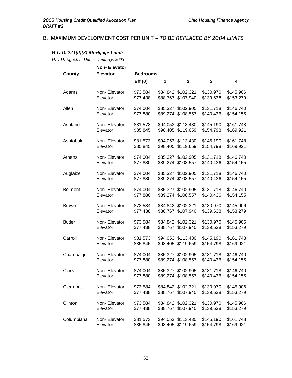## B. MAXIMUM DEVELOPMENT COST PER UNIT – *TO BE REPLACED BY 2004 LIMITS*

#### *H.U.D. 221(d)(3) Mortgage Limits*

*H.U.D. Effective Date: January, 2003*

|                | <b>Non-Elevator</b>       |                      |   |                                          |                        |                        |
|----------------|---------------------------|----------------------|---|------------------------------------------|------------------------|------------------------|
| <b>County</b>  | <b>Elevator</b>           | <b>Bedrooms</b>      |   |                                          |                        |                        |
|                |                           | Eff(0)               | 1 | $\overline{\mathbf{2}}$                  | 3                      | 4                      |
| Adams          | Non-Elevator<br>Elevator  | \$73,584<br>\$77,438 |   | \$84,842 \$102,321<br>\$88,767 \$107,940 | \$130,970<br>\$139,638 | \$145,906<br>\$153,279 |
| Allen          | Non-Elevator<br>Elevator  | \$74,004<br>\$77,880 |   | \$85,327 \$102,905<br>\$89,274 \$108,557 | \$131,718<br>\$140,436 | \$146,740<br>\$154,155 |
| Ashland        | Non-Elevator<br>Elevator  | \$81,573<br>\$85,845 |   | \$94,053 \$113,430<br>\$98,405 \$119,659 | \$145,190<br>\$154,798 | \$161,748<br>\$169,921 |
| Ashtabula      | Non-Elevator<br>Elevator  | \$81,573<br>\$85,845 |   | \$94,053 \$113,430<br>\$98,405 \$119,659 | \$145,190<br>\$154,798 | \$161,748<br>\$169,921 |
| Athens         | Non-Elevator<br>Elevator  | \$74,004<br>\$77,880 |   | \$85,327 \$102,905<br>\$89,274 \$108,557 | \$131,718<br>\$140,436 | \$146,740<br>\$154,155 |
| Auglaize       | Non-Elevator<br>Elevator  | \$74,004<br>\$77,880 |   | \$85,327 \$102,905<br>\$89,274 \$108,557 | \$131,718<br>\$140,436 | \$146,740<br>\$154,155 |
| <b>Belmont</b> | Non-Elevator<br>Elevator  | \$74,004<br>\$77,880 |   | \$85,327 \$102,905<br>\$89,274 \$108,557 | \$131,718<br>\$140,436 | \$146,740<br>\$154,155 |
| <b>Brown</b>   | Non-Elevator<br>Elevator  | \$73,584<br>\$77,438 |   | \$84,842 \$102,321<br>\$88,767 \$107,940 | \$130,970<br>\$139,638 | \$145,906<br>\$153,279 |
| <b>Butler</b>  | Non- Elevator<br>Elevator | \$73,584<br>\$77,438 |   | \$84,842 \$102,321<br>\$88,767 \$107,940 | \$130,970<br>\$139,638 | \$145,906<br>\$153,279 |
| Carroll        | Non- Elevator<br>Elevator | \$81,573<br>\$85,845 |   | \$94,053 \$113,430<br>\$98,405 \$119,659 | \$145,190<br>\$154,798 | \$161,748<br>\$169,921 |
| Champaign      | Non-Elevator<br>Elevator  | \$74,004<br>\$77,880 |   | \$85,327 \$102,905<br>\$89,274 \$108,557 | \$131,718<br>\$140,436 | \$146,740<br>\$154,155 |
| Clark          | Non-Elevator<br>Elevator  | \$74,004<br>\$77,880 |   | \$85,327 \$102,905<br>\$89,274 \$108,557 | \$131,718<br>\$140,436 | \$146,740<br>\$154,155 |
| Clermont       | Non-Elevator<br>Elevator  | \$73,584<br>\$77,438 |   | \$84,842 \$102,321<br>\$88,767 \$107,940 | \$130,970<br>\$139,638 | \$145,906<br>\$153,279 |
| Clinton        | Non-Elevator<br>Elevator  | \$73,584<br>\$77,438 |   | \$84,842 \$102,321<br>\$88,767 \$107,940 | \$130,970<br>\$139,638 | \$145,906<br>\$153,279 |
| Columbiana     | Non-Elevator<br>Elevator  | \$81,573<br>\$85,845 |   | \$94,053 \$113,430<br>\$98,405 \$119,659 | \$145,190<br>\$154,798 | \$161,748<br>\$169,921 |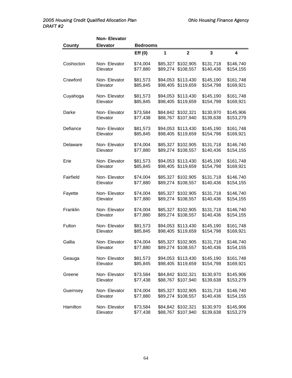|               | <b>Non-Elevator</b>      |                      |          |                                          |                         |                        |
|---------------|--------------------------|----------------------|----------|------------------------------------------|-------------------------|------------------------|
| <b>County</b> | <b>Elevator</b>          | <b>Bedrooms</b>      |          |                                          |                         |                        |
|               |                          | Eff(0)               | 1        | $\mathbf{2}$                             | $\overline{\mathbf{3}}$ | 4                      |
| Coshocton     | Non-Elevator<br>Elevator | \$74,004<br>\$77,880 |          | \$85,327 \$102,905<br>\$89,274 \$108,557 | \$131,718<br>\$140,436  | \$146,740<br>\$154,155 |
| Crawford      | Non-Elevator<br>Elevator | \$81,573<br>\$85,845 | \$98,405 | \$94,053 \$113,430<br>\$119,659          | \$145,190<br>\$154,798  | \$161,748<br>\$169,921 |
| Cuyahoga      | Non-Elevator<br>Elevator | \$81,573<br>\$85,845 | \$98,405 | \$94,053 \$113,430<br>\$119,659          | \$145,190<br>\$154,798  | \$161,748<br>\$169,921 |
| Darke         | Non-Elevator<br>Elevator | \$73,584<br>\$77,438 | \$88,767 | \$84,842 \$102,321<br>\$107,940          | \$130,970<br>\$139,638  | \$145,906<br>\$153,279 |
| Defiance      | Non-Elevator<br>Elevator | \$81,573<br>\$85,845 |          | \$94,053 \$113,430<br>\$98,405 \$119,659 | \$145,190<br>\$154,798  | \$161,748<br>\$169,921 |
| Delaware      | Non-Elevator<br>Elevator | \$74,004<br>\$77,880 | \$85,327 | \$102,905<br>\$89,274 \$108,557          | \$131,718<br>\$140,436  | \$146,740<br>\$154,155 |
| Erie          | Non-Elevator<br>Elevator | \$81,573<br>\$85,845 |          | \$94,053 \$113,430<br>\$98,405 \$119,659 | \$145,190<br>\$154,798  | \$161,748<br>\$169,921 |
| Fairfield     | Non-Elevator<br>Elevator | \$74,004<br>\$77,880 |          | \$85,327 \$102,905<br>\$89,274 \$108,557 | \$131,718<br>\$140,436  | \$146,740<br>\$154,155 |
| Fayette       | Non-Elevator<br>Elevator | \$74,004<br>\$77,880 | \$85,327 | \$102,905<br>\$89,274 \$108,557          | \$131,718<br>\$140,436  | \$146,740<br>\$154,155 |
| Franklin      | Non-Elevator<br>Elevator | \$74,004<br>\$77,880 |          | \$85,327 \$102,905<br>\$89,274 \$108,557 | \$131,718<br>\$140,436  | \$146,740<br>\$154,155 |
| Fulton        | Non-Elevator<br>Elevator | \$81,573<br>\$85,845 |          | \$94,053 \$113,430<br>\$98,405 \$119,659 | \$145,190<br>\$154,798  | \$161,748<br>\$169,921 |
| Gallia        | Non-Elevator<br>Elevator | \$74,004<br>\$77,880 |          | \$85,327 \$102,905<br>\$89,274 \$108,557 | \$131,718<br>\$140,436  | \$146,740<br>\$154,155 |
| Geauga        | Non-Elevator<br>Elevator | \$81,573<br>\$85,845 |          | \$94,053 \$113,430<br>\$98,405 \$119,659 | \$145,190<br>\$154,798  | \$161,748<br>\$169,921 |
| Greene        | Non-Elevator<br>Elevator | \$73,584<br>\$77,438 |          | \$84,842 \$102,321<br>\$88,767 \$107,940 | \$130,970<br>\$139,638  | \$145,906<br>\$153,279 |
| Guernsey      | Non-Elevator<br>Elevator | \$74,004<br>\$77,880 |          | \$85,327 \$102,905<br>\$89,274 \$108,557 | \$131,718<br>\$140,436  | \$146,740<br>\$154,155 |
| Hamilton      | Non-Elevator<br>Elevator | \$73,584<br>\$77,438 |          | \$84,842 \$102,321<br>\$88,767 \$107,940 | \$130,970<br>\$139,638  | \$145,906<br>\$153,279 |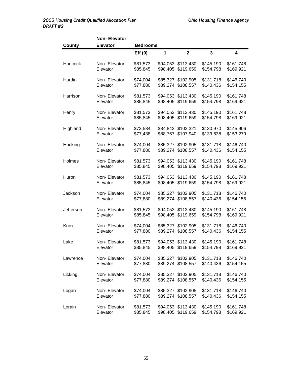|               | <b>Non-Elevator</b>      |                      |                      |                                          |                        |                        |
|---------------|--------------------------|----------------------|----------------------|------------------------------------------|------------------------|------------------------|
| <b>County</b> | <b>Elevator</b>          | <b>Bedrooms</b>      |                      |                                          |                        |                        |
|               |                          | Eff(0)               | 1                    | $\overline{2}$                           | 3                      | 4                      |
| Hancock       | Non-Elevator<br>Elevator | \$81,573<br>\$85,845 |                      | \$94,053 \$113,430<br>\$98,405 \$119,659 | \$145,190<br>\$154,798 | \$161,748<br>\$169,921 |
| Hardin        | Non-Elevator<br>Elevator | \$74,004<br>\$77,880 |                      | \$85,327 \$102,905<br>\$89,274 \$108,557 | \$131,718<br>\$140,436 | \$146,740<br>\$154,155 |
| Harrison      | Non-Elevator<br>Elevator | \$81,573<br>\$85,845 | \$98,405             | \$94,053 \$113,430<br>\$119,659          | \$145,190<br>\$154,798 | \$161,748<br>\$169,921 |
| Henry         | Non-Elevator<br>Elevator | \$81,573<br>\$85,845 | \$98,405             | \$94,053 \$113,430<br>\$119,659          | \$145,190<br>\$154,798 | \$161,748<br>\$169,921 |
| Highland      | Non-Elevator<br>Elevator | \$73,584<br>\$77,438 | \$88,767             | \$84,842 \$102,321<br>\$107,940          | \$130,970<br>\$139,638 | \$145,906<br>\$153,279 |
| Hocking       | Non-Elevator<br>Elevator | \$74,004<br>\$77,880 | \$85,327             | \$102,905<br>\$89,274 \$108,557          | \$131,718<br>\$140,436 | \$146,740<br>\$154,155 |
| Holmes        | Non-Elevator<br>Elevator | \$81,573<br>\$85,845 | \$94,053<br>\$98,405 | \$113,430<br>\$119,659                   | \$145,190<br>\$154,798 | \$161,748<br>\$169,921 |
| Huron         | Non-Elevator<br>Elevator | \$81,573<br>\$85,845 | \$98,405             | \$94,053 \$113,430<br>\$119,659          | \$145,190<br>\$154,798 | \$161,748<br>\$169,921 |
| Jackson       | Non-Elevator<br>Elevator | \$74,004<br>\$77,880 | \$85,327<br>\$89,274 | \$102,905<br>\$108,557                   | \$131,718<br>\$140,436 | \$146,740<br>\$154,155 |
| Jefferson     | Non-Elevator<br>Elevator | \$81,573<br>\$85,845 | \$94,053<br>\$98,405 | \$113,430<br>\$119,659                   | \$145,190<br>\$154,798 | \$161,748<br>\$169,921 |
| Knox          | Non-Elevator<br>Elevator | \$74,004<br>\$77,880 |                      | \$85,327 \$102,905<br>\$89,274 \$108,557 | \$131,718<br>\$140,436 | \$146,740<br>\$154,155 |
| Lake          | Non-Elevator<br>Elevator | \$81,573<br>\$85,845 |                      | \$94,053 \$113,430<br>\$98,405 \$119,659 | \$145,190<br>\$154,798 | \$161,748<br>\$169,921 |
| Lawrence      | Non-Elevator<br>Elevator | \$74,004<br>\$77,880 |                      | \$85,327 \$102,905<br>\$89,274 \$108,557 | \$131,718<br>\$140,436 | \$146,740<br>\$154,155 |
| Licking       | Non-Elevator<br>Elevator | \$74,004<br>\$77,880 |                      | \$85,327 \$102,905<br>\$89,274 \$108,557 | \$131,718<br>\$140,436 | \$146,740<br>\$154,155 |
| Logan         | Non-Elevator<br>Elevator | \$74,004<br>\$77,880 |                      | \$85,327 \$102,905<br>\$89,274 \$108,557 | \$131,718<br>\$140,436 | \$146,740<br>\$154,155 |
| Lorain        | Non-Elevator<br>Elevator | \$81,573<br>\$85,845 |                      | \$94,053 \$113,430<br>\$98,405 \$119,659 | \$145,190<br>\$154,798 | \$161,748<br>\$169,921 |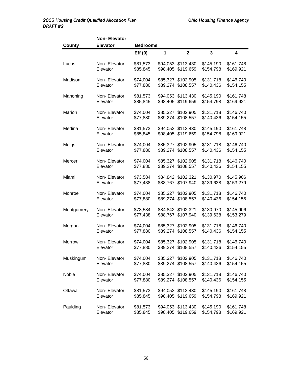|            | <b>Non-Elevator</b>      |                      |          |                                          |                        |                        |
|------------|--------------------------|----------------------|----------|------------------------------------------|------------------------|------------------------|
| County     | <b>Elevator</b>          | <b>Bedrooms</b>      |          |                                          |                        |                        |
|            |                          | Eff(0)               | 1        | $\overline{2}$                           | 3                      | 4                      |
| Lucas      | Non-Elevator             | \$81,573             |          | \$94,053 \$113,430                       | \$145,190              | \$161,748              |
|            | Elevator                 | \$85,845             |          | \$98,405 \$119,659                       | \$154,798              | \$169,921              |
| Madison    | Non-Elevator             | \$74,004             |          | \$85,327 \$102,905                       | \$131,718              | \$146,740              |
|            | Elevator                 | \$77,880             |          | \$89,274 \$108,557                       | \$140,436              | \$154,155              |
|            | Non-Elevator             |                      |          |                                          | \$145,190              |                        |
| Mahoning   | Elevator                 | \$81,573<br>\$85,845 |          | \$94,053 \$113,430<br>\$98,405 \$119,659 | \$154,798              | \$161,748<br>\$169,921 |
|            |                          |                      |          |                                          |                        |                        |
| Marion     | Non-Elevator             | \$74,004             |          | \$85,327 \$102,905                       | \$131,718              | \$146,740              |
|            | Elevator                 | \$77,880             |          | \$89,274 \$108,557                       | \$140,436              | \$154,155              |
| Medina     | Non-Elevator             | \$81,573             |          | \$94,053 \$113,430                       | \$145,190              | \$161,748              |
|            | Elevator                 | \$85,845             |          | \$98,405 \$119,659                       | \$154,798              | \$169,921              |
| Meigs      | Non-Elevator             | \$74,004             |          | \$85,327 \$102,905                       | \$131,718              | \$146,740              |
|            | Elevator                 | \$77,880             |          | \$89,274 \$108,557                       | \$140,436              | \$154,155              |
|            |                          |                      |          |                                          |                        |                        |
| Mercer     | Non-Elevator             | \$74,004             |          | \$85,327 \$102,905                       | \$131,718              | \$146,740              |
|            | Elevator                 | \$77,880             |          | \$89,274 \$108,557                       | \$140,436              | \$154,155              |
| Miami      | Non-Elevator             | \$73,584             |          | \$84,842 \$102,321                       | \$130,970              | \$145,906              |
|            | Elevator                 | \$77,438             | \$88,767 | \$107,940                                | \$139,638              | \$153,279              |
| Monroe     | Non-Elevator             | \$74,004             |          | \$85,327 \$102,905                       | \$131,718              | \$146,740              |
|            | Elevator                 | \$77,880             |          | \$89,274 \$108,557                       | \$140,436              | \$154,155              |
|            |                          |                      |          |                                          |                        |                        |
| Montgomery | Non-Elevator<br>Elevator | \$73,584<br>\$77,438 |          | \$84,842 \$102,321<br>\$88,767 \$107,940 | \$130,970<br>\$139,638 | \$145,906<br>\$153,279 |
|            |                          |                      |          |                                          |                        |                        |
| Morgan     | Non-Elevator             | \$74,004             |          | \$85,327 \$102,905                       | \$131,718              | \$146,740              |
|            | Elevator                 | \$77,880             |          | \$89,274 \$108,557                       | \$140,436              | \$154,155              |
| Morrow     | Non-Elevator             | \$74,004             |          | \$85,327 \$102,905                       | \$131,718              | \$146,740              |
|            | Elevator                 | \$77,880             |          | \$89,274 \$108,557                       | \$140,436              | \$154,155              |
|            |                          |                      |          |                                          |                        |                        |
| Muskingum  | Non-Elevator<br>Elevator | \$74,004<br>\$77,880 |          | \$85,327 \$102,905<br>\$89,274 \$108,557 | \$131,718<br>\$140,436 | \$146,740<br>\$154,155 |
|            |                          |                      |          |                                          |                        |                        |
| Noble      | Non-Elevator             | \$74,004             |          | \$85,327 \$102,905                       | \$131,718              | \$146,740              |
|            | Elevator                 | \$77,880             |          | \$89,274 \$108,557                       | \$140,436              | \$154,155              |
| Ottawa     | Non-Elevator             | \$81,573             |          | \$94,053 \$113,430                       | \$145,190              | \$161,748              |
|            | Elevator                 | \$85,845             |          | \$98,405 \$119,659                       | \$154,798              | \$169,921              |
| Paulding   | Non-Elevator             | \$81,573             |          | \$94,053 \$113,430                       | \$145,190              | \$161,748              |
|            | Elevator                 | \$85,845             |          | \$98,405 \$119,659                       | \$154,798              | \$169,921              |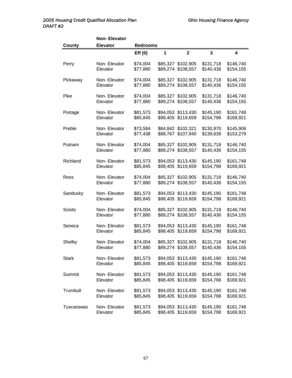|              | <b>Non-Elevator</b>       |                      |   |                                          |                        |                        |  |  |  |  |
|--------------|---------------------------|----------------------|---|------------------------------------------|------------------------|------------------------|--|--|--|--|
| County       | <b>Elevator</b>           | <b>Bedrooms</b>      |   |                                          |                        |                        |  |  |  |  |
|              |                           | Eff(0)               | 1 | $\overline{2}$                           | 3                      | 4                      |  |  |  |  |
| Perry        | Non-Elevator<br>Elevator  | \$74,004<br>\$77,880 |   | \$85,327 \$102,905<br>\$89,274 \$108,557 | \$131,718<br>\$140,436 | \$146,740<br>\$154,155 |  |  |  |  |
| Pickaway     | Non-Elevator<br>Elevator  | \$74,004<br>\$77,880 |   | \$85,327 \$102,905<br>\$89,274 \$108,557 | \$131,718<br>\$140,436 | \$146,740<br>\$154,155 |  |  |  |  |
| Pike         | Non-Elevator<br>Elevator  | \$74,004<br>\$77,880 |   | \$85,327 \$102,905<br>\$89,274 \$108,557 | \$131,718<br>\$140,436 | \$146,740<br>\$154,155 |  |  |  |  |
| Portage      | Non-Elevator<br>Elevator  | \$81,573<br>\$85,845 |   | \$94,053 \$113,430<br>\$98,405 \$119,659 | \$145,190<br>\$154,798 | \$161,748<br>\$169,921 |  |  |  |  |
| Preble       | Non-Elevator<br>Elevator  | \$73,584<br>\$77,438 |   | \$84,842 \$102,321<br>\$88,767 \$107,940 | \$130,970<br>\$139,638 | \$145,906<br>\$153,279 |  |  |  |  |
| Putnam       | Non-Elevator<br>Elevator  | \$74,004<br>\$77,880 |   | \$85,327 \$102,905<br>\$89,274 \$108,557 | \$131,718<br>\$140,436 | \$146,740<br>\$154,155 |  |  |  |  |
| Richland     | Non-Elevator<br>Elevator  | \$81,573<br>\$85,845 |   | \$94,053 \$113,430<br>\$98,405 \$119,659 | \$145,190<br>\$154,798 | \$161,748<br>\$169,921 |  |  |  |  |
| Ross         | Non-Elevator<br>Elevator  | \$74,004<br>\$77,880 |   | \$85,327 \$102,905<br>\$89,274 \$108,557 | \$131,718<br>\$140,436 | \$146,740<br>\$154,155 |  |  |  |  |
| Sandusky     | Non-Elevator<br>Elevator  | \$81,573<br>\$85,845 |   | \$94,053 \$113,430<br>\$98,405 \$119,659 | \$145,190<br>\$154,798 | \$161,748<br>\$169,921 |  |  |  |  |
| Scioto       | Non-Elevator<br>Elevator  | \$74,004<br>\$77,880 |   | \$85,327 \$102,905<br>\$89,274 \$108,557 | \$131,718<br>\$140,436 | \$146,740<br>\$154,155 |  |  |  |  |
| Seneca       | Non-Elevator<br>Elevator  | \$81,573<br>\$85,845 |   | \$94,053 \$113,430<br>\$98,405 \$119,659 | \$145,190<br>\$154,798 | \$161,748<br>\$169,921 |  |  |  |  |
| Shelby       | Non-Elevator<br>Elevator  | \$74,004<br>\$77,880 |   | \$85,327 \$102,905<br>\$89,274 \$108,557 | \$131,718<br>\$140,436 | \$146,740<br>\$154,155 |  |  |  |  |
| <b>Stark</b> | Non-Elevator<br>Elevator  | \$81,573<br>\$85,845 |   | \$94,053 \$113,430<br>\$98,405 \$119,659 | \$145,190<br>\$154,798 | \$161,748<br>\$169,921 |  |  |  |  |
| Summit       | Non-Elevator<br>Elevator  | \$81,573<br>\$85,845 |   | \$94,053 \$113,430<br>\$98,405 \$119,659 | \$145,190<br>\$154,798 | \$161,748<br>\$169,921 |  |  |  |  |
| Trumbull     | Non- Elevator<br>Elevator | \$81,573<br>\$85,845 |   | \$94,053 \$113,430<br>\$98,405 \$119,659 | \$145,190<br>\$154,798 | \$161,748<br>\$169,921 |  |  |  |  |
| Tuscarawas   | Non-Elevator<br>Elevator  | \$81,573<br>\$85,845 |   | \$94,053 \$113,430<br>\$98,405 \$119,659 | \$145,190<br>\$154,798 | \$161,748<br>\$169,921 |  |  |  |  |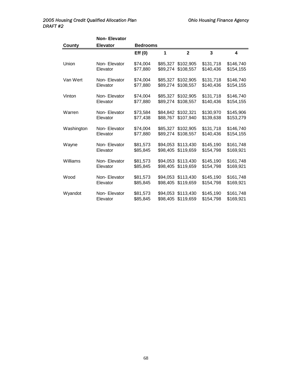| <b>County</b> | <b>Non-Elevator</b><br><b>Elevator</b> | <b>Bedrooms</b>      |                      |                                          |                        |                         |
|---------------|----------------------------------------|----------------------|----------------------|------------------------------------------|------------------------|-------------------------|
|               |                                        | Eff(0)               | 1                    | $\overline{2}$                           | 3                      | $\overline{\mathbf{4}}$ |
| Union         | Non-Elevator<br>Elevator               | \$74,004<br>\$77,880 |                      | \$85,327 \$102,905<br>\$89,274 \$108,557 | \$131,718<br>\$140,436 | \$146,740<br>\$154,155  |
| Van Wert      | Non-Elevator<br>Elevator               | \$74,004<br>\$77,880 |                      | \$85,327 \$102,905<br>\$89,274 \$108,557 | \$131,718<br>\$140,436 | \$146,740<br>\$154,155  |
| Vinton        | Non-Elevator<br>Elevator               | \$74,004<br>\$77,880 |                      | \$85,327 \$102,905<br>\$89,274 \$108,557 | \$131,718<br>\$140,436 | \$146,740<br>\$154,155  |
| Warren        | Non-Elevator<br>Elevator               | \$73,584<br>\$77,438 |                      | \$84,842 \$102,321<br>\$88,767 \$107,940 | \$130,970<br>\$139,638 | \$145,906<br>\$153,279  |
| Washington    | Non-Elevator<br>Elevator               | \$74,004<br>\$77,880 |                      | \$85,327 \$102,905<br>\$89,274 \$108,557 | \$131,718<br>\$140,436 | \$146,740<br>\$154,155  |
| Wayne         | Non-Elevator<br>Elevator               | \$81,573<br>\$85,845 |                      | \$94,053 \$113,430<br>\$98.405 \$119.659 | \$145,190<br>\$154,798 | \$161,748<br>\$169,921  |
| Williams      | Non-Elevator<br>Elevator               | \$81,573<br>\$85,845 |                      | \$94,053 \$113,430<br>\$98,405 \$119,659 | \$145,190<br>\$154,798 | \$161,748<br>\$169,921  |
| Wood          | Non-Elevator<br>Elevator               | \$81,573<br>\$85,845 | \$98,405             | \$94,053 \$113,430<br>\$119,659          | \$145,190<br>\$154,798 | \$161,748<br>\$169,921  |
| Wyandot       | Non-Elevator<br>Elevator               | \$81,573<br>\$85,845 | \$94.053<br>\$98,405 | \$113,430<br>\$119,659                   | \$145,190<br>\$154,798 | \$161,748<br>\$169,921  |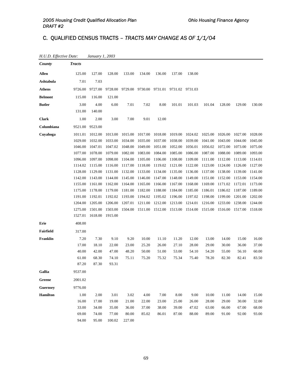# C. QUALIFIED CENSUS TRACTS *– TRACTS MAY CHANGE AS OF 1/1/04*

| County           | <b>Tracts</b> |         |         |         |                                         |         |         |                 |         |         |         |         |
|------------------|---------------|---------|---------|---------|-----------------------------------------|---------|---------|-----------------|---------|---------|---------|---------|
| <b>Allen</b>     | 125.00        | 127.00  | 128.00  | 133.00  | 134.00                                  | 136.00  | 137.00  | 138.00          |         |         |         |         |
| Ashtabula        | 7.01          | 7.03    |         |         |                                         |         |         |                 |         |         |         |         |
| <b>Athens</b>    | 9726.00       | 9727.00 | 9728.00 |         | 9729.00 9730.00 9731.01 9731.02 9731.03 |         |         |                 |         |         |         |         |
| <b>Belmont</b>   | 115.00        | 116.00  | 121.00  |         |                                         |         |         |                 |         |         |         |         |
| <b>Butler</b>    | 3.00          | 4.00    | 6.00    | 7.01    | 7.02                                    | 8.00    | 101.01  | 101.03          | 101.04  | 128.00  | 129.00  | 130.00  |
|                  | 131.00        | 140.00  |         |         |                                         |         |         |                 |         |         |         |         |
| <b>Clark</b>     | 1.00          | 2.00    | 3.00    | 7.00    | 9.01                                    | 12.00   |         |                 |         |         |         |         |
| Columbiana       | 9521.00       | 9523.00 |         |         |                                         |         |         |                 |         |         |         |         |
| Cuyahoga         | 1011.01       | 1012.00 | 1013.00 | 1015.00 | 1017.00                                 | 1018.00 | 1019.00 | 1024.02         | 1025.00 | 1026.00 | 1027.00 | 1028.00 |
|                  | 1029.00       | 1032.00 | 1033.00 | 1034.00 | 1035.00                                 | 1037.00 | 1038.00 | 1039.00         | 1041.00 | 1043.00 | 1044.00 | 1045.00 |
|                  | 1046.00       | 1047.01 | 1047.02 | 1048.00 | 1049.00                                 | 1051.00 | 1052.00 | 1056.01         | 1056.02 | 1072.00 | 1073.00 | 1075.00 |
|                  | 1077.00       | 1078.00 | 1079.00 | 1082.00 | 1083.00                                 | 1084.00 | 1085.00 | 1086.00         | 1087.00 | 1088.00 | 1089.00 | 1093.00 |
|                  | 1096.00       | 1097.00 | 1098.00 | 1104.00 | 1105.00                                 | 1106.00 | 1108.00 | 1109.00         | 1111.00 | 1112.00 | 1113.00 | 1114.01 |
|                  | 1114.02       | 1115.00 | 1116.00 | 1117.00 | 1118.00                                 | 1119.02 | 1121.00 | 1122.00         | 1123.00 | 1124.00 | 1126.00 | 1127.00 |
|                  | 1128.00       | 1129.00 | 1131.00 | 1132.00 | 1133.00                                 | 1134.00 | 1135.00 | 1136.00         | 1137.00 | 1138.00 | 1139.00 | 1141.00 |
|                  | 1142.00       | 1143.00 | 1144.00 | 1145.00 | 1146.00                                 | 1147.00 | 1148.00 | 1149.00         | 1151.00 | 1152.00 | 1153.00 | 1154.00 |
|                  | 1155.00       | 1161.00 | 1162.00 | 1164.00 | 1165.00                                 | 1166.00 | 1167.00 | 1168.00         | 1169.00 | 1171.02 | 1172.01 | 1173.00 |
|                  | 1175.00       | 1178.00 | 1179.00 | 1181.00 | 1182.00                                 | 1188.00 | 1184.00 | 1185.00         | 1186.01 | 1186.02 | 1187.00 | 1189.00 |
|                  | 1191.00       | 1192.01 | 1192.02 | 1193.00 | 1194.02                                 | 1195.02 | 1196.00 | 1197.02         | 1198.00 | 1199.00 | 1201.00 | 1202.00 |
|                  | 1204.00       | 1205.00 | 1206.00 | 1207.01 | 1211.00                                 | 1212.00 | 1213.00 | 1214.01         | 1216.00 | 1233.00 | 1238.00 | 1244.00 |
|                  | 1275.00       | 1501.00 | 1503.00 | 1504.00 | 1511.00 1512.00                         |         | 1513.00 | 1514.00 1515.00 |         | 1516.00 | 1517.00 | 1518.00 |
|                  | 1527.01       | 1618.00 | 1915.00 |         |                                         |         |         |                 |         |         |         |         |
| Erie             | 408.00        |         |         |         |                                         |         |         |                 |         |         |         |         |
| <b>Fairfield</b> | 317.00        |         |         |         |                                         |         |         |                 |         |         |         |         |
| <b>Franklin</b>  | 7.20          | 7.30    | 9.10    | 9.20    | 10.00                                   | 11.10   | 11.20   | 12.00           | 13.00   | 14.00   | 15.00   | 16.00   |
|                  | 17.00         | 18.10   | 22.00   | 23.00   | 25.20                                   | 26.00   | 27.10   | 28.00           | 29.00   | 30.00   | 36.00   | 37.00   |
|                  | 40.00         | 42.00   | 47.00   | 48.20   | 50.00                                   | 51.00   | 53.00   | 54.10           | 54.20   | 55.00   | 56.10   | 60.00   |
|                  | 61.00         | 68.30   | 74.10   | 75.11   | 75.20                                   | 75.32   | 75.34   | 75.40           | 78.20   | 82.30   | 82.41   | 83.50   |
|                  | 87.20         | 87.30   | 93.31   |         |                                         |         |         |                 |         |         |         |         |
| Gallia           | 9537.00       |         |         |         |                                         |         |         |                 |         |         |         |         |
| Greene           | 2001.02       |         |         |         |                                         |         |         |                 |         |         |         |         |
| <b>Guernsey</b>  | 9776.00       |         |         |         |                                         |         |         |                 |         |         |         |         |
| <b>Hamilton</b>  | 1.00          | 2.00    | 3.01    | 3.02    | 4.00                                    | 7.00    | 8.00    | 9.00            | 10.00   | 11.00   | 14.00   | 15.00   |
|                  | 16.00         | 17.00   | 19.00   | 21.00   | 22.00                                   | 23.00   | 25.00   | 26.00           | 28.00   | 29.00   | 30.00   | 32.00   |
|                  | 33.00         | 34.00   | 35.00   | 36.00   | 37.00                                   | 38.00   | 39.00   | 47.02           | 63.00   | 66.00   | 67.00   | 68.00   |
|                  | 69.00         | 74.00   | 77.00   | 80.00   | 85.02                                   | 86.01   | 87.00   | 88.00           | 89.00   | 91.00   | 92.00   | 93.00   |
|                  | 94.00         | 95.00   | 100.02  | 227.00  |                                         |         |         |                 |         |         |         |         |

#### *H.U.D. Effective Date: January 1, 2003*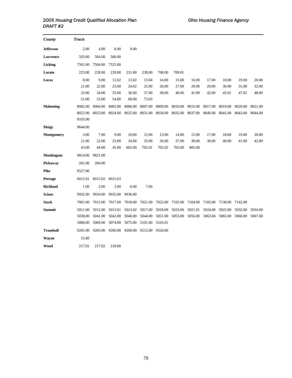| County            | <b>Tracts</b> |         |         |         |         |         |         |         |         |         |         |         |
|-------------------|---------------|---------|---------|---------|---------|---------|---------|---------|---------|---------|---------|---------|
| <b>Jefferson</b>  | 2.00          | 4.00    | 8.00    | 9.00    |         |         |         |         |         |         |         |         |
| Lawrence          | 503.00        | 504.00  | 506.00  |         |         |         |         |         |         |         |         |         |
| Licking           | 7501.00       | 7504.00 | 7525.00 |         |         |         |         |         |         |         |         |         |
| Lorain            | 223.00        | 228.00  | 229.00  | 231.00  | 238.00  | 708.00  | 709.01  |         |         |         |         |         |
| Lucas             | 8.00          | 9.00    | 12.02   | 13.02   | 13.04   | 14.00   | 15.00   | 16.00   | 17.00   | 18.00   | 19.00   | 20.00   |
|                   | 21.00         | 22.00   | 23.00   | 24.02   | 25.00   | 26.00   | 27.00   | 28.00   | 29.00   | 30.00   | 31.00   | 32.00   |
|                   | 33.00         | 34.00   | 35.00   | 36.00   | 37.00   | 38.00   | 40.00   | 41.00   | 42.00   | 43.01   | 47.01   | 48.00   |
|                   | 51.00         | 53.00   | 54.00   | 68.00   | 73.03   |         |         |         |         |         |         |         |
| <b>Mahoning</b>   | 8002.00       | 8004.00 | 8005.00 | 8006.00 | 8007.00 | 8009.00 | 8010.00 | 8016.00 | 8017.00 | 8019.00 | 8020.00 | 8021.00 |
|                   | 8022.00       | 8023.00 | 8024.00 | 8025.00 | 8031.00 | 8034.00 | 8035.00 | 8037.00 | 8040.00 | 8041.00 | 8043.00 | 8044.00 |
|                   | 8103.00       |         |         |         |         |         |         |         |         |         |         |         |
| <b>Meigs</b>      | 9644.00       |         |         |         |         |         |         |         |         |         |         |         |
| <b>Montgomery</b> | 3.00          | 7.00    | 9.00    | 10.00   | 12.00   | 13.00   | 14.00   | 15.00   | 17.00   | 18.00   | 19.00   | 20.00   |
|                   | 21.00         | 22.00   | 23.00   | 34.00   | 35.00   | 36.00   | 37.00   | 38.00   | 39.00   | 40.00   | 41.00   | 42.00   |
|                   | 43.00         | 44.00   | 45.00   | 602.00  | 702.01  | 702.02  | 703.00  | 805.00  |         |         |         |         |
| <b>Muskingum</b>  | 9814.00       | 9821.00 |         |         |         |         |         |         |         |         |         |         |
| Pickaway          | 201.00        | 204.00  |         |         |         |         |         |         |         |         |         |         |
| <b>Pike</b>       | 9527.00       |         |         |         |         |         |         |         |         |         |         |         |
| Portage           | 6015.01       | 6015.02 | 6015.03 |         |         |         |         |         |         |         |         |         |
| <b>Richland</b>   | 1.00          | 2.00    | 3.00    | 6.00    | 7.00    |         |         |         |         |         |         |         |
| <b>Scioto</b>     | 9932.00       | 9934.00 | 9935.00 | 9936.00 |         |         |         |         |         |         |         |         |
| <b>Stark</b>      | 7001.00       | 7015.00 | 7017.00 | 7018.00 | 7021.00 | 7023.00 | 7102.00 | 7104.00 | 7105.00 | 7138.00 | 7142.00 |         |
| Summit            | 5011.00       | 5012.00 | 5013.01 | 5013.02 | 5017.00 | 5018.00 | 5019.00 | 5021.01 | 5024.00 | 5025.00 | 5032.00 | 5034.00 |
|                   | 5038.00       | 5041.00 | 5042.00 | 5046.00 | 5044.00 | 5051.00 | 5053.00 | 5056.00 | 5063.04 | 5065.00 | 5066.00 | 5067.00 |
|                   | 5068.00       | 5069.00 | 5074.00 | 5075.00 | 5101.00 | 5103.01 |         |         |         |         |         |         |
| <b>Trumbull</b>   | 9201.00       | 9205.00 | 9206.00 | 9208.00 | 9212.00 | 9324.00 |         |         |         |         |         |         |
| Wayne             | 15.00         |         |         |         |         |         |         |         |         |         |         |         |
| Wood              | 217.01        | 217.02  | 218.00  |         |         |         |         |         |         |         |         |         |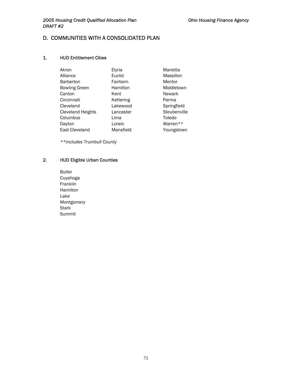## D. COMMUNITIES WITH A CONSOLIDATED PLAN

#### 1. HUD Entitlement Cities

| Akron                    | Elyria    | Marietta      |
|--------------------------|-----------|---------------|
| Alliance                 | Euclid    | Massillon     |
| <b>Barberton</b>         | Fairborn  | Mentor        |
| <b>Bowling Green</b>     | Hamilton  | Middletown    |
| Canton                   | Kent      | <b>Newark</b> |
| Cincinnati               | Kettering | Parma         |
| Cleveland                | Lakewood  | Springfield   |
| <b>Cleveland Heights</b> | Lancaster | Steubenville  |
| Columbus                 | Lima      | Toledo        |
| Dayton                   | Lorain    | Warren**      |
| East Cleveland           | Mansfield | Youngstown    |

*\*\*includes Trumbull County* 

### 2. HUD Eligible Urban Counties

 Butler Cuyahoga Franklin Hamilton Lake Montgomery **Stark** Summit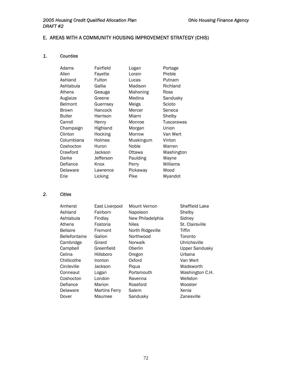# E. AREAS WITH A COMMUNITY HOUSING IMPROVEMENT STRATEGY (CHIS)

# *1. Counties*

| Adams          | Fairfield | Logan     | Portage    |
|----------------|-----------|-----------|------------|
| Allen          | Fayette   | Lorain    | Preble     |
| Ashland        | Fulton    | Lucas     | Putnam     |
| Ashtabula      | Gallia    | Madison   | Richland   |
| Athens         | Geauga    | Mahoning  | Ross       |
| Auglaize       | Greene    | Medina    | Sandusky   |
| <b>Belmont</b> | Guernsey  | Meigs     | Scioto     |
| <b>Brown</b>   | Hancock   | Mercer    | Seneca     |
| Butler         | Harrison  | Miami     | Shelby     |
| Carroll        | Henry     | Monroe    | Tuscarawas |
| Champaign      | Highland  | Morgan    | Union      |
| Clinton        | Hocking   | Morrow    | Van Wert   |
| Columbiana     | Holmes    | Muskingum | Vinton     |
| Coshocton      | Huron     | Noble     | Warren     |
| Crawford       | Jackson   | Ottawa    | Washington |
| Darke          | Jefferson | Paulding  | Wayne      |
| Defiance       | Knox      | Perry     | Williams   |
| Delaware       | Lawrence  | Pickaway  | Wood       |
| Erie           | Licking   | Pike      | Wyandot    |

# *2. Cities*

| Amherst              | East Liverpool       | Mount Vernon     | Sheffield Lake        |
|----------------------|----------------------|------------------|-----------------------|
| Ashland              | Fairborn             | Napoleon         | Shelby                |
| Ashtabula            | Findlay              | New Philadelphia | Sidney                |
| Athens               | Fostoria             | <b>Niles</b>     | St. Clairsville       |
| <b>Bellaire</b>      | Fremont              | North Ridgeville | Tiffin                |
| <b>Bellefontaine</b> | Galion               | Northwood        | Toronto               |
| Cambridge            | Girard               | Norwalk          | Uhrichsville          |
| Campbell             | Greenfield           | Oberlin          | <b>Upper Sandusky</b> |
| Celina               | Hillsboro            | Oregon           | Urbana                |
| Chillicothe          | Ironton              | Oxford           | Van Wert              |
| Circleville          | Jackson              | Pigua            | Wadsworth             |
| Conneaut             | Logan                | Portsmouth       | Washington C.H.       |
| Coshocton            | London               | Ravenna          | Wellston              |
| Defiance             | Marion               | Rossford         | Wooster               |
| Delaware             | <b>Martins Ferry</b> | Salem            | Xenia                 |
| Dover                | Maumee               | Sandusky         | Zanesville            |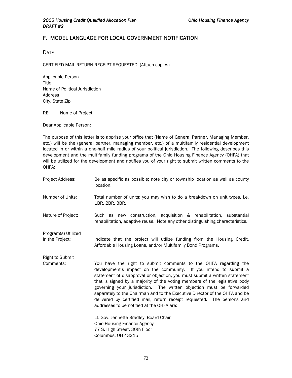# F. MODEL LANGUAGE FOR LOCAL GOVERNMENT NOTIFICATION

**DATE** 

CERTIFIED MAIL RETURN RECEIPT REQUESTED (Attach copies)

Applicable Person Title Name of Political Jurisdiction Address City, State Zip

RE: Name of Project

Dear Applicable Person:

The purpose of this letter is to apprise your office that (Name of General Partner, Managing Member, etc.) will be the (general partner, managing member, etc.) of a multifamily residential development located in or within a one-half mile radius of your political jurisdiction. The following describes this development and the multifamily funding programs of the Ohio Housing Finance Agency (OHFA) that will be utilized for the development and notifies you of your right to submit written comments to the OHFA:

Project Address: Be as specific as possible; note city or township location as well as county location. Number of Units: Total number of units; you may wish to do a breakdown on unit types, i.e. 1BR, 2BR, 3BR. Nature of Project: Such as new construction, acquisition & rehabilitation, substantial rehabilitation, adaptive reuse. Note any other distinguishing characteristics. Program(s) Utilized in the Project: Indicate that the project will utilize funding from the Housing Credit, Affordable Housing Loans, and/or Multifamily Bond Programs. Right to Submit Comments: You have the right to submit comments to the OHFA regarding the development's impact on the community. If you intend to submit a statement of disapproval or objection, you must submit a written statement that is signed by a majority of the voting members of the legislative body governing your jurisdiction. The written objection must be forwarded separately to the Chairman and to the Executive Director of the OHFA and be delivered by certified mail, return receipt requested. The persons and addresses to be notified at the OHFA are: Lt. Gov. Jennette Bradley, Board Chair Ohio Housing Finance Agency 77 S. High Street, 30th Floor Columbus, OH 43215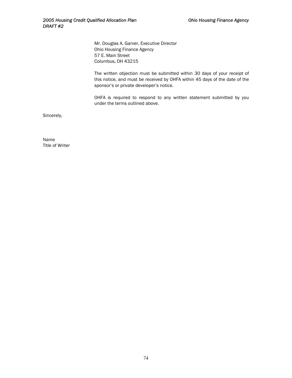Mr. Douglas A. Garver, Executive Director Ohio Housing Finance Agency 57 E. Main Street Columbus, OH 43215

The written objection must be submitted within 30 days of your receipt of this notice, and must be received by OHFA within 45 days of the date of the sponsor's or private developer's notice.

OHFA is required to respond to any written statement submitted by you under the terms outlined above.

Sincerely,

Name Title of Writer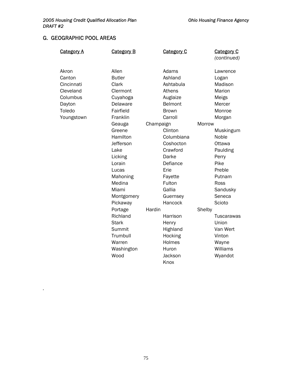# G. GEOGRAPHIC POOL AREAS

*.* 

| <u>Category A</u> | <b>Category B</b> | <b>Category C</b> |        | <b>Category C</b><br>(continued) |
|-------------------|-------------------|-------------------|--------|----------------------------------|
|                   |                   |                   |        |                                  |
| Akron             | Allen             | Adams             |        | Lawrence                         |
| Canton            | <b>Butler</b>     | Ashland           |        | Logan                            |
| Cincinnati        | Clark             | Ashtabula         |        | Madison                          |
| Cleveland         | Clermont          | Athens            |        | Marion                           |
| Columbus          | Cuyahoga          | Auglaize          |        | Meigs                            |
| Dayton            | Delaware          | Belmont           |        | Mercer                           |
| Toledo            | Fairfield         | <b>Brown</b>      |        | Monroe                           |
| Youngstown        | Franklin          | Carroll           |        | Morgan                           |
|                   | Geauga            | Champaign         | Morrow |                                  |
|                   | Greene            | Clinton           |        | Muskingum                        |
|                   | Hamilton          | Columbiana        |        | Noble                            |
|                   | Jefferson         | Coshocton         |        | Ottawa                           |
|                   | Lake              | Crawford          |        | Paulding                         |
|                   | Licking           | Darke             |        | Perry                            |
|                   | Lorain            | Defiance          |        | Pike                             |
|                   | Lucas             | Erie              |        | Preble                           |
|                   | Mahoning          | Fayette           |        | Putnam                           |
|                   | Medina            | Fulton            |        | Ross                             |
|                   | Miami             | Gallia            |        | Sandusky                         |
|                   | Montgomery        | Guernsey          |        | Seneca                           |
|                   | Pickaway          | Hancock           |        | Scioto                           |
|                   | Portage           | Hardin            | Shelby |                                  |
|                   | Richland          | Harrison          |        | Tuscarawas                       |
|                   | <b>Stark</b>      | Henry             |        | Union                            |
|                   | Summit            | Highland          |        | Van Wert                         |
|                   | Trumbull          | Hocking           |        | Vinton                           |
|                   | Warren            | Holmes            |        | Wayne                            |
|                   | Washington        | Huron             |        | Williams                         |
|                   | Wood              | Jackson           |        | Wyandot                          |
|                   |                   | Knox              |        |                                  |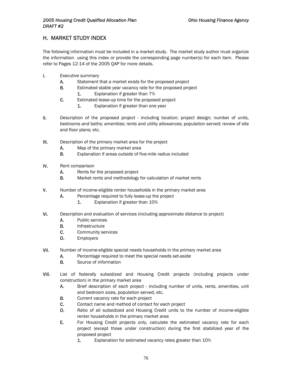# H. MARKET STUDY INDEX

The following information must be included in a market study. The market study author must organize the information using this index or provide the corresponding page number(s) for each item. Please refer to Pages 12-14 of the 2005 QAP for more details.

- I. Executive summary
	- A. Statement that a market exists for the proposed project
	- **B.** Estimated stable year vacancy rate for the proposed project 1. Explanation if greater than 7%
	- C. Estimated lease-up time for the proposed project
		- 1. Explanation if greater than one year
- II. Description of the proposed project including location; project design; number of units, bedrooms and baths; amenities; rents and utility allowances; population served; review of site and floor plans; etc.
- III. Description of the primary market area for the project
	- A. Map of the primary market area
	- B. Explanation if areas outside of five-mile radius included
- IV. Rent comparison
	- A. Rents for the proposed project
	- B. Market rents and methodology for calculation of market rents
- V. Number of income-eligible renter households in the primary market area
	- A. Percentage required to fully lease-up the project
		- 1. Explanation if greater than 10%
- VI. Description and evaluation of services (including approximate distance to project)
	- A. Public services
	- **B.** Infrastructure
	- C. Community services
	- D. Employers
- VII. Number of income-eligible special needs households in the primary market area
	- A. Percentage required to meet the special needs set-aside
	- **B.** Source of information
- VIII. List of federally subsidized and Housing Credit projects (including projects under construction) in the primary market area
	- A. Brief description of each project including number of units, rents, amenities, unit and bedroom sizes, population served, etc.
	- **B.** Current vacancy rate for each project
	- C. Contact name and method of contact for each project
	- D. Ratio of all subsidized and Housing Credit units to the number of income-eligible renter households in the primary market area
	- E. For Housing Credit projects only, calculate the estimated vacancy rate for each project (except those under construction) during the first stabilized year of the proposed project
		- 1. Explanation for estimated vacancy rates greater than 10%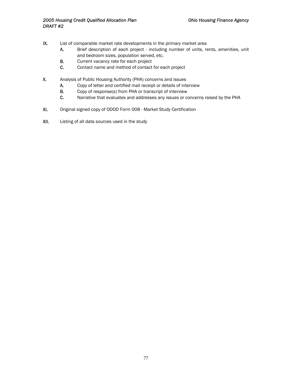- IX. List of comparable market rate developments in the primary market area
	- A. Brief description of each project including number of units, rents, amenities, unit and bedroom sizes, population served, etc.
	- **B.** Current vacancy rate for each project
	- C. Contact name and method of contact for each project
- X. Analysis of Public Housing Authority (PHA) concerns and issues
	- A. Copy of letter and certified mail receipt or details of interview
	- B. Copy of response(s) from PHA or transcript of interview
	- C. Narrative that evaluates and addresses any issues or concerns raised by the PHA
- XI. Original signed copy of ODOD Form 008 Market Study Certification
- XII. Listing of all data sources used in the study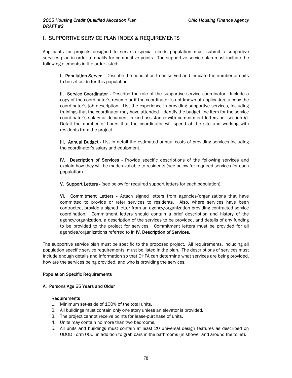# I. SUPPORTIVE SERVICE PLAN INDEX & REQUIREMENTS

Applicants for projects designed to serve a special needs population must submit a supportive services plan in order to qualify for competitive points. The supportive service plan must include the following elements in the order listed:

I. Population Served - Describe the population to be served and indicate the number of units to be set-aside for this population.

II. Service Coordinator - Describe the role of the supportive service coordinator. Include a copy of the coordinator's resume or if the coordinator is not known at application, a copy the coordinator's job description. List the experience in providing supportive services, including trainings that the coordinator may have attended. Identify the budget line item for the service coordinator's salary or document in-kind assistance with commitment letters per section VI. Detail the number of hours that the coordinator will spend at the site and working with residents from the project.

III. Annual Budget - List in detail the estimated annual costs of providing services including the coordinator's salary and equipment.

IV. Description of Services - Provide specific descriptions of the following services and explain how they will be made available to residents (see below for required services for each population).

V. Support Letters - (see below for required support letters for each population).

VI. Commitment Letters - Attach signed letters from agencies/organizations that have committed to provide or refer services to residents. Also, where services have been contracted, provide a signed letter from an agency/organization providing contracted service coordination. Commitment letters should contain a brief description and history of the agency/organization, a description of the services to be provided, and details of any funding to be provided to the project for services. Commitment letters must be provided for all agencies/organizations referred to in IV. Description of Services.

The supportive service plan must be specific to the proposed project. All requirements, including all population specific service requirements, must be listed in the plan. The descriptions of services must include enough details and information so that OHFA can determine what services are being provided, how are the services being provided, and who is providing the services.

#### Population Specific Requirements

#### A. Persons Age 55 Years and Older

#### Requirements

- 1. Minimum set-aside of 100% of the total units.
- 2. All buildings must contain only one story unless an elevator is provided.
- 3. The project cannot receive points for lease-purchase of units.
- 4. Units may contain no more than two bedrooms.
- 5. All units and buildings must contain at least 20 universal design features as described on ODOD Form 000, in addition to grab bars in the bathrooms (in shower and around the toilet).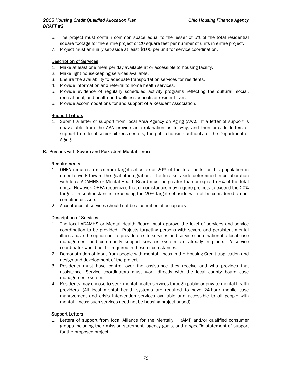## *2005 Housing Credit Qualified Allocation Plan Ohio Housing Finance Agency DRAFT #2*

- 6. The project must contain common space equal to the lesser of 5% of the total residential square footage for the entire project or 20 square feet per number of units in entire project.
- 7. Project must annually set-aside at least \$100 per unit for service coordination.

## Description of Services

- 1. Make at least one meal per day available at or accessible to housing facility.
- 2. Make light housekeeping services available.
- 3. Ensure the availability to adequate transportation services for residents.
- 4. Provide information and referral to home health services.
- 5. Provide evidence of regularly scheduled activity programs reflecting the cultural, social, recreational, and health and wellness aspects of resident lives.
- 6. Provide accommodations for and support of a Resident Association.

### **Support Letters**

1. Submit a letter of support from local Area Agency on Aging (AAA). If a letter of support is unavailable from the AAA provide an explanation as to why, and then provide letters of support from local senior citizens centers, the public housing authority, or the Department of Aging.

### B. Persons with Severe and Persistent Mental Illness

### Requirements

- 1. OHFA requires a maximum target set-aside of 20% of the total units for this population in order to work toward the goal of integration. The final set-aside determined in collaboration with local ADAMHS or Mental Health Board must be greater than or equal to 5% of the total units. However, OHFA recognizes that circumstances may require projects to exceed the 20% target. In such instances, exceeding the 20% target set-aside will not be considered a noncompliance issue.
- 2. Acceptance of services should not be a condition of occupancy.

## Description of Services

- 1. The local ADAMHS or Mental Health Board must approve the level of services and service coordination to be provided. Projects targeting persons with severe and persistent mental illness have the option not to provide on-site services and service coordination if a local case management and community support services system are already in place. A service coordinator would not be required in these circumstances.
- 2. Demonstration of input from people with mental illness in the Housing Credit application and design and development of the project.
- 3. Residents must have control over the assistance they receive and who provides that assistance. Service coordinators must work directly with the local county board case management system.
- 4. Residents may choose to seek mental health services through public or private mental health providers. (All local mental health systems are required to have 24-hour mobile case management and crisis intervention services available and accessible to all people with mental illness; such services need not be housing project based).

#### Support Letters

1. Letters of support from local Alliance for the Mentally Ill (AMI) and/or qualified consumer groups including their mission statement, agency goals, and a *specific* statement of support for the proposed project.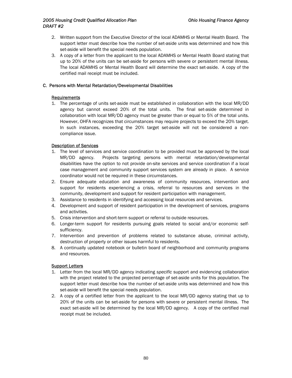## *2005 Housing Credit Qualified Allocation Plan Ohio Housing Finance Agency DRAFT #2*

- 2. Written support from the Executive Director of the local ADAMHS or Mental Health Board. The support letter must describe how the number of set-aside units was determined and how this set-aside will benefit the special needs population.
- 3. A copy of a letter from the applicant to the local ADAMHS or Mental Health Board stating that up to 20% of the units can be set-aside for persons with severe or persistent mental illness. The local ADAMHS or Mental Health Board will determine the exact set-aside. A copy of the certified mail receipt must be included.

#### C. Persons with Mental Retardation/Developmental Disabilities

### **Requirements**

1. The percentage of units set-aside must be established in collaboration with the local MR/DD agency but cannot exceed 20% of the total units. The final set-aside determined in collaboration with local MR/DD agency must be greater than or equal to 5% of the total units. However, OHFA recognizes that circumstances may require projects to exceed the 20% target. In such instances, exceeding the 20% target set-aside will not be considered a noncompliance issue.

### Description of Services

- 1. The level of services and service coordination to be provided must be approved by the local MR/DD agency. Projects targeting persons with mental retardation/developmental disabilities have the option to not provide on-site services and service coordination if a local case management and community support services system are already in place. A service coordinator would not be required in these circumstances.
- 2. Ensure adequate education and awareness of community resources, intervention and support for residents experiencing a crisis, referral to resources and services in the community, development and support for resident participation with management.
- 3. Assistance to residents in identifying and accessing local resources and services.
- 4. Development and support of resident participation in the development of services, programs and activities.
- 5. Crisis intervention and short-term support or referral to outside resources.
- 6. Longer-term support for residents pursuing goals related to social and/or economic selfsufficiency.
- 7. Intervention and prevention of problems related to substance abuse, criminal activity, destruction of property or other issues harmful to residents.
- 8. A continually updated notebook or bulletin board of neighborhood and community programs and resources.

## Support Letters

- 1. Letter from the local MR/DD agency indicating *specific* support and evidencing collaboration with the project related to the projected percentage of set-aside units for this population. The support letter must describe how the number of set-aside units was determined and how this set-aside will benefit the special needs population.
- 2. A copy of a certified letter from the applicant to the local MR/DD agency stating that up to 20% of the units can be set-aside for persons with severe or persistent mental illness. The exact set-aside will be determined by the local MR/DD agency. A copy of the certified mail receipt must be included.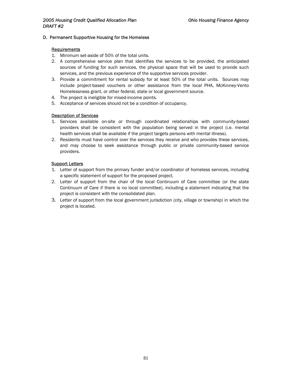#### D. Permanent Supportive Housing for the Homeless

#### Requirements

- 1. Minimum set-aside of 50% of the total units.
- 2. A comprehensive service plan that identifies the services to be provided, the anticipated sources of funding for such services, the physical space that will be used to provide such services, and the previous experience of the supportive services provider.
- 3. Provide a commitment for rental subsidy for at least 50% of the total units. Sources may include project-based vouchers or other assistance from the local PHA, McKinney-Vento Homelessness grant, or other federal, state or local government source.
- 4. The project is ineligible for mixed-income points.
- 5. Acceptance of services should not be a condition of occupancy.

#### Description of Services

- 1. Services available on-site or through coordinated relationships with community-based providers shall be consistent with the population being served in the project (i.e. mental health services shall be available if the project targets persons with mental illness).
- 2. Residents must have control over the services they receive and who provides these services, and may choose to seek assistance through public or private community-based service providers.

#### Support Letters

- 1. Letter of support from the primary funder and/or coordinator of homeless services, including a specific statement of support for the proposed project.
- 2. Letter of support from the chair of the local Continuum of Care committee (or the state Continuum of Care if there is no local committee), including a statement indicating that the project is consistent with the consolidated plan.
- 3. Letter of support from the local government jurisdiction (city, village or township) in which the project is located.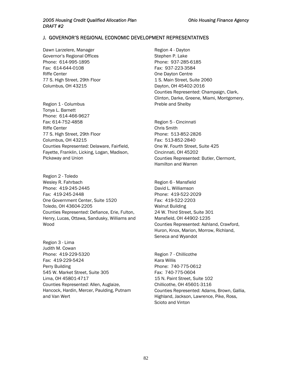## J. GOVERNOR'S REGIONAL ECONOMIC DEVELOPMENT REPRESENTATIVES

Dawn Larzelere, Manager Governor's Regional Offices Phone: 614-995-1895 Fax: 614-644-0108 Riffe Center 77 S. High Street, 29th Floor Columbus, OH 43215

Region 1 - Columbus Tonya L. Barnett Phone: 614-466-9627 Fax: 614-752-4858 Riffe Center 77 S. High Street, 29th Floor Columbus, OH 43215 Counties Represented: Delaware, Fairfield, Fayette, Franklin, Licking, Logan, Madison, Pickaway and Union

Region 2 - Toledo Wesley R. Fahrbach Phone: 419-245-2445 Fax: 419-245-2448 One Government Center, Suite 1520 Toledo, OH 43604-2205 Counties Represented: Defiance, Erie, Fulton, Henry, Lucas, Ottawa, Sandusky, Williams and Wood

Region 3 - Lima Judith M. Cowan Phone: 419-229-5320 Fax: 419-229-5424 Perry Building 545 W. Market Street, Suite 305 Lima, OH 45801-4717 Counties Represented: Allen, Auglaize, Hancock, Hardin, Mercer, Paulding, Putnam and Van Wert

Region 4 - Dayton Stephen P. Lake Phone: 937-285-6185 Fax: 937-223-3584 One Dayton Centre 1 S. Main Street, Suite 2060 Dayton, OH 45402-2016 Counties Represented: Champaign, Clark, Clinton, Darke, Greene, Miami, Montgomery, Preble and Shelby

Region 5 - Cincinnati Chris Smith Phone: 513-852-2826 Fax: 513-852-2840 One W. Fourth Street, Suite 425 Cincinnati, OH 45202 Counties Represented: Butler, Clermont, Hamilton and Warren

Region 6 - Mansfield David L. Williamson Phone: 419-522-2029 Fax: 419-522-2203 Walnut Building 24 W. Third Street, Suite 301 Mansfield, OH 44902-1235 Counties Represented: Ashland, Crawford, Huron, Knox, Marion, Morrow, Richland, Seneca and Wyandot

Region 7 - Chillicothe Kara Willis Phone: 740-775-0612 Fax: 740-775-0604 15 N. Paint Street, Suite 102 Chillicothe, OH 45601-3116 Counties Represented: Adams, Brown, Gallia, Highland, Jackson, Lawrence, Pike, Ross, Scioto and Vinton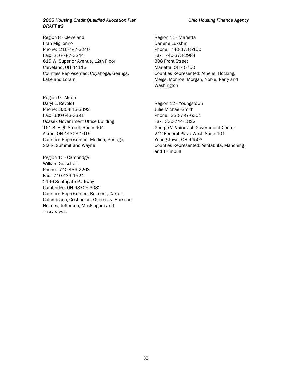## *2005 Housing Credit Qualified Allocation Plan Ohio Housing Finance Agency DRAFT #2*

Region 8 - Cleveland **Region 11 - Marietta** Fran Migliorino **Darlene Lukshin** Phone: 216-787-3240 Phone: 740-373-5150 Fax: 216-787-3244 Fax: 740-373-2984 615 W. Superior Avenue, 12th Floor 308 Front Street Cleveland, OH 44113 Marietta, OH 45750 Counties Represented: Cuyahoga, Geauga, Lake and Lorain

Region 9 - Akron Daryl L. Revoldt **Region 12 - Youngstown** Phone: 330-643-3392 Julie Michael-Smith Fax: 330-643-3391 Phone: 330-797-6301 Ocasek Government Office Building Fax: 330-744-1822 161 S. High Street, Room 404 George V. Voinovich Government Center Akron, OH 44308-1615 242 Federal Plaza West, Suite 401 Counties Represented: Medina, Portage, Stark, Summit and Wayne

Region 10 - Cambridge William Gotschall Phone: 740-439-2263 Fax: 740-439-1524 2146 Southgate Parkway Cambridge, OH 43725-3082 Counties Represented: Belmont, Carroll, Columbiana, Coshocton, Guernsey, Harrison, Holmes, Jefferson, Muskingum and **Tuscarawas** 

Counties Represented: Athens, Hocking, Meigs, Monroe, Morgan, Noble, Perry and Washington

Youngstown, OH 44503 Counties Represented: Ashtabula, Mahoning and Trumbull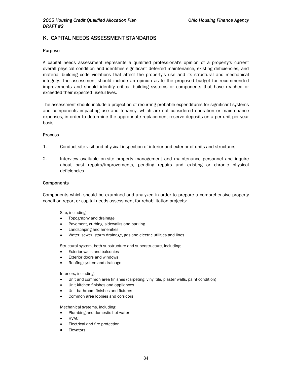# K. CAPITAL NEEDS ASSESSMENT STANDARDS

#### Purpose

A capital needs assessment represents a qualified professional's opinion of a property's current overall physical condition and identifies significant deferred maintenance, existing deficiencies, and material building code violations that affect the property's use and its structural and mechanical integrity. The assessment should include an opinion as to the proposed budget for recommended improvements and should identify critical building systems or components that have reached or exceeded their expected useful lives.

The assessment should include a projection of recurring probable expenditures for significant systems and components impacting use and tenancy, which are not considered operation or maintenance expenses, in order to determine the appropriate replacement reserve deposits on a per unit per year basis.

#### Process

- 1. Conduct site visit and physical inspection of interior and exterior of units and structures
- 2. Interview available on-site property management and maintenance personnel and inquire about past repairs/improvements, pending repairs and existing or chronic physical deficiencies

#### **Components**

Components which should be examined and analyzed in order to prepare a comprehensive property condition report or capital needs assessment for rehabilitation projects:

#### Site, including:

- Topography and drainage
- Pavement, curbing, sidewalks and parking
- Landscaping and amenities
- Water, sewer, storm drainage, gas and electric utilities and lines

Structural system, both substructure and superstructure, including:

- **Exterior walls and balconies**
- Exterior doors and windows
- Roofing system and drainage

#### Interiors, including:

- Unit and common area finishes (carpeting, vinyl tile, plaster walls, paint condition)
- Unit kitchen finishes and appliances
- Unit bathroom finishes and fixtures
- Common area lobbies and corridors

Mechanical systems, including:

- Plumbing and domestic hot water
- HVAC
- Electrical and fire protection
- **Elevators**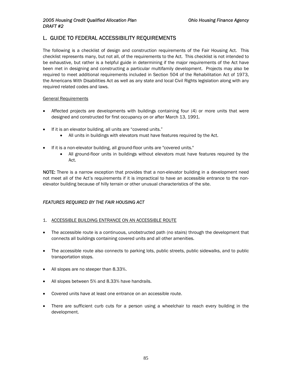# L. GUIDE TO FEDERAL ACCESSIBILITY REQUIREMENTS

The following is a checklist of design and construction requirements of the Fair Housing Act. This checklist represents many, but not all, of the requirements to the Act. This checklist is not intended to be exhaustive, but rather is a helpful guide in determining if the major requirements of the Act have been met in designing and constructing a particular multifamily development. Projects may also be required to meet additional requirements included in Section 504 of the Rehabilitation Act of 1973, the Americans With Disabilities Act as well as any state and local Civil Rights legislation along with any required related codes and laws.

### General Requirements

- Affected projects are developments with buildings containing four (4) or more units that were designed and constructed for first occupancy on or after March 13, 1991.
- If it is an elevator building, all units are "covered units."
	- All units in buildings with elevators must have features required by the Act.
- If it is a non-elevator building, all ground-floor units are "covered units."
	- All ground-floor units in buildings without elevators must have features required by the Act.

NOTE: There is a narrow exception that provides that a non-elevator building in a development need not meet all of the Act's requirements if it is impractical to have an accessible entrance to the nonelevator building because of hilly terrain or other unusual characteristics of the site.

## *FEATURES REQUIRED BY THE FAIR HOUSING ACT*

- 1. ACCESSIBLE BUILDING ENTRANCE ON AN ACCESSIBLE ROUTE
- The accessible route is a continuous, unobstructed path (no stairs) through the development that connects all buildings containing covered units and all other amenities.
- The accessible route also connects to parking lots, public streets, public sidewalks, and to public transportation stops.
- All slopes are no steeper than 8.33%.
- All slopes between 5% and 8.33% have handrails.
- Covered units have at least one entrance on an accessible route.
- There are sufficient curb cuts for a person using a wheelchair to reach every building in the development.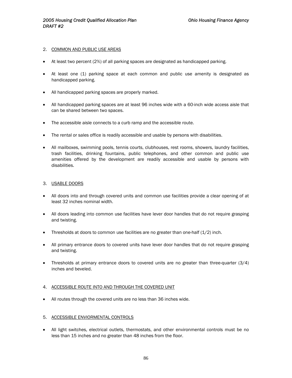#### 2. COMMON AND PUBLIC USE AREAS

- At least two percent (2%) of all parking spaces are designated as handicapped parking.
- At least one (1) parking space at each common and public use amenity is designated as handicapped parking.
- All handicapped parking spaces are properly marked.
- All handicapped parking spaces are at least 96 inches wide with a 60-inch wide access aisle that can be shared between two spaces.
- The accessible aisle connects to a curb ramp and the accessible route.
- The rental or sales office is readily accessible and usable by persons with disabilities.
- All mailboxes, swimming pools, tennis courts, clubhouses, rest rooms, showers, laundry facilities, trash facilities, drinking fountains, public telephones, and other common and public use amenities offered by the development are readily accessible and usable by persons with disabilities.

### 3. USABLE DOORS

- All doors into and through covered units and common use facilities provide a clear opening of at least 32 inches nominal width.
- All doors leading into common use facilities have lever door handles that do not require grasping and twisting.
- Thresholds at doors to common use facilities are no greater than one-half  $(1/2)$  inch.
- All primary entrance doors to covered units have lever door handles that do not require grasping and twisting.
- Thresholds at primary entrance doors to covered units are no greater than three-quarter (3/4) inches and beveled.

#### 4. ACCESSIBLE ROUTE INTO AND THROUGH THE COVERED UNIT

• All routes through the covered units are no less than 36 inches wide.

#### 5. ACCESSIBLE ENVIORMENTAL CONTROLS

• All light switches, electrical outlets, thermostats, and other environmental controls must be no less than 15 inches and no greater than 48 inches from the floor.